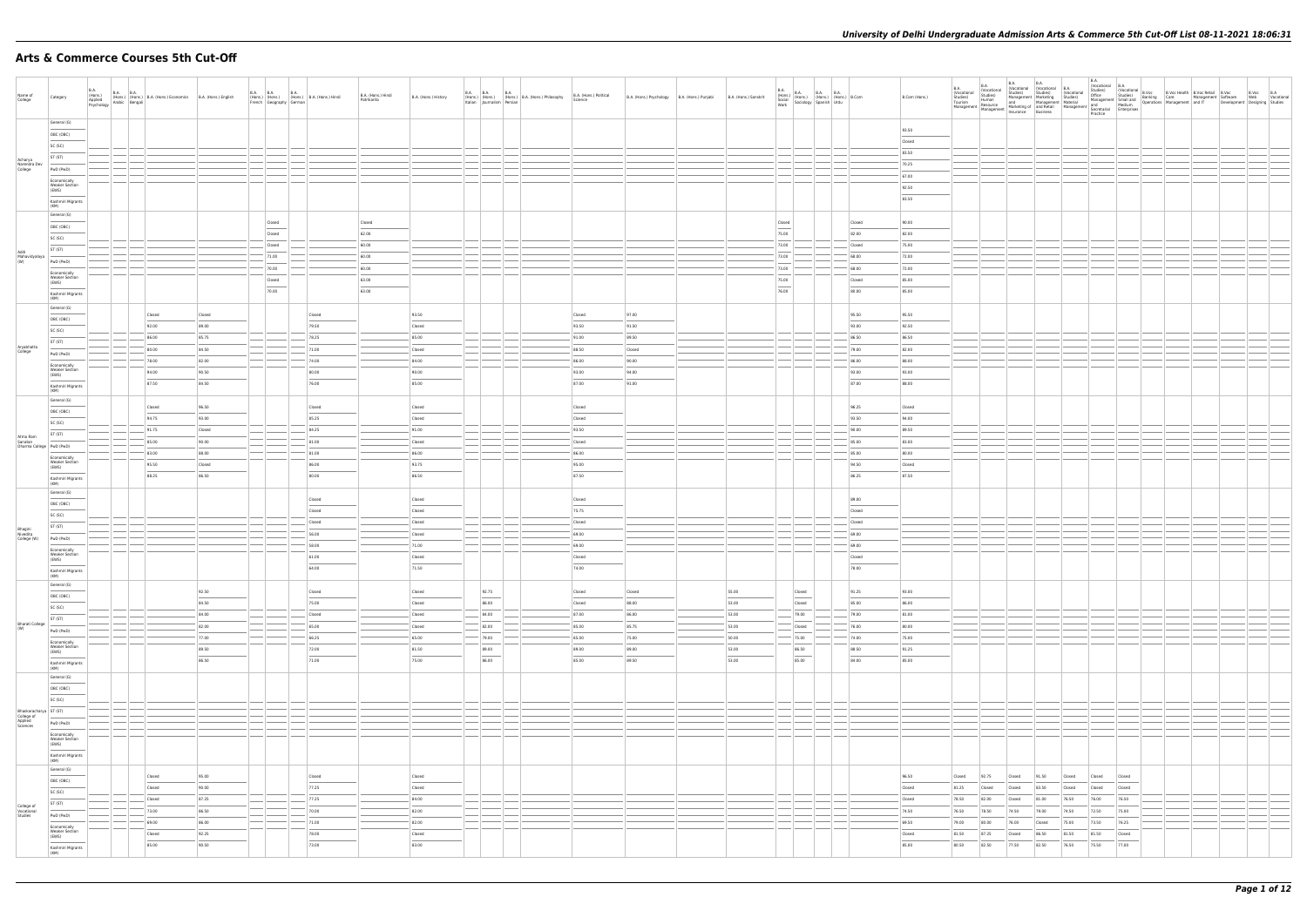# **Arts & Commerce Courses 5th Cut-Off**

| Name of<br>College                  | Category                                       |  | B.A. (Hons.) B.A. B.A. (Hons.) Economics B.A. (Hons.) English<br>Applied (Hons.) (Hons.) B.A. (Hons.) Economics B.A. (Hons.) English<br>Psychology Arabic Bengali |        | French Geography German | B.A. B.A. B.A. B.A. (Hons.) B.A. (Hons.) Hindi | B.A. (Hons.) Hindi<br>Patrikarita | B.A. (Hons.) History                                                                                                                                                                                                                                                                                                                                                                                                                                                                 | B.A. B.A. B.A. B.A. (Hons.) B.A. (Hons.) Philosophy<br>Italian Journalism Persian | B.A. (Hons.) Political<br>Science | B.A. (Hons.) Psychology B.A. (Hons.) Punjabi | B.A. (Hons.) Sanskrit |        |                                    | B.A. (Hons.) B.A. B.A. B.A. (Hons.) B.Com<br>Social (Hons.) (Hons.) (Hons.) B.Com<br>Work Sociology Spanish Urdu |                 | B.Com (Hons.) |        |        |        |        |                  |        |  |  |  |
|-------------------------------------|------------------------------------------------|--|-------------------------------------------------------------------------------------------------------------------------------------------------------------------|--------|-------------------------|------------------------------------------------|-----------------------------------|--------------------------------------------------------------------------------------------------------------------------------------------------------------------------------------------------------------------------------------------------------------------------------------------------------------------------------------------------------------------------------------------------------------------------------------------------------------------------------------|-----------------------------------------------------------------------------------|-----------------------------------|----------------------------------------------|-----------------------|--------|------------------------------------|------------------------------------------------------------------------------------------------------------------|-----------------|---------------|--------|--------|--------|--------|------------------|--------|--|--|--|
|                                     | General (G)                                    |  |                                                                                                                                                                   |        |                         |                                                |                                   |                                                                                                                                                                                                                                                                                                                                                                                                                                                                                      |                                                                                   |                                   |                                              |                       |        |                                    |                                                                                                                  |                 |               |        |        |        |        |                  |        |  |  |  |
|                                     | OBC (OBC)                                      |  |                                                                                                                                                                   |        |                         |                                                |                                   |                                                                                                                                                                                                                                                                                                                                                                                                                                                                                      |                                                                                   |                                   |                                              |                       |        |                                    |                                                                                                                  |                 | 93.50         |        |        |        |        |                  |        |  |  |  |
|                                     | SC (SC)                                        |  |                                                                                                                                                                   |        |                         |                                                |                                   |                                                                                                                                                                                                                                                                                                                                                                                                                                                                                      |                                                                                   |                                   |                                              |                       |        |                                    |                                                                                                                  |                 | Closed        |        |        |        |        |                  |        |  |  |  |
|                                     | ST (ST)                                        |  |                                                                                                                                                                   |        |                         |                                                |                                   |                                                                                                                                                                                                                                                                                                                                                                                                                                                                                      |                                                                                   |                                   |                                              |                       |        |                                    |                                                                                                                  |                 | 83.50         |        |        |        |        |                  |        |  |  |  |
| Acharya<br>Narendra Dev<br>College  | PwD (PwD)                                      |  |                                                                                                                                                                   |        |                         |                                                |                                   |                                                                                                                                                                                                                                                                                                                                                                                                                                                                                      |                                                                                   |                                   |                                              |                       |        |                                    |                                                                                                                  |                 | 70.25         |        |        |        |        |                  |        |  |  |  |
|                                     | Economically                                   |  |                                                                                                                                                                   |        |                         |                                                |                                   |                                                                                                                                                                                                                                                                                                                                                                                                                                                                                      |                                                                                   |                                   |                                              |                       |        |                                    |                                                                                                                  |                 | 67.00         |        |        |        |        |                  |        |  |  |  |
|                                     | Weaker Section<br>(EWS)                        |  |                                                                                                                                                                   |        |                         |                                                |                                   |                                                                                                                                                                                                                                                                                                                                                                                                                                                                                      |                                                                                   |                                   |                                              |                       |        |                                    |                                                                                                                  |                 | 92.50         |        |        |        |        |                  |        |  |  |  |
|                                     | Kashmiri Migrants<br>(KM)                      |  |                                                                                                                                                                   |        |                         |                                                |                                   |                                                                                                                                                                                                                                                                                                                                                                                                                                                                                      |                                                                                   |                                   |                                              |                       |        |                                    |                                                                                                                  |                 | 83.50         |        |        |        |        |                  |        |  |  |  |
|                                     | General (G)                                    |  |                                                                                                                                                                   |        | Closed                  |                                                | Closed                            |                                                                                                                                                                                                                                                                                                                                                                                                                                                                                      |                                                                                   |                                   |                                              |                       | Closed |                                    |                                                                                                                  | Closed          | 90.00         |        |        |        |        |                  |        |  |  |  |
|                                     | OBC (OBC)                                      |  |                                                                                                                                                                   |        |                         |                                                |                                   |                                                                                                                                                                                                                                                                                                                                                                                                                                                                                      |                                                                                   |                                   |                                              |                       |        |                                    |                                                                                                                  |                 |               |        |        |        |        |                  |        |  |  |  |
|                                     | SC (SC)                                        |  |                                                                                                                                                                   |        | Closed                  |                                                | 62.00                             |                                                                                                                                                                                                                                                                                                                                                                                                                                                                                      |                                                                                   |                                   |                                              |                       | 75.00  |                                    |                                                                                                                  | 82.00           | 82.00         |        |        |        |        |                  |        |  |  |  |
| Aditi                               | ST (ST)                                        |  |                                                                                                                                                                   |        | Closed                  |                                                | 60.00                             |                                                                                                                                                                                                                                                                                                                                                                                                                                                                                      |                                                                                   |                                   |                                              |                       | 73.00  |                                    |                                                                                                                  | Closed          | 75.00         |        |        |        |        |                  |        |  |  |  |
| Mahavidyalaya<br>(W)                | PwD (PwD)                                      |  |                                                                                                                                                                   |        | 71.00                   |                                                | 60.00                             |                                                                                                                                                                                                                                                                                                                                                                                                                                                                                      |                                                                                   |                                   |                                              |                       | 73.00  |                                    |                                                                                                                  | 68.00           | 72.00         |        |        |        |        |                  |        |  |  |  |
|                                     | Economically                                   |  |                                                                                                                                                                   |        | 70.00                   |                                                | 60.00                             |                                                                                                                                                                                                                                                                                                                                                                                                                                                                                      |                                                                                   |                                   |                                              |                       | 73.00  |                                    |                                                                                                                  | 68.00           | 72.00         |        |        |        |        |                  |        |  |  |  |
|                                     | <b>Weaker Section</b><br>(EWS)                 |  |                                                                                                                                                                   |        | Closed                  |                                                | 63.00                             |                                                                                                                                                                                                                                                                                                                                                                                                                                                                                      |                                                                                   |                                   |                                              |                       | 75.00  |                                    |                                                                                                                  | Closed          | 85.00         |        |        |        |        |                  |        |  |  |  |
|                                     | Kashmiri Migrants<br>(KM)                      |  |                                                                                                                                                                   |        | 70.00                   |                                                | 63.00                             |                                                                                                                                                                                                                                                                                                                                                                                                                                                                                      |                                                                                   |                                   |                                              |                       | 76.00  |                                    |                                                                                                                  | 80.00           | 85.00         |        |        |        |        |                  |        |  |  |  |
|                                     | General (G)                                    |  | Closed                                                                                                                                                            | Closed |                         | Closed                                         |                                   | 93.50                                                                                                                                                                                                                                                                                                                                                                                                                                                                                |                                                                                   | Closed                            | 97.00                                        |                       |        |                                    |                                                                                                                  | 95.50           | 95.50         |        |        |        |        |                  |        |  |  |  |
|                                     | OBC (OBC)                                      |  | 92.00                                                                                                                                                             | 89.00  |                         | 79.50                                          |                                   | Closed                                                                                                                                                                                                                                                                                                                                                                                                                                                                               |                                                                                   | 93.50                             | 91.50                                        |                       |        |                                    |                                                                                                                  | 93.00           |               |        |        |        |        |                  |        |  |  |  |
|                                     | SC (SC)                                        |  |                                                                                                                                                                   |        |                         |                                                |                                   |                                                                                                                                                                                                                                                                                                                                                                                                                                                                                      |                                                                                   |                                   |                                              |                       |        |                                    |                                                                                                                  |                 | 92.50         |        |        |        |        |                  |        |  |  |  |
|                                     | ST (ST)                                        |  | 86.00                                                                                                                                                             | 85.75  |                         | 78.25                                          |                                   | 85.00                                                                                                                                                                                                                                                                                                                                                                                                                                                                                |                                                                                   | 91.00                             | 89.50                                        |                       |        |                                    |                                                                                                                  | 86.50           | 86.50         |        |        |        |        |                  |        |  |  |  |
| Aryabhatta<br>College               | PwD (PwD)                                      |  | 80.00                                                                                                                                                             | 84.50  |                         | 71.00                                          |                                   | Closed                                                                                                                                                                                                                                                                                                                                                                                                                                                                               |                                                                                   | 88.50                             | Closed                                       |                       |        |                                    |                                                                                                                  | 79.00           | 82.00         |        |        |        |        |                  |        |  |  |  |
|                                     | Economically                                   |  | 78.00                                                                                                                                                             | 82.00  |                         | 74.00                                          |                                   | 84.00                                                                                                                                                                                                                                                                                                                                                                                                                                                                                |                                                                                   | 86.00                             | 90.00                                        |                       |        |                                    |                                                                                                                  | 86.00           | 88.00         |        |        |        |        |                  |        |  |  |  |
|                                     | <b>Weaker Section</b><br>(EWS)                 |  | 94.00                                                                                                                                                             | 90.50  |                         | 80.00                                          |                                   | 90.00                                                                                                                                                                                                                                                                                                                                                                                                                                                                                |                                                                                   | 93.00                             | 94.00                                        |                       |        |                                    |                                                                                                                  | 93.00           | 93.00         |        |        |        |        |                  |        |  |  |  |
|                                     | Kashmiri Migrants<br>(KM)                      |  | 87.50                                                                                                                                                             | 84.50  |                         | 76.00                                          |                                   | 85.00                                                                                                                                                                                                                                                                                                                                                                                                                                                                                |                                                                                   | 87.00                             | 91.00                                        |                       |        |                                    |                                                                                                                  | 87.00           | 88.00         |        |        |        |        |                  |        |  |  |  |
|                                     | General (G)                                    |  | Closed                                                                                                                                                            | 96.50  |                         | Closed                                         |                                   | Closed                                                                                                                                                                                                                                                                                                                                                                                                                                                                               |                                                                                   | Closed                            |                                              |                       |        |                                    |                                                                                                                  | 96.25           | Closed        |        |        |        |        |                  |        |  |  |  |
|                                     | OBC (OBC)                                      |  | 94.75                                                                                                                                                             | 93.00  |                         | 85.25                                          |                                   | Closed                                                                                                                                                                                                                                                                                                                                                                                                                                                                               |                                                                                   | Closed                            |                                              |                       |        |                                    |                                                                                                                  | 93.50           | 94.00         |        |        |        |        |                  |        |  |  |  |
|                                     | SC (SC)                                        |  | 91.75                                                                                                                                                             | Closed |                         | 84.25                                          |                                   | 91.00                                                                                                                                                                                                                                                                                                                                                                                                                                                                                |                                                                                   | 93.50                             |                                              |                       |        |                                    |                                                                                                                  | 90.00           | 89.50         |        |        |        |        |                  |        |  |  |  |
| Atma Ram                            | ST (ST)                                        |  |                                                                                                                                                                   |        |                         |                                                |                                   |                                                                                                                                                                                                                                                                                                                                                                                                                                                                                      |                                                                                   |                                   |                                              |                       |        |                                    |                                                                                                                  |                 |               |        |        |        |        |                  |        |  |  |  |
| Sanatan<br>Dharma College PwD (PwD) |                                                |  | 85.00                                                                                                                                                             | 90.00  |                         | 81.00                                          |                                   | Closed                                                                                                                                                                                                                                                                                                                                                                                                                                                                               |                                                                                   | Closed                            |                                              |                       |        |                                    |                                                                                                                  | 85.00           | 83.00         |        |        |        |        |                  |        |  |  |  |
|                                     | Economically<br><b>Weaker Section</b>          |  | 83.00                                                                                                                                                             | 88.00  |                         | 81.00                                          |                                   | 86.00                                                                                                                                                                                                                                                                                                                                                                                                                                                                                |                                                                                   | 86.00                             |                                              |                       |        |                                    |                                                                                                                  | 85.00           | 80.00         |        |        |        |        |                  |        |  |  |  |
|                                     | (EWS)                                          |  | 95.50                                                                                                                                                             | Closed |                         | 86.00                                          |                                   | 93.75                                                                                                                                                                                                                                                                                                                                                                                                                                                                                |                                                                                   | 95.00                             |                                              |                       |        |                                    |                                                                                                                  | 94.50           | Closed        |        |        |        |        |                  |        |  |  |  |
|                                     | Kashmiri Migrants<br>(KM)                      |  | 88.25                                                                                                                                                             | 86.50  |                         | 80.00                                          |                                   | 86.50                                                                                                                                                                                                                                                                                                                                                                                                                                                                                |                                                                                   | 87.50                             |                                              |                       |        |                                    |                                                                                                                  | 86.25           | 87.50         |        |        |        |        |                  |        |  |  |  |
|                                     | General (G)                                    |  |                                                                                                                                                                   |        |                         |                                                |                                   |                                                                                                                                                                                                                                                                                                                                                                                                                                                                                      |                                                                                   |                                   |                                              |                       |        |                                    |                                                                                                                  |                 |               |        |        |        |        |                  |        |  |  |  |
|                                     | OBC (OBC)                                      |  |                                                                                                                                                                   |        |                         | Closed                                         |                                   | Closed                                                                                                                                                                                                                                                                                                                                                                                                                                                                               |                                                                                   | Closed                            |                                              |                       |        |                                    |                                                                                                                  | 89.00           |               |        |        |        |        |                  |        |  |  |  |
|                                     |                                                |  |                                                                                                                                                                   |        |                         | Closed                                         |                                   | Closed                                                                                                                                                                                                                                                                                                                                                                                                                                                                               |                                                                                   | 75.75                             |                                              |                       |        |                                    |                                                                                                                  | Closed          |               |        |        |        |        |                  |        |  |  |  |
|                                     | SC (SC)                                        |  |                                                                                                                                                                   |        |                         | Closed                                         |                                   | Closed                                                                                                                                                                                                                                                                                                                                                                                                                                                                               |                                                                                   | Closed                            |                                              |                       |        |                                    |                                                                                                                  | Closed          |               |        |        |        |        |                  |        |  |  |  |
| Bhagini<br>Nivedita<br>College (W)  | ST (ST)                                        |  |                                                                                                                                                                   |        |                         | 56.00                                          |                                   | Closed                                                                                                                                                                                                                                                                                                                                                                                                                                                                               |                                                                                   | 69.00                             |                                              |                       |        |                                    |                                                                                                                  | 69.00           |               |        |        |        |        |                  |        |  |  |  |
|                                     | PwD (PwD)                                      |  |                                                                                                                                                                   |        |                         | 58.00                                          |                                   | 71.00                                                                                                                                                                                                                                                                                                                                                                                                                                                                                |                                                                                   | 69.00                             |                                              |                       |        |                                    |                                                                                                                  | 69.00           |               |        |        |        |        |                  |        |  |  |  |
|                                     | Economically<br><b>Weaker Section</b>          |  |                                                                                                                                                                   |        |                         | 61.00                                          |                                   |                                                                                                                                                                                                                                                                                                                                                                                                                                                                                      |                                                                                   |                                   |                                              |                       |        |                                    |                                                                                                                  |                 |               |        |        |        |        |                  |        |  |  |  |
|                                     | (EWS)<br>Kashmiri Migrants<br>(KM)             |  |                                                                                                                                                                   |        |                         | 64.00                                          |                                   | Closed<br>71.50                                                                                                                                                                                                                                                                                                                                                                                                                                                                      |                                                                                   | Closed<br>74.00                   |                                              |                       |        |                                    |                                                                                                                  | Closed<br>78.00 |               |        |        |        |        |                  |        |  |  |  |
|                                     | General (G)                                    |  |                                                                                                                                                                   |        |                         |                                                |                                   |                                                                                                                                                                                                                                                                                                                                                                                                                                                                                      |                                                                                   |                                   |                                              |                       |        |                                    |                                                                                                                  |                 |               |        |        |        |        |                  |        |  |  |  |
|                                     | OBC (OBC)                                      |  |                                                                                                                                                                   | 92.50  |                         | Closed                                         |                                   | Closed<br>$\frac{1}{2} \left( \frac{1}{2} \right) \left( \frac{1}{2} \right) \left( \frac{1}{2} \right) \left( \frac{1}{2} \right) \left( \frac{1}{2} \right) \left( \frac{1}{2} \right) \left( \frac{1}{2} \right) \left( \frac{1}{2} \right) \left( \frac{1}{2} \right) \left( \frac{1}{2} \right) \left( \frac{1}{2} \right) \left( \frac{1}{2} \right) \left( \frac{1}{2} \right) \left( \frac{1}{2} \right) \left( \frac{1}{2} \right) \left( \frac{1}{2} \right) \left( \frac$ | 92.75<br>$\overline{\phantom{a}}$                                                 | Closed                            | Closed                                       | 55.00                 |        | Closed<br>$\overline{\phantom{a}}$ |                                                                                                                  | 91.25           | 93.00         |        |        |        |        |                  |        |  |  |  |
|                                     | SC (SC)                                        |  |                                                                                                                                                                   | 84.50  |                         | 75.00                                          |                                   | Closed                                                                                                                                                                                                                                                                                                                                                                                                                                                                               | 86.00                                                                             | Closed                            | 88.00                                        | 53.00                 |        | Closed                             |                                                                                                                  | 85.00           | 86.00         |        |        |        |        |                  |        |  |  |  |
|                                     | ST (ST)                                        |  |                                                                                                                                                                   | 84.00  |                         | Closed                                         |                                   | Closed                                                                                                                                                                                                                                                                                                                                                                                                                                                                               | $- 84.00$                                                                         | 87.00                             | 86.00                                        | 53.00                 |        | 79.00                              |                                                                                                                  | 79.00           | 81.00         |        |        |        |        |                  |        |  |  |  |
| Bharati College<br>(W)              | PwD (PwD)                                      |  |                                                                                                                                                                   | 82.00  |                         | 65.00                                          |                                   | Closed                                                                                                                                                                                                                                                                                                                                                                                                                                                                               | 82.00                                                                             | 85.00                             | 85.75                                        | 53.00                 |        | Closed                             |                                                                                                                  | 76.00           | 80.00         |        |        |        |        |                  |        |  |  |  |
|                                     |                                                |  |                                                                                                                                                                   | 77.00  |                         | 66.25                                          |                                   | 65.00                                                                                                                                                                                                                                                                                                                                                                                                                                                                                | $-$ 79.00                                                                         | 65.00                             | 75.00                                        | 50.00                 |        | 75.00                              |                                                                                                                  | 74.00           | 75.00         |        |        |        |        |                  |        |  |  |  |
|                                     | Economically<br><b>Weaker Section</b><br>(EWS) |  |                                                                                                                                                                   | 89.50  |                         | 72.00                                          |                                   | 81.50                                                                                                                                                                                                                                                                                                                                                                                                                                                                                | 89.00                                                                             | 89.00                             | 89.00                                        | 53.00                 |        | 86.50                              |                                                                                                                  | 88.50           | 91.25         |        |        |        |        |                  |        |  |  |  |
|                                     | Kashmiri Migrants<br>(KM)                      |  |                                                                                                                                                                   | 86.50  |                         | 71.00                                          |                                   | $\overline{\phantom{a}}$<br>75.00                                                                                                                                                                                                                                                                                                                                                                                                                                                    | $\sim$<br>86.00                                                                   | 85.00                             | 89.50                                        | $\sim$<br>53.00       |        | $\sim$<br>85.00                    |                                                                                                                  | 84.00           | 85.00         |        |        |        |        |                  |        |  |  |  |
|                                     | General (G)                                    |  |                                                                                                                                                                   |        |                         |                                                |                                   |                                                                                                                                                                                                                                                                                                                                                                                                                                                                                      |                                                                                   |                                   |                                              |                       |        |                                    |                                                                                                                  |                 |               |        |        |        |        |                  |        |  |  |  |
|                                     | OBC (OBC)                                      |  |                                                                                                                                                                   |        |                         |                                                |                                   |                                                                                                                                                                                                                                                                                                                                                                                                                                                                                      |                                                                                   |                                   |                                              |                       |        |                                    |                                                                                                                  |                 |               |        |        |        |        |                  |        |  |  |  |
|                                     | SC (SC)                                        |  |                                                                                                                                                                   |        |                         |                                                |                                   |                                                                                                                                                                                                                                                                                                                                                                                                                                                                                      |                                                                                   |                                   |                                              |                       |        |                                    |                                                                                                                  |                 |               |        |        |        |        |                  |        |  |  |  |
| Bhaskaracharya ST (ST)              |                                                |  |                                                                                                                                                                   |        |                         |                                                |                                   |                                                                                                                                                                                                                                                                                                                                                                                                                                                                                      |                                                                                   |                                   |                                              |                       |        |                                    |                                                                                                                  |                 |               |        |        |        |        |                  |        |  |  |  |
| College of<br>Applied<br>Sciences   | PwD (PwD)                                      |  |                                                                                                                                                                   |        |                         |                                                |                                   |                                                                                                                                                                                                                                                                                                                                                                                                                                                                                      |                                                                                   |                                   |                                              |                       |        |                                    |                                                                                                                  |                 |               |        |        |        |        |                  |        |  |  |  |
|                                     | Economically                                   |  |                                                                                                                                                                   |        |                         |                                                |                                   |                                                                                                                                                                                                                                                                                                                                                                                                                                                                                      |                                                                                   |                                   |                                              |                       |        |                                    |                                                                                                                  |                 |               |        |        |        |        |                  |        |  |  |  |
|                                     | Weaker Section<br>(EWS)                        |  |                                                                                                                                                                   |        |                         |                                                |                                   |                                                                                                                                                                                                                                                                                                                                                                                                                                                                                      |                                                                                   |                                   |                                              |                       |        |                                    |                                                                                                                  |                 |               |        |        |        |        |                  |        |  |  |  |
|                                     | Kashmiri Migrants<br>(KM)                      |  |                                                                                                                                                                   |        |                         |                                                |                                   |                                                                                                                                                                                                                                                                                                                                                                                                                                                                                      |                                                                                   |                                   |                                              |                       |        |                                    |                                                                                                                  |                 |               |        |        |        |        |                  |        |  |  |  |
|                                     | General (G)                                    |  |                                                                                                                                                                   |        |                         |                                                |                                   |                                                                                                                                                                                                                                                                                                                                                                                                                                                                                      |                                                                                   |                                   |                                              |                       |        |                                    |                                                                                                                  |                 |               |        |        |        |        |                  |        |  |  |  |
|                                     | OBC (OBC)                                      |  | Closed                                                                                                                                                            | 95.00  |                         | Closed                                         |                                   | Closed                                                                                                                                                                                                                                                                                                                                                                                                                                                                               |                                                                                   |                                   |                                              |                       |        |                                    |                                                                                                                  |                 | 96.50         | Closed | 92.75  | Closed | 91.50  | Closed<br>Closed | Closed |  |  |  |
|                                     | SC (SC)                                        |  | Closed                                                                                                                                                            | 90.00  |                         | 77.25                                          |                                   | Closed                                                                                                                                                                                                                                                                                                                                                                                                                                                                               |                                                                                   |                                   |                                              |                       |        |                                    |                                                                                                                  |                 | Closed        | 81.25  | Closed | Closed | 83.50  | Closed<br>Closed | Closed |  |  |  |
| College of                          | ST (ST)                                        |  | Closed                                                                                                                                                            | 87.25  |                         | 77.25                                          |                                   | 84.00                                                                                                                                                                                                                                                                                                                                                                                                                                                                                |                                                                                   |                                   |                                              |                       |        |                                    |                                                                                                                  |                 | Closed        | 78.50  | 82.00  | Closed | 81.00  | 76.50<br>76.00   | 76.50  |  |  |  |
| Vocational<br>Studies               | PwD (PwD)                                      |  | 73.00                                                                                                                                                             | 86.50  |                         | 70.00                                          |                                   | 82.00                                                                                                                                                                                                                                                                                                                                                                                                                                                                                |                                                                                   |                                   |                                              |                       |        |                                    |                                                                                                                  |                 | 74.50         | 76.50  | 78.50  | 74.50  | 79.00  | 74.50<br>72.50   | 75.00  |  |  |  |
|                                     | Economically                                   |  | 69.00                                                                                                                                                             | 86.00  |                         | 71.00                                          |                                   | 82.00                                                                                                                                                                                                                                                                                                                                                                                                                                                                                |                                                                                   |                                   |                                              |                       |        |                                    |                                                                                                                  |                 | 69.50         | 79.00  | 80.00  | 76.00  | Closed | 73.50<br>75.00   | 76.25  |  |  |  |
|                                     | <b>Weaker Section</b><br>(EWS)                 |  | Closed                                                                                                                                                            | 92.25  |                         | 78.00                                          |                                   | Closed                                                                                                                                                                                                                                                                                                                                                                                                                                                                               |                                                                                   |                                   |                                              |                       |        |                                    |                                                                                                                  |                 | Closed        | 81.50  | 87.25  | Closed | 86.50  | 81.50<br>81.50   | Closed |  |  |  |
|                                     |                                                |  | 85.00                                                                                                                                                             | 90.50  |                         | $\overline{\phantom{m}}$<br>73.00              |                                   | $\overline{\phantom{a}}$<br>83.00                                                                                                                                                                                                                                                                                                                                                                                                                                                    |                                                                                   |                                   |                                              |                       |        |                                    |                                                                                                                  |                 | 85.00         | 80.50  | 82.50  | 77.50  | 82.50  | 76.50<br>75.50   | 77.00  |  |  |  |
|                                     | Kashmiri Migrants<br>(KM)                      |  |                                                                                                                                                                   |        |                         |                                                |                                   |                                                                                                                                                                                                                                                                                                                                                                                                                                                                                      |                                                                                   |                                   |                                              |                       |        |                                    |                                                                                                                  |                 |               |        |        |        |        |                  |        |  |  |  |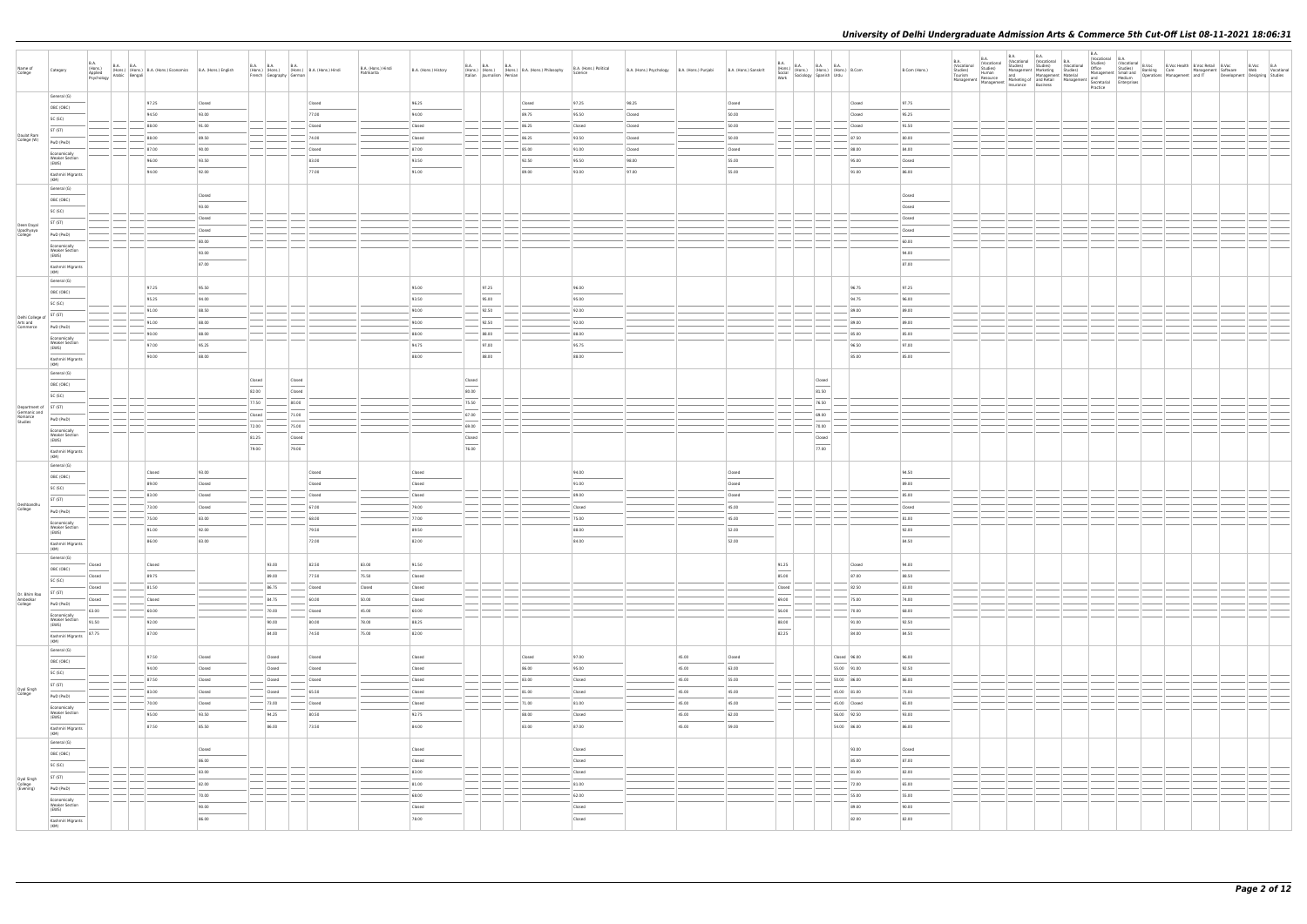| Name of<br>College                                          | Category                                       | <b>B.A.</b>                                                                                                                                                                                                                                                                                                                                                                                                                                                                          |       | B.A. (Hons.) B.A. B.A. (Hons.) B.A. (Hons.) Economics B.A. (Hons.) English Psychology Arabic Bengali |                  | <b>B.A. B.A.</b><br>French Geography German | <b>B.A.</b><br>(Hons.) (Hons.) (Hons.) B.A. (Hons.) Hindi                                                                                                                                                                                                                                                                                                                                                                                                                            | B.A. (Hons.) Hindi<br>Patrikarita | B.A. (Hons.) History |                  | <b>B.A. B.A. B.A.</b> | (Hons.) (Hons.) (Hons.) B.A. (Hons.) Philosophy<br>Italian Journalism Persian B.A. (Hons.) Philosophy | B.A. (Hons.) Political<br>Science | B.A. (Hons.) Psychology B.A. (Hons.) Punjabi |                 | B.A. (Hons.) Sanskrit | B.A.<br>Work    | B.A. (Hons.) B.A. B.A. B.A. (Hons.) B.Com<br>Social (Hons.) (Hons.) (Hons.) B.Com<br>Work Sociology Spanish Urdu                                                                                                                                                                                                                                                                                                                                                                     |                             | B.Com (Hons.)                    | B.A.<br>(Vocational | <b>B.A.</b><br><b>B.A.</b><br>R.A. B.A. (Worldrom Mirkeling Anders) B.A. (Vocational B.A. (School) B.A. (B.A. (School) (Vocational Cocational Conditional Conditional Conditional Conditional Conditional Conditional Conditional Conditional Conditional Co<br>Insurance Business | Practice |  | B.A.<br>Nocational B.A.<br>Nall Studies) (Vocational B.Voc Health B.Voc Retail B.Voc<br>Studies) Studies Ranking Care<br>And The Development Studies |  |  |
|-------------------------------------------------------------|------------------------------------------------|--------------------------------------------------------------------------------------------------------------------------------------------------------------------------------------------------------------------------------------------------------------------------------------------------------------------------------------------------------------------------------------------------------------------------------------------------------------------------------------|-------|------------------------------------------------------------------------------------------------------|------------------|---------------------------------------------|--------------------------------------------------------------------------------------------------------------------------------------------------------------------------------------------------------------------------------------------------------------------------------------------------------------------------------------------------------------------------------------------------------------------------------------------------------------------------------------|-----------------------------------|----------------------|------------------|-----------------------|-------------------------------------------------------------------------------------------------------|-----------------------------------|----------------------------------------------|-----------------|-----------------------|-----------------|--------------------------------------------------------------------------------------------------------------------------------------------------------------------------------------------------------------------------------------------------------------------------------------------------------------------------------------------------------------------------------------------------------------------------------------------------------------------------------------|-----------------------------|----------------------------------|---------------------|------------------------------------------------------------------------------------------------------------------------------------------------------------------------------------------------------------------------------------------------------------------------------------|----------|--|------------------------------------------------------------------------------------------------------------------------------------------------------|--|--|
|                                                             | General (G)                                    |                                                                                                                                                                                                                                                                                                                                                                                                                                                                                      |       | 97.25                                                                                                | Closed           |                                             | Closed                                                                                                                                                                                                                                                                                                                                                                                                                                                                               |                                   | 96.25                |                  |                       | Closed                                                                                                | 97.25                             | 98.25                                        |                 | Closed                |                 |                                                                                                                                                                                                                                                                                                                                                                                                                                                                                      |                             | 97.75<br>Closed                  |                     |                                                                                                                                                                                                                                                                                    |          |  |                                                                                                                                                      |  |  |
|                                                             | OBC (OBC)                                      |                                                                                                                                                                                                                                                                                                                                                                                                                                                                                      |       | 94.50                                                                                                | 93.00            |                                             | 77.00                                                                                                                                                                                                                                                                                                                                                                                                                                                                                |                                   | 94.00                |                  |                       | 89.75                                                                                                 | 95.50                             | Closed                                       |                 | 50.00                 |                 |                                                                                                                                                                                                                                                                                                                                                                                                                                                                                      |                             | 95.25<br>Closed                  |                     |                                                                                                                                                                                                                                                                                    |          |  |                                                                                                                                                      |  |  |
|                                                             | SC (SC)                                        |                                                                                                                                                                                                                                                                                                                                                                                                                                                                                      |       | 88.00                                                                                                | 91.00            |                                             | Closed                                                                                                                                                                                                                                                                                                                                                                                                                                                                               |                                   | Closed               |                  |                       | 86.25                                                                                                 | Closed                            | Closed                                       |                 | 50.00                 |                 |                                                                                                                                                                                                                                                                                                                                                                                                                                                                                      |                             | Closed<br>91.50                  |                     |                                                                                                                                                                                                                                                                                    |          |  |                                                                                                                                                      |  |  |
| Daulat Ram<br>College (W)                                   | ST (ST)                                        |                                                                                                                                                                                                                                                                                                                                                                                                                                                                                      |       | 88.00                                                                                                | 89.50            |                                             | 74.00                                                                                                                                                                                                                                                                                                                                                                                                                                                                                |                                   | Closed               |                  |                       | 86.25                                                                                                 | 93.50                             | Closed                                       |                 | 50.00                 |                 |                                                                                                                                                                                                                                                                                                                                                                                                                                                                                      |                             | 87.50<br>80.00                   |                     |                                                                                                                                                                                                                                                                                    |          |  |                                                                                                                                                      |  |  |
|                                                             | PwD (PwD)                                      |                                                                                                                                                                                                                                                                                                                                                                                                                                                                                      |       | 87.00                                                                                                | 90.00            |                                             | Closed                                                                                                                                                                                                                                                                                                                                                                                                                                                                               |                                   | 87.00                |                  |                       | 85.00                                                                                                 | 91.00                             | Closed                                       |                 | Closed                |                 |                                                                                                                                                                                                                                                                                                                                                                                                                                                                                      |                             | 84.00<br>88.00                   |                     |                                                                                                                                                                                                                                                                                    |          |  |                                                                                                                                                      |  |  |
|                                                             | Economically<br><b>Weaker Section</b><br>(EWS) |                                                                                                                                                                                                                                                                                                                                                                                                                                                                                      |       | 96.00                                                                                                | 93.50            |                                             | 83.00                                                                                                                                                                                                                                                                                                                                                                                                                                                                                |                                   | 93.50                |                  |                       | 92.50                                                                                                 | 95.50                             | 98.00                                        |                 | 55.00                 |                 |                                                                                                                                                                                                                                                                                                                                                                                                                                                                                      |                             | 95.00<br>Closed                  |                     |                                                                                                                                                                                                                                                                                    |          |  |                                                                                                                                                      |  |  |
|                                                             | Kashmiri Migrants                              |                                                                                                                                                                                                                                                                                                                                                                                                                                                                                      |       | 94.00                                                                                                | 92.00            |                                             | 77.00                                                                                                                                                                                                                                                                                                                                                                                                                                                                                |                                   | 91.00                |                  |                       | 89.00                                                                                                 | 93.00                             | 97.00                                        |                 | 55.00                 |                 |                                                                                                                                                                                                                                                                                                                                                                                                                                                                                      |                             | 91.00<br>86.00                   |                     |                                                                                                                                                                                                                                                                                    |          |  |                                                                                                                                                      |  |  |
|                                                             | (KM)<br>General (G)                            |                                                                                                                                                                                                                                                                                                                                                                                                                                                                                      |       |                                                                                                      |                  |                                             |                                                                                                                                                                                                                                                                                                                                                                                                                                                                                      |                                   |                      |                  |                       |                                                                                                       |                                   |                                              |                 |                       |                 |                                                                                                                                                                                                                                                                                                                                                                                                                                                                                      |                             |                                  |                     |                                                                                                                                                                                                                                                                                    |          |  |                                                                                                                                                      |  |  |
|                                                             | OBC (OBC)                                      |                                                                                                                                                                                                                                                                                                                                                                                                                                                                                      |       |                                                                                                      | Closed           |                                             |                                                                                                                                                                                                                                                                                                                                                                                                                                                                                      |                                   |                      |                  |                       |                                                                                                       |                                   |                                              |                 |                       |                 |                                                                                                                                                                                                                                                                                                                                                                                                                                                                                      |                             | Closed                           |                     |                                                                                                                                                                                                                                                                                    |          |  |                                                                                                                                                      |  |  |
|                                                             | SC (SC)                                        |                                                                                                                                                                                                                                                                                                                                                                                                                                                                                      |       |                                                                                                      | 93.00            |                                             |                                                                                                                                                                                                                                                                                                                                                                                                                                                                                      |                                   |                      |                  |                       |                                                                                                       |                                   |                                              |                 |                       |                 |                                                                                                                                                                                                                                                                                                                                                                                                                                                                                      |                             | Closed                           |                     |                                                                                                                                                                                                                                                                                    |          |  |                                                                                                                                                      |  |  |
|                                                             | ST (ST)                                        |                                                                                                                                                                                                                                                                                                                                                                                                                                                                                      |       |                                                                                                      | Closed           |                                             |                                                                                                                                                                                                                                                                                                                                                                                                                                                                                      |                                   |                      |                  |                       |                                                                                                       |                                   |                                              |                 |                       |                 |                                                                                                                                                                                                                                                                                                                                                                                                                                                                                      |                             | Closed                           |                     |                                                                                                                                                                                                                                                                                    |          |  |                                                                                                                                                      |  |  |
| Deen Dayal<br>Upadhyaya<br>College                          | PwD (PwD)                                      |                                                                                                                                                                                                                                                                                                                                                                                                                                                                                      |       |                                                                                                      | Closed           |                                             |                                                                                                                                                                                                                                                                                                                                                                                                                                                                                      |                                   |                      |                  |                       |                                                                                                       |                                   |                                              |                 |                       |                 |                                                                                                                                                                                                                                                                                                                                                                                                                                                                                      |                             | Closed                           |                     |                                                                                                                                                                                                                                                                                    |          |  |                                                                                                                                                      |  |  |
|                                                             | Economically                                   |                                                                                                                                                                                                                                                                                                                                                                                                                                                                                      |       |                                                                                                      | 80.00            |                                             |                                                                                                                                                                                                                                                                                                                                                                                                                                                                                      |                                   |                      |                  |                       |                                                                                                       |                                   |                                              |                 |                       |                 |                                                                                                                                                                                                                                                                                                                                                                                                                                                                                      |                             | 60.00                            |                     |                                                                                                                                                                                                                                                                                    |          |  |                                                                                                                                                      |  |  |
|                                                             | <b>Weaker Section</b><br>(EWS)                 |                                                                                                                                                                                                                                                                                                                                                                                                                                                                                      |       |                                                                                                      | 93.00            |                                             |                                                                                                                                                                                                                                                                                                                                                                                                                                                                                      |                                   |                      |                  |                       |                                                                                                       |                                   |                                              |                 |                       |                 |                                                                                                                                                                                                                                                                                                                                                                                                                                                                                      |                             | 94.00                            |                     |                                                                                                                                                                                                                                                                                    |          |  |                                                                                                                                                      |  |  |
|                                                             | Kashmiri Migrants<br>(KM)                      |                                                                                                                                                                                                                                                                                                                                                                                                                                                                                      |       |                                                                                                      | 87.00            |                                             |                                                                                                                                                                                                                                                                                                                                                                                                                                                                                      |                                   |                      |                  |                       |                                                                                                       |                                   |                                              |                 |                       |                 |                                                                                                                                                                                                                                                                                                                                                                                                                                                                                      |                             | 87.00                            |                     |                                                                                                                                                                                                                                                                                    |          |  |                                                                                                                                                      |  |  |
|                                                             | General (G)                                    |                                                                                                                                                                                                                                                                                                                                                                                                                                                                                      |       |                                                                                                      |                  |                                             |                                                                                                                                                                                                                                                                                                                                                                                                                                                                                      |                                   |                      |                  |                       |                                                                                                       |                                   |                                              |                 |                       |                 |                                                                                                                                                                                                                                                                                                                                                                                                                                                                                      |                             |                                  |                     |                                                                                                                                                                                                                                                                                    |          |  |                                                                                                                                                      |  |  |
|                                                             | OBC (OBC)                                      |                                                                                                                                                                                                                                                                                                                                                                                                                                                                                      |       | 97.25                                                                                                | 95.50            |                                             |                                                                                                                                                                                                                                                                                                                                                                                                                                                                                      |                                   | 95.00                |                  | 97.25                 |                                                                                                       | 96.00                             |                                              |                 |                       |                 |                                                                                                                                                                                                                                                                                                                                                                                                                                                                                      |                             | 97.25<br>96.75                   |                     |                                                                                                                                                                                                                                                                                    |          |  |                                                                                                                                                      |  |  |
|                                                             | SC (SC)                                        |                                                                                                                                                                                                                                                                                                                                                                                                                                                                                      |       | 95.25                                                                                                | 94.00            |                                             |                                                                                                                                                                                                                                                                                                                                                                                                                                                                                      |                                   | 93.50                |                  | 95.00                 |                                                                                                       | 95.00                             |                                              |                 |                       |                 |                                                                                                                                                                                                                                                                                                                                                                                                                                                                                      |                             | 96.00<br>94.75                   |                     |                                                                                                                                                                                                                                                                                    |          |  |                                                                                                                                                      |  |  |
| Delhi College of $ST (ST)$                                  |                                                |                                                                                                                                                                                                                                                                                                                                                                                                                                                                                      |       | 91.00                                                                                                | 88.50            |                                             |                                                                                                                                                                                                                                                                                                                                                                                                                                                                                      |                                   | 90.00                |                  | 92.50                 |                                                                                                       | 92.00                             |                                              |                 |                       |                 |                                                                                                                                                                                                                                                                                                                                                                                                                                                                                      |                             | 89.00<br>89.00                   |                     |                                                                                                                                                                                                                                                                                    |          |  |                                                                                                                                                      |  |  |
| Arts and<br>Commerce                                        | PwD (PwD)                                      |                                                                                                                                                                                                                                                                                                                                                                                                                                                                                      |       | 91.00<br>90.00                                                                                       | 88.00<br>88.00   |                                             |                                                                                                                                                                                                                                                                                                                                                                                                                                                                                      |                                   | 90.00<br>88.00       |                  | 92.50<br>88.00        |                                                                                                       | 92.00<br>88.00                    |                                              |                 |                       |                 |                                                                                                                                                                                                                                                                                                                                                                                                                                                                                      |                             | 89.00<br>89.00<br>85.00<br>85.00 |                     |                                                                                                                                                                                                                                                                                    |          |  |                                                                                                                                                      |  |  |
|                                                             | Economically<br><b>Weaker Section</b>          |                                                                                                                                                                                                                                                                                                                                                                                                                                                                                      |       | 97.00                                                                                                | 95.25            |                                             |                                                                                                                                                                                                                                                                                                                                                                                                                                                                                      |                                   | 94.75                |                  | 97.00                 |                                                                                                       | 95.75                             |                                              |                 |                       |                 |                                                                                                                                                                                                                                                                                                                                                                                                                                                                                      |                             | 97.00<br>96.50                   |                     |                                                                                                                                                                                                                                                                                    |          |  |                                                                                                                                                      |  |  |
|                                                             | (EWS)                                          |                                                                                                                                                                                                                                                                                                                                                                                                                                                                                      |       | 90.00                                                                                                | 88.00            |                                             |                                                                                                                                                                                                                                                                                                                                                                                                                                                                                      |                                   | 88.00                |                  | 88.00                 |                                                                                                       | 88.00                             |                                              |                 |                       |                 |                                                                                                                                                                                                                                                                                                                                                                                                                                                                                      |                             | 85.00<br>85.00                   |                     |                                                                                                                                                                                                                                                                                    |          |  |                                                                                                                                                      |  |  |
|                                                             | Kashmiri Migrants<br>(KM)                      |                                                                                                                                                                                                                                                                                                                                                                                                                                                                                      |       |                                                                                                      |                  |                                             |                                                                                                                                                                                                                                                                                                                                                                                                                                                                                      |                                   |                      |                  |                       |                                                                                                       |                                   |                                              |                 |                       |                 |                                                                                                                                                                                                                                                                                                                                                                                                                                                                                      |                             |                                  |                     |                                                                                                                                                                                                                                                                                    |          |  |                                                                                                                                                      |  |  |
|                                                             | General (G)                                    |                                                                                                                                                                                                                                                                                                                                                                                                                                                                                      |       |                                                                                                      |                  | Closed                                      | Closed                                                                                                                                                                                                                                                                                                                                                                                                                                                                               |                                   |                      | Closed           |                       |                                                                                                       |                                   |                                              |                 |                       |                 | Closed                                                                                                                                                                                                                                                                                                                                                                                                                                                                               |                             |                                  |                     |                                                                                                                                                                                                                                                                                    |          |  |                                                                                                                                                      |  |  |
|                                                             | OBC (OBC)                                      |                                                                                                                                                                                                                                                                                                                                                                                                                                                                                      |       |                                                                                                      |                  | 82.00                                       | $\frac{1}{2}$<br>Closed                                                                                                                                                                                                                                                                                                                                                                                                                                                              |                                   |                      | 80.00            |                       |                                                                                                       |                                   |                                              |                 |                       |                 | 81.50                                                                                                                                                                                                                                                                                                                                                                                                                                                                                |                             |                                  |                     |                                                                                                                                                                                                                                                                                    |          |  |                                                                                                                                                      |  |  |
|                                                             | SC (SC)                                        |                                                                                                                                                                                                                                                                                                                                                                                                                                                                                      |       |                                                                                                      |                  | 77.50                                       | 80.00                                                                                                                                                                                                                                                                                                                                                                                                                                                                                |                                   |                      | 75.50            |                       |                                                                                                       |                                   |                                              |                 |                       |                 | 76.50                                                                                                                                                                                                                                                                                                                                                                                                                                                                                |                             |                                  |                     |                                                                                                                                                                                                                                                                                    |          |  |                                                                                                                                                      |  |  |
| Department of ST (ST)<br>Germanic and<br>Romance<br>Studies | PwD (PwD)                                      |                                                                                                                                                                                                                                                                                                                                                                                                                                                                                      |       |                                                                                                      |                  | Closed                                      | 71.00                                                                                                                                                                                                                                                                                                                                                                                                                                                                                |                                   |                      | 67.00            |                       |                                                                                                       |                                   |                                              |                 |                       |                 | 69.00                                                                                                                                                                                                                                                                                                                                                                                                                                                                                |                             |                                  |                     |                                                                                                                                                                                                                                                                                    |          |  |                                                                                                                                                      |  |  |
|                                                             | Economically                                   |                                                                                                                                                                                                                                                                                                                                                                                                                                                                                      |       |                                                                                                      |                  | 72.00                                       | 75.00                                                                                                                                                                                                                                                                                                                                                                                                                                                                                |                                   |                      | 69.00            |                       |                                                                                                       |                                   |                                              |                 |                       |                 | 70.00                                                                                                                                                                                                                                                                                                                                                                                                                                                                                |                             |                                  |                     |                                                                                                                                                                                                                                                                                    |          |  |                                                                                                                                                      |  |  |
|                                                             | <b>Weaker Section</b><br>(EWS)                 |                                                                                                                                                                                                                                                                                                                                                                                                                                                                                      |       |                                                                                                      |                  | 81.25<br>$\frac{1}{2}$                      | Closed<br>$\frac{1}{2} \left( \frac{1}{2} \right) \left( \frac{1}{2} \right) \left( \frac{1}{2} \right) \left( \frac{1}{2} \right) \left( \frac{1}{2} \right) \left( \frac{1}{2} \right) \left( \frac{1}{2} \right) \left( \frac{1}{2} \right) \left( \frac{1}{2} \right) \left( \frac{1}{2} \right) \left( \frac{1}{2} \right) \left( \frac{1}{2} \right) \left( \frac{1}{2} \right) \left( \frac{1}{2} \right) \left( \frac{1}{2} \right) \left( \frac{1}{2} \right) \left( \frac$ |                                   |                      | Closed<br>$\sim$ |                       |                                                                                                       |                                   |                                              |                 |                       |                 | Closed<br>$\frac{1}{2} \left( \frac{1}{2} \right) \left( \frac{1}{2} \right) \left( \frac{1}{2} \right) \left( \frac{1}{2} \right) \left( \frac{1}{2} \right) \left( \frac{1}{2} \right) \left( \frac{1}{2} \right) \left( \frac{1}{2} \right) \left( \frac{1}{2} \right) \left( \frac{1}{2} \right) \left( \frac{1}{2} \right) \left( \frac{1}{2} \right) \left( \frac{1}{2} \right) \left( \frac{1}{2} \right) \left( \frac{1}{2} \right) \left( \frac{1}{2} \right) \left( \frac$ |                             |                                  |                     |                                                                                                                                                                                                                                                                                    |          |  |                                                                                                                                                      |  |  |
|                                                             | Kashmiri Migrants<br>(KM)                      |                                                                                                                                                                                                                                                                                                                                                                                                                                                                                      |       |                                                                                                      |                  | 79.00                                       | 79.00                                                                                                                                                                                                                                                                                                                                                                                                                                                                                |                                   |                      | 76.00            |                       |                                                                                                       |                                   |                                              |                 |                       |                 | 77.00                                                                                                                                                                                                                                                                                                                                                                                                                                                                                |                             |                                  |                     |                                                                                                                                                                                                                                                                                    |          |  |                                                                                                                                                      |  |  |
|                                                             | General (G)                                    |                                                                                                                                                                                                                                                                                                                                                                                                                                                                                      |       |                                                                                                      |                  |                                             |                                                                                                                                                                                                                                                                                                                                                                                                                                                                                      |                                   |                      |                  |                       |                                                                                                       |                                   |                                              |                 |                       |                 |                                                                                                                                                                                                                                                                                                                                                                                                                                                                                      |                             |                                  |                     |                                                                                                                                                                                                                                                                                    |          |  |                                                                                                                                                      |  |  |
|                                                             | OBC (OBC)                                      |                                                                                                                                                                                                                                                                                                                                                                                                                                                                                      |       | Closed                                                                                               | 93.00            |                                             | Closed                                                                                                                                                                                                                                                                                                                                                                                                                                                                               |                                   | Closed               |                  |                       |                                                                                                       | 94.00                             |                                              |                 | Closed                |                 |                                                                                                                                                                                                                                                                                                                                                                                                                                                                                      |                             | 94.50                            |                     |                                                                                                                                                                                                                                                                                    |          |  |                                                                                                                                                      |  |  |
|                                                             | SC (SC)                                        |                                                                                                                                                                                                                                                                                                                                                                                                                                                                                      |       | 89.00                                                                                                | Closed           |                                             | Closed                                                                                                                                                                                                                                                                                                                                                                                                                                                                               |                                   | Closed               |                  |                       |                                                                                                       | 91.00                             |                                              |                 | Closed                |                 |                                                                                                                                                                                                                                                                                                                                                                                                                                                                                      |                             | 89.00                            |                     |                                                                                                                                                                                                                                                                                    |          |  |                                                                                                                                                      |  |  |
| Deshbandhu                                                  | ST (ST)                                        |                                                                                                                                                                                                                                                                                                                                                                                                                                                                                      |       | 83.00                                                                                                | Closed           |                                             | Closed                                                                                                                                                                                                                                                                                                                                                                                                                                                                               |                                   | Closed               |                  |                       |                                                                                                       | 89.00                             |                                              |                 | Closed                |                 |                                                                                                                                                                                                                                                                                                                                                                                                                                                                                      |                             | 85.00                            |                     |                                                                                                                                                                                                                                                                                    |          |  |                                                                                                                                                      |  |  |
| College                                                     | PwD (PwD)                                      |                                                                                                                                                                                                                                                                                                                                                                                                                                                                                      |       | 73.00                                                                                                | Closed           |                                             | 67.00                                                                                                                                                                                                                                                                                                                                                                                                                                                                                |                                   | 79.00<br>77.00       |                  |                       |                                                                                                       | Closed                            |                                              |                 | 45.00                 |                 |                                                                                                                                                                                                                                                                                                                                                                                                                                                                                      |                             | Closed                           |                     |                                                                                                                                                                                                                                                                                    |          |  |                                                                                                                                                      |  |  |
|                                                             | Economically<br><b>Weaker Section</b>          |                                                                                                                                                                                                                                                                                                                                                                                                                                                                                      |       | 75.00<br>91.00                                                                                       | 83.00<br>92.00   |                                             | 68.00<br>79.50                                                                                                                                                                                                                                                                                                                                                                                                                                                                       |                                   | 89.50                |                  |                       |                                                                                                       | 75.00<br>88.00                    |                                              |                 | 45.00<br>52.00        |                 |                                                                                                                                                                                                                                                                                                                                                                                                                                                                                      |                             | 81.00<br>92.00                   |                     |                                                                                                                                                                                                                                                                                    |          |  |                                                                                                                                                      |  |  |
|                                                             | (EWS)                                          |                                                                                                                                                                                                                                                                                                                                                                                                                                                                                      |       | 86.00                                                                                                | 83.00            |                                             | 72.00                                                                                                                                                                                                                                                                                                                                                                                                                                                                                |                                   | 82.00                |                  |                       |                                                                                                       | 84.00                             |                                              |                 | 52.00                 |                 |                                                                                                                                                                                                                                                                                                                                                                                                                                                                                      |                             | 84.50                            |                     |                                                                                                                                                                                                                                                                                    |          |  |                                                                                                                                                      |  |  |
|                                                             | Kashmiri Migrants<br>(KM)                      |                                                                                                                                                                                                                                                                                                                                                                                                                                                                                      |       |                                                                                                      |                  |                                             |                                                                                                                                                                                                                                                                                                                                                                                                                                                                                      |                                   |                      |                  |                       |                                                                                                       |                                   |                                              |                 |                       |                 |                                                                                                                                                                                                                                                                                                                                                                                                                                                                                      |                             |                                  |                     |                                                                                                                                                                                                                                                                                    |          |  |                                                                                                                                                      |  |  |
|                                                             | General (G)                                    | Closed                                                                                                                                                                                                                                                                                                                                                                                                                                                                               |       | Closed                                                                                               |                  | 93.00                                       | 82.50                                                                                                                                                                                                                                                                                                                                                                                                                                                                                | 83.00                             | 91.50                |                  |                       |                                                                                                       |                                   |                                              |                 |                       | 91.25           |                                                                                                                                                                                                                                                                                                                                                                                                                                                                                      |                             | Closed<br>94.00                  |                     |                                                                                                                                                                                                                                                                                    |          |  |                                                                                                                                                      |  |  |
|                                                             | OBC (OBC)                                      | Closed                                                                                                                                                                                                                                                                                                                                                                                                                                                                               |       | 89.75                                                                                                |                  | 89.00                                       | 77.50                                                                                                                                                                                                                                                                                                                                                                                                                                                                                | 75.50                             | Closed               |                  |                       |                                                                                                       |                                   |                                              |                 |                       | 85.00           |                                                                                                                                                                                                                                                                                                                                                                                                                                                                                      |                             | 87.00<br>88.50                   |                     |                                                                                                                                                                                                                                                                                    |          |  |                                                                                                                                                      |  |  |
|                                                             | SC (SC)                                        | Closed                                                                                                                                                                                                                                                                                                                                                                                                                                                                               |       | 81.50                                                                                                |                  | 86.75                                       | Closed                                                                                                                                                                                                                                                                                                                                                                                                                                                                               | Closed                            | Closed               |                  |                       |                                                                                                       |                                   |                                              |                 |                       | Closed          |                                                                                                                                                                                                                                                                                                                                                                                                                                                                                      |                             | $- 82.50$<br>83.00               |                     |                                                                                                                                                                                                                                                                                    |          |  |                                                                                                                                                      |  |  |
| Dr. Bhim Rao<br>Ambedkar<br>College                         | ST (ST)<br>PwD (PwD)                           | Closed<br>$\frac{1}{2} \left( \frac{1}{2} \right) \left( \frac{1}{2} \right) \left( \frac{1}{2} \right) \left( \frac{1}{2} \right) \left( \frac{1}{2} \right) \left( \frac{1}{2} \right) \left( \frac{1}{2} \right) \left( \frac{1}{2} \right) \left( \frac{1}{2} \right) \left( \frac{1}{2} \right) \left( \frac{1}{2} \right) \left( \frac{1}{2} \right) \left( \frac{1}{2} \right) \left( \frac{1}{2} \right) \left( \frac{1}{2} \right) \left( \frac{1}{2} \right) \left( \frac$ |       | Closed                                                                                               |                  | 84.75                                       | 60.00                                                                                                                                                                                                                                                                                                                                                                                                                                                                                | 50.00                             | Closed               |                  |                       |                                                                                                       |                                   |                                              |                 |                       | 69.00           |                                                                                                                                                                                                                                                                                                                                                                                                                                                                                      |                             | 75.00<br>74.00                   |                     |                                                                                                                                                                                                                                                                                    |          |  |                                                                                                                                                      |  |  |
|                                                             | Economically                                   | 63.00                                                                                                                                                                                                                                                                                                                                                                                                                                                                                |       | 60.00                                                                                                |                  | 70.00                                       | Closed                                                                                                                                                                                                                                                                                                                                                                                                                                                                               | 45.00                             | 60.00                |                  |                       |                                                                                                       |                                   |                                              |                 |                       | 56.00           |                                                                                                                                                                                                                                                                                                                                                                                                                                                                                      |                             | 68.00<br>70.00                   |                     |                                                                                                                                                                                                                                                                                    |          |  |                                                                                                                                                      |  |  |
|                                                             | <b>Weaker Section</b><br>(EWS)                 | 91.50                                                                                                                                                                                                                                                                                                                                                                                                                                                                                |       | 92.00                                                                                                |                  | 90.00                                       | 80.00                                                                                                                                                                                                                                                                                                                                                                                                                                                                                | 78.00                             | 88.25                |                  |                       |                                                                                                       |                                   |                                              |                 |                       | 88.00<br>$\sim$ |                                                                                                                                                                                                                                                                                                                                                                                                                                                                                      |                             | 91.00<br>92.50                   |                     |                                                                                                                                                                                                                                                                                    |          |  |                                                                                                                                                      |  |  |
|                                                             | Kashmiri Migrants<br>(KM)                      | 87.75                                                                                                                                                                                                                                                                                                                                                                                                                                                                                |       | 87.00                                                                                                |                  | 84.00                                       | 74.50                                                                                                                                                                                                                                                                                                                                                                                                                                                                                | 75.00                             | 82.00                |                  |                       |                                                                                                       |                                   |                                              |                 |                       | 82.25           |                                                                                                                                                                                                                                                                                                                                                                                                                                                                                      |                             | 84.00<br>84.50                   |                     |                                                                                                                                                                                                                                                                                    |          |  |                                                                                                                                                      |  |  |
|                                                             | General (G)                                    |                                                                                                                                                                                                                                                                                                                                                                                                                                                                                      |       |                                                                                                      |                  |                                             |                                                                                                                                                                                                                                                                                                                                                                                                                                                                                      |                                   |                      |                  |                       |                                                                                                       |                                   |                                              |                 |                       |                 |                                                                                                                                                                                                                                                                                                                                                                                                                                                                                      |                             |                                  |                     |                                                                                                                                                                                                                                                                                    |          |  |                                                                                                                                                      |  |  |
|                                                             | OBC (OBC)                                      |                                                                                                                                                                                                                                                                                                                                                                                                                                                                                      |       | 97.50                                                                                                | Closed           | Closed                                      | Closed                                                                                                                                                                                                                                                                                                                                                                                                                                                                               |                                   | Closed               |                  |                       | Closed                                                                                                | 97.00                             |                                              | 45.00           | Closed                |                 |                                                                                                                                                                                                                                                                                                                                                                                                                                                                                      | Closed 96.00                | 96.00                            |                     |                                                                                                                                                                                                                                                                                    |          |  |                                                                                                                                                      |  |  |
|                                                             | SC (SC)                                        |                                                                                                                                                                                                                                                                                                                                                                                                                                                                                      |       | 94.00                                                                                                | Closed           | Closed                                      | Closed                                                                                                                                                                                                                                                                                                                                                                                                                                                                               |                                   | Closed               |                  |                       | 86.00                                                                                                 | 95.00                             |                                              | 45.00           | 63.00                 |                 |                                                                                                                                                                                                                                                                                                                                                                                                                                                                                      | 55.00 91.00                 | 92.50                            |                     |                                                                                                                                                                                                                                                                                    |          |  |                                                                                                                                                      |  |  |
| Dyal Singh                                                  | ST (ST)<br>$\frac{1}{2}$                       |                                                                                                                                                                                                                                                                                                                                                                                                                                                                                      |       | 87.50                                                                                                | Closed           | Closed                                      | Closed                                                                                                                                                                                                                                                                                                                                                                                                                                                                               |                                   | Closed<br>Closed     |                  |                       | 83.00                                                                                                 | Closed<br>Closed                  |                                              | 45.00           | 55.00                 |                 |                                                                                                                                                                                                                                                                                                                                                                                                                                                                                      | 50.00 86.00                 | 86.00                            |                     |                                                                                                                                                                                                                                                                                    |          |  |                                                                                                                                                      |  |  |
| College                                                     | PwD (PwD)                                      |                                                                                                                                                                                                                                                                                                                                                                                                                                                                                      |       | 83.00<br>70.00                                                                                       | Closed<br>Closed | Closed<br>$- 73.00$                         | 65.50<br>Closed                                                                                                                                                                                                                                                                                                                                                                                                                                                                      |                                   | Closed               |                  |                       | 81.00<br>71.00                                                                                        | 81.00                             |                                              | 45.00<br> 45.00 | 45.00<br>45.00        |                 |                                                                                                                                                                                                                                                                                                                                                                                                                                                                                      | 45.00 81.00<br>45.00 Closed | 75.00<br>65.00                   |                     |                                                                                                                                                                                                                                                                                    |          |  |                                                                                                                                                      |  |  |
|                                                             | Economically<br><b>Weaker Section</b>          |                                                                                                                                                                                                                                                                                                                                                                                                                                                                                      |       | 95.00                                                                                                | 93.50            | 94.25                                       | 80.50                                                                                                                                                                                                                                                                                                                                                                                                                                                                                |                                   | 92.75                |                  |                       | 88.00                                                                                                 | Closed                            |                                              | 45.00           | 62.00                 |                 |                                                                                                                                                                                                                                                                                                                                                                                                                                                                                      | 56.00 92.50                 | 93.00                            |                     |                                                                                                                                                                                                                                                                                    |          |  |                                                                                                                                                      |  |  |
|                                                             | (EWS)                                          |                                                                                                                                                                                                                                                                                                                                                                                                                                                                                      |       | 87.50                                                                                                | 85.50            | $\overline{\phantom{a}}$<br>86.00           | 73.50                                                                                                                                                                                                                                                                                                                                                                                                                                                                                |                                   | 84.00                |                  |                       | 83.00                                                                                                 | 87.00                             |                                              | 45.00           | 59.00                 |                 |                                                                                                                                                                                                                                                                                                                                                                                                                                                                                      | 54.00 86.00                 | 86.00                            |                     |                                                                                                                                                                                                                                                                                    |          |  |                                                                                                                                                      |  |  |
|                                                             | Kashmiri Migrants<br>(KM)                      |                                                                                                                                                                                                                                                                                                                                                                                                                                                                                      |       |                                                                                                      |                  |                                             |                                                                                                                                                                                                                                                                                                                                                                                                                                                                                      |                                   |                      |                  |                       |                                                                                                       |                                   |                                              |                 |                       |                 |                                                                                                                                                                                                                                                                                                                                                                                                                                                                                      |                             |                                  |                     |                                                                                                                                                                                                                                                                                    |          |  |                                                                                                                                                      |  |  |
|                                                             | General (G)                                    |                                                                                                                                                                                                                                                                                                                                                                                                                                                                                      |       |                                                                                                      | Closed           |                                             |                                                                                                                                                                                                                                                                                                                                                                                                                                                                                      |                                   | Closed               |                  |                       |                                                                                                       | Closed                            |                                              |                 |                       |                 |                                                                                                                                                                                                                                                                                                                                                                                                                                                                                      |                             | 93.00<br>Closed                  |                     |                                                                                                                                                                                                                                                                                    |          |  |                                                                                                                                                      |  |  |
|                                                             | OBC (OBC)                                      |                                                                                                                                                                                                                                                                                                                                                                                                                                                                                      |       |                                                                                                      | 86.00            |                                             |                                                                                                                                                                                                                                                                                                                                                                                                                                                                                      |                                   | Closed               |                  |                       |                                                                                                       | Closed                            |                                              |                 |                       |                 |                                                                                                                                                                                                                                                                                                                                                                                                                                                                                      |                             | 85.00<br>87.00                   |                     |                                                                                                                                                                                                                                                                                    |          |  |                                                                                                                                                      |  |  |
|                                                             | SC (SC)<br>ST (ST)                             |                                                                                                                                                                                                                                                                                                                                                                                                                                                                                      | — I — |                                                                                                      | 83.00            |                                             |                                                                                                                                                                                                                                                                                                                                                                                                                                                                                      |                                   | 83.00                |                  |                       |                                                                                                       | Closed                            |                                              |                 |                       |                 |                                                                                                                                                                                                                                                                                                                                                                                                                                                                                      |                             | $- 81.00$<br>82.00               |                     |                                                                                                                                                                                                                                                                                    |          |  |                                                                                                                                                      |  |  |
| Dyal Singh<br>College<br>(Evening)                          | PwD (PwD)                                      |                                                                                                                                                                                                                                                                                                                                                                                                                                                                                      |       |                                                                                                      | 82.00            |                                             |                                                                                                                                                                                                                                                                                                                                                                                                                                                                                      |                                   | 81.00                |                  |                       |                                                                                                       | 81.00                             |                                              |                 |                       |                 |                                                                                                                                                                                                                                                                                                                                                                                                                                                                                      |                             | 72.00<br>65.00                   |                     |                                                                                                                                                                                                                                                                                    |          |  |                                                                                                                                                      |  |  |
|                                                             | Economically                                   |                                                                                                                                                                                                                                                                                                                                                                                                                                                                                      |       |                                                                                                      | $-70.00$         |                                             |                                                                                                                                                                                                                                                                                                                                                                                                                                                                                      |                                   | 68.00                |                  |                       |                                                                                                       | 62.00                             |                                              |                 |                       |                 |                                                                                                                                                                                                                                                                                                                                                                                                                                                                                      |                             | 55.00<br>55.00                   |                     |                                                                                                                                                                                                                                                                                    |          |  |                                                                                                                                                      |  |  |
|                                                             | <b>Weaker Section</b><br>(EWS)                 |                                                                                                                                                                                                                                                                                                                                                                                                                                                                                      |       |                                                                                                      | 90.00            |                                             |                                                                                                                                                                                                                                                                                                                                                                                                                                                                                      |                                   | Closed               |                  |                       |                                                                                                       | Closed                            |                                              |                 |                       |                 |                                                                                                                                                                                                                                                                                                                                                                                                                                                                                      |                             | 90.00<br>89.00                   |                     |                                                                                                                                                                                                                                                                                    |          |  |                                                                                                                                                      |  |  |
|                                                             | Kashmiri Migrants<br>(KM)                      |                                                                                                                                                                                                                                                                                                                                                                                                                                                                                      |       |                                                                                                      | 86.00            |                                             |                                                                                                                                                                                                                                                                                                                                                                                                                                                                                      |                                   | 78.00                |                  |                       |                                                                                                       | Closed                            |                                              |                 |                       |                 |                                                                                                                                                                                                                                                                                                                                                                                                                                                                                      |                             | 82.00<br>82.00                   |                     |                                                                                                                                                                                                                                                                                    |          |  |                                                                                                                                                      |  |  |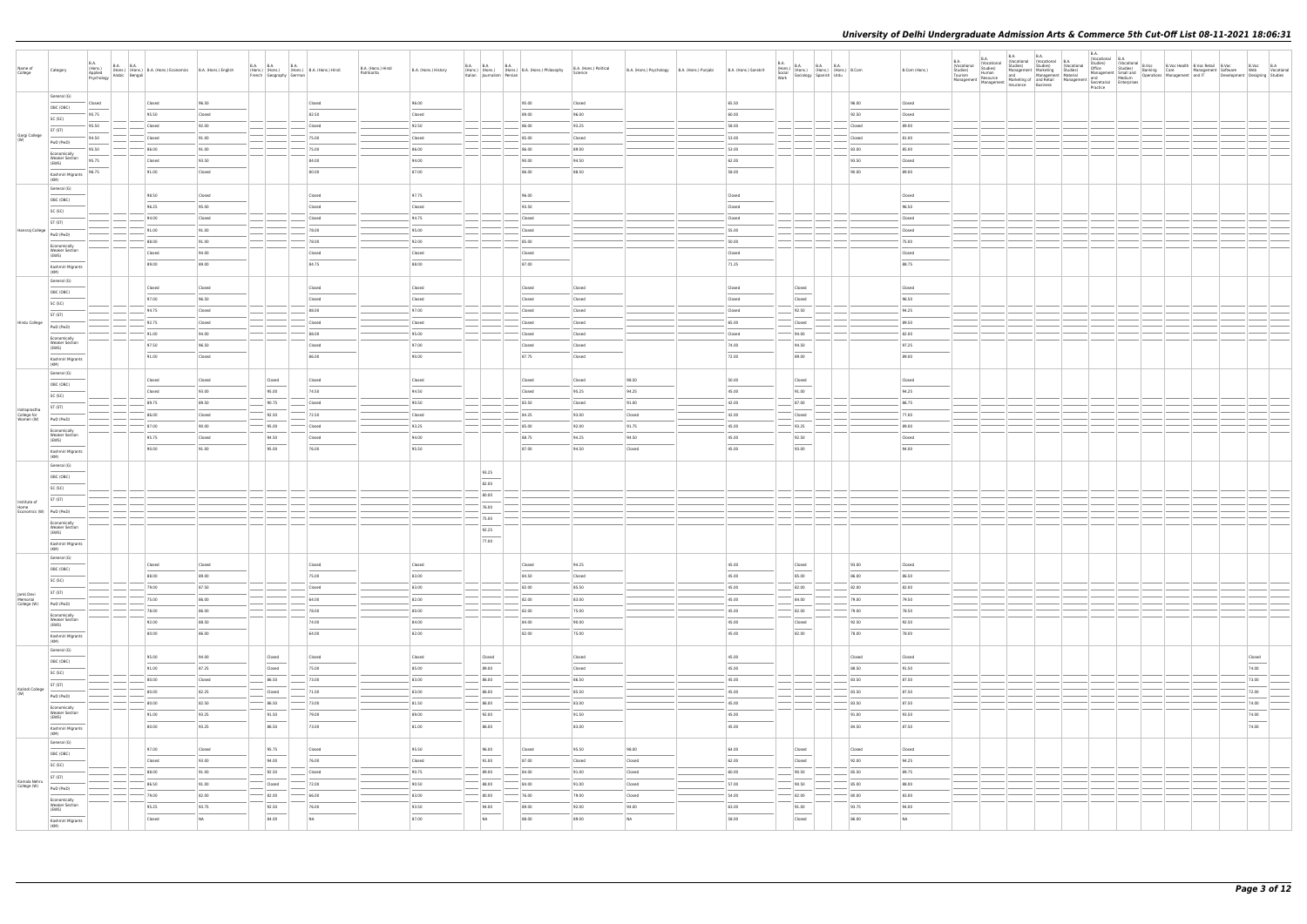| Name of<br>College                       | Category                                       | B.A.<br>(Hons.)<br>Applied | <b>B.A. B.A.</b><br>(Hons.) (Hons.) (Hons.) B.A. (Hons.) Economics B.A. (Hons.) English<br>Applied (Hons.) (Hons.) B.A. (Hons.) Economics B.A. (Hons.) English |                 | <b>B.A. B.A.</b> | <b>B.A.</b><br>French Geography German                                                                                                                                                                                                                                                                                                                                                                                                                                              | (Hons.) (Hons.) (Hons.) B.A. (Hons.) Hindi | B.A. (Hons.) Hindi<br>Patrikarita | B.A. (Hons.) History | <b>B.A. B.A.</b><br>Italian   Journalism   Persian | <b>B.A.</b><br>(Hons.) (Hons.) (Hons.) B.A. (Hons.) Philosophy | B.A. (Hons.) Political<br>Science | B.A. (Hons.) Psychology   B.A. (Hons.) Punjabi | B.A. (Hons.) Sanskrit | $\begin{array}{ll} \text{B.A.} \\ \text{(Hons.)} \\ \text{Social} \\ \text{Work} \end{array} \begin{array}{ll} \text{B.A.} \\ \text{(Hons.)} \\ \text{Storology} \end{array} \begin{array}{ll} \text{B.A.} \\ \text{(Hons.)} \\ \text{(Hons.)} \end{array} \begin{array}{ll} \text{B.A.} \\ \text{(Hons.)} \\ \text{Urdu} \end{array} \begin{array}{ll} \text{B.Com} \\ \text{B.Com} \end{array}$                                                                                    |                | B.Com (Hons.)    | B.A.<br>(Vocational | B.A.<br>(Vocational<br>Studies)<br>Human | <b>B.A.</b><br>(Vocational (Vocational B.A.<br>Studies) Studies) (Vocat | B.A. | B.A.<br>(Vocational<br>Vivea Studies)<br>Studies) Human Management Marketing Studies)<br>Tourism Human Management Material Management Material<br>Management Macketing of and Retail Management and Medium<br>Management Management Instruction<br>Studies)<br>Ma<br>Practice |  | Development Designing Studies | B.Voc B.A                         | Web Vocational |
|------------------------------------------|------------------------------------------------|----------------------------|----------------------------------------------------------------------------------------------------------------------------------------------------------------|-----------------|------------------|-------------------------------------------------------------------------------------------------------------------------------------------------------------------------------------------------------------------------------------------------------------------------------------------------------------------------------------------------------------------------------------------------------------------------------------------------------------------------------------|--------------------------------------------|-----------------------------------|----------------------|----------------------------------------------------|----------------------------------------------------------------|-----------------------------------|------------------------------------------------|-----------------------|--------------------------------------------------------------------------------------------------------------------------------------------------------------------------------------------------------------------------------------------------------------------------------------------------------------------------------------------------------------------------------------------------------------------------------------------------------------------------------------|----------------|------------------|---------------------|------------------------------------------|-------------------------------------------------------------------------|------|-------------------------------------------------------------------------------------------------------------------------------------------------------------------------------------------------------------------------------------------------------------------------------|--|-------------------------------|-----------------------------------|----------------|
|                                          | General (G)<br>OBC (OBC)                       | Closed                     | Closed                                                                                                                                                         | 96.50           |                  |                                                                                                                                                                                                                                                                                                                                                                                                                                                                                     | Closed                                     |                                   | 96.00                |                                                    | 95.00                                                          | Closed                            |                                                | 65.50                 |                                                                                                                                                                                                                                                                                                                                                                                                                                                                                      | 96.00          | Closed           |                     |                                          |                                                                         |      |                                                                                                                                                                                                                                                                               |  |                               |                                   |                |
|                                          | SC (SC)                                        | 95.75                      | 95.50                                                                                                                                                          | Closed          |                  |                                                                                                                                                                                                                                                                                                                                                                                                                                                                                     | 82.50                                      |                                   | Closed               |                                                    | 89.00                                                          | 96.00                             |                                                | 60.00                 |                                                                                                                                                                                                                                                                                                                                                                                                                                                                                      | 92.50          | Closed           |                     |                                          |                                                                         |      |                                                                                                                                                                                                                                                                               |  |                               |                                   |                |
|                                          | ST (ST)                                        | 95.50                      | Closed                                                                                                                                                         | 92.00           |                  |                                                                                                                                                                                                                                                                                                                                                                                                                                                                                     | Closed                                     |                                   | $-92.50$             |                                                    | 86.00                                                          | 93.25                             |                                                | 58.00                 |                                                                                                                                                                                                                                                                                                                                                                                                                                                                                      | Closed         | 89.00            |                     |                                          |                                                                         |      |                                                                                                                                                                                                                                                                               |  |                               |                                   |                |
| Gargi College<br>(W)                     | PwD (PwD)                                      | 94.50                      | Closed                                                                                                                                                         | 91.00           |                  |                                                                                                                                                                                                                                                                                                                                                                                                                                                                                     | 75.00                                      |                                   | Closed               |                                                    | 85.00                                                          | Closed                            |                                                | 53.00                 |                                                                                                                                                                                                                                                                                                                                                                                                                                                                                      | Closed         | 81.00            |                     |                                          |                                                                         |      |                                                                                                                                                                                                                                                                               |  |                               |                                   |                |
|                                          | Economically                                   | 95.50                      | 86.00                                                                                                                                                          | 91.00           |                  |                                                                                                                                                                                                                                                                                                                                                                                                                                                                                     | 75.00                                      |                                   | 86.00                |                                                    | 86.00                                                          | 89.00                             |                                                | 53.00                 |                                                                                                                                                                                                                                                                                                                                                                                                                                                                                      | 83.00          | 85.00            |                     |                                          |                                                                         |      |                                                                                                                                                                                                                                                                               |  |                               |                                   |                |
|                                          | <b>Weaker Section</b><br>(EWS)                 | 95.75<br>96.75             | Closed<br>91.00                                                                                                                                                | 93.50<br>Closed |                  |                                                                                                                                                                                                                                                                                                                                                                                                                                                                                     | 84.00<br>80.00                             |                                   | 94.00<br>87.00       |                                                    | 90.00<br>86.00                                                 | 94.50<br>88.50                    |                                                | 62.00<br>58.00        |                                                                                                                                                                                                                                                                                                                                                                                                                                                                                      | 93.50<br>90.00 | Closed<br>89.00  |                     |                                          |                                                                         |      |                                                                                                                                                                                                                                                                               |  |                               |                                   |                |
|                                          | Kashmiri Migrants<br>(KM)<br>General (G)       |                            |                                                                                                                                                                |                 |                  |                                                                                                                                                                                                                                                                                                                                                                                                                                                                                     |                                            |                                   |                      |                                                    |                                                                |                                   |                                                |                       |                                                                                                                                                                                                                                                                                                                                                                                                                                                                                      |                |                  |                     |                                          |                                                                         |      |                                                                                                                                                                                                                                                                               |  |                               |                                   |                |
|                                          | OBC (OBC)                                      |                            | 98.50                                                                                                                                                          | Closed          |                  |                                                                                                                                                                                                                                                                                                                                                                                                                                                                                     | Closed                                     |                                   | 97.75                |                                                    | 96.00                                                          |                                   |                                                | Closed                |                                                                                                                                                                                                                                                                                                                                                                                                                                                                                      |                | Closed           |                     |                                          |                                                                         |      |                                                                                                                                                                                                                                                                               |  |                               |                                   |                |
|                                          | SC (SC)                                        |                            | 96.25                                                                                                                                                          | 95.00           |                  |                                                                                                                                                                                                                                                                                                                                                                                                                                                                                     | Closed                                     |                                   | Closed               |                                                    | 93.50                                                          |                                   |                                                | Closed                |                                                                                                                                                                                                                                                                                                                                                                                                                                                                                      |                | 96.50            |                     |                                          |                                                                         |      |                                                                                                                                                                                                                                                                               |  |                               |                                   |                |
| Hansraj College                          | ST (ST)                                        |                            | 94.00<br>91.00                                                                                                                                                 | Closed<br>91.00 |                  |                                                                                                                                                                                                                                                                                                                                                                                                                                                                                     | Closed<br>78.00                            |                                   | 94.75<br>95.00       |                                                    | Closed<br>Closed                                               |                                   |                                                | Closed<br>55.00       |                                                                                                                                                                                                                                                                                                                                                                                                                                                                                      |                | Closed<br>Closed |                     |                                          |                                                                         |      |                                                                                                                                                                                                                                                                               |  |                               |                                   |                |
|                                          | PwD (PwD)                                      |                            | 88.00                                                                                                                                                          | 91.00           |                  |                                                                                                                                                                                                                                                                                                                                                                                                                                                                                     | 78.00                                      |                                   | 92.00                |                                                    | 85.00                                                          |                                   |                                                | 50.00                 |                                                                                                                                                                                                                                                                                                                                                                                                                                                                                      |                | 75.00            |                     |                                          |                                                                         |      |                                                                                                                                                                                                                                                                               |  |                               |                                   |                |
|                                          | Economically<br><b>Weaker Section</b><br>(EWS) |                            | Closed                                                                                                                                                         | 94.00           |                  |                                                                                                                                                                                                                                                                                                                                                                                                                                                                                     | Closed                                     |                                   | Closed               |                                                    | Closed                                                         |                                   |                                                | Closed                |                                                                                                                                                                                                                                                                                                                                                                                                                                                                                      |                | Closed           |                     |                                          |                                                                         |      |                                                                                                                                                                                                                                                                               |  |                               |                                   |                |
|                                          | Kashmiri Migrants<br>(KM)                      |                            | 89.00                                                                                                                                                          | 89.00           |                  |                                                                                                                                                                                                                                                                                                                                                                                                                                                                                     | 84.75                                      |                                   | 88.00                |                                                    | 87.00                                                          |                                   |                                                | 71.25                 |                                                                                                                                                                                                                                                                                                                                                                                                                                                                                      |                | 88.75            |                     |                                          |                                                                         |      |                                                                                                                                                                                                                                                                               |  |                               |                                   |                |
|                                          | General (G)                                    |                            | Closed                                                                                                                                                         | Closed          |                  |                                                                                                                                                                                                                                                                                                                                                                                                                                                                                     | Closed                                     |                                   | Closed               |                                                    | Closed                                                         | Closed                            |                                                | Closed                | Closed                                                                                                                                                                                                                                                                                                                                                                                                                                                                               |                | Closed           |                     |                                          |                                                                         |      |                                                                                                                                                                                                                                                                               |  |                               |                                   |                |
|                                          | OBC (OBC)                                      |                            | 97.00                                                                                                                                                          | 96.50           |                  |                                                                                                                                                                                                                                                                                                                                                                                                                                                                                     | Closed                                     |                                   | Closed               |                                                    | Closed                                                         | Closed                            |                                                | Closed                | $\frac{1}{2} \left( \frac{1}{2} \right) \left( \frac{1}{2} \right) \left( \frac{1}{2} \right) \left( \frac{1}{2} \right) \left( \frac{1}{2} \right) \left( \frac{1}{2} \right) \left( \frac{1}{2} \right) \left( \frac{1}{2} \right) \left( \frac{1}{2} \right) \left( \frac{1}{2} \right) \left( \frac{1}{2} \right) \left( \frac{1}{2} \right) \left( \frac{1}{2} \right) \left( \frac{1}{2} \right) \left( \frac{1}{2} \right) \left( \frac{1}{2} \right) \left( \frac$<br>Closed |                | 96.50            |                     |                                          |                                                                         |      |                                                                                                                                                                                                                                                                               |  |                               |                                   |                |
|                                          | SC (SC)                                        |                            | 94.75                                                                                                                                                          | Closed          |                  |                                                                                                                                                                                                                                                                                                                                                                                                                                                                                     | 88.00                                      |                                   | 97.00                |                                                    | Closed                                                         | Closed                            |                                                | Closed                | 92.50                                                                                                                                                                                                                                                                                                                                                                                                                                                                                |                | 94.25            |                     |                                          |                                                                         |      |                                                                                                                                                                                                                                                                               |  |                               |                                   |                |
| Hindu College                            | ST (ST)                                        |                            | 92.75                                                                                                                                                          | Closed          |                  |                                                                                                                                                                                                                                                                                                                                                                                                                                                                                     | Closed                                     |                                   | Closed               |                                                    | Closed                                                         | Closed                            |                                                | 65.00                 | Closed                                                                                                                                                                                                                                                                                                                                                                                                                                                                               |                | 89.50            |                     |                                          |                                                                         |      |                                                                                                                                                                                                                                                                               |  |                               |                                   |                |
|                                          | PwD (PwD)                                      |                            | 91.00                                                                                                                                                          | 94.00           |                  |                                                                                                                                                                                                                                                                                                                                                                                                                                                                                     | 88.00                                      |                                   | 95.00                |                                                    | Closed                                                         | Closed                            |                                                | Closed                | 94.00                                                                                                                                                                                                                                                                                                                                                                                                                                                                                |                | 82.00            |                     |                                          |                                                                         |      |                                                                                                                                                                                                                                                                               |  |                               |                                   |                |
|                                          | Economically<br><b>Weaker Section</b><br>(EWS) |                            | 97.50                                                                                                                                                          | 96.50           |                  |                                                                                                                                                                                                                                                                                                                                                                                                                                                                                     | Closed                                     |                                   | 97.00                |                                                    | Closed                                                         | Closed                            |                                                | 74.00                 | 94.50                                                                                                                                                                                                                                                                                                                                                                                                                                                                                |                | 97.25            |                     |                                          |                                                                         |      |                                                                                                                                                                                                                                                                               |  |                               |                                   |                |
|                                          | Kashmiri Migrants<br>(KM)                      |                            | 91.00                                                                                                                                                          | Closed          |                  |                                                                                                                                                                                                                                                                                                                                                                                                                                                                                     | 86.00                                      |                                   | 90.00                |                                                    | 87.75                                                          | Closed                            |                                                | 72.00                 | $\sim$<br>89.00                                                                                                                                                                                                                                                                                                                                                                                                                                                                      |                | 89.00            |                     |                                          |                                                                         |      |                                                                                                                                                                                                                                                                               |  |                               |                                   |                |
|                                          | General (G)                                    |                            | Closed                                                                                                                                                         | Closed          |                  | Closed                                                                                                                                                                                                                                                                                                                                                                                                                                                                              | Closed                                     |                                   | Closed               |                                                    | Closed                                                         | Closed                            | 98.50                                          | 50.00                 | Closed                                                                                                                                                                                                                                                                                                                                                                                                                                                                               |                | Closed           |                     |                                          |                                                                         |      |                                                                                                                                                                                                                                                                               |  |                               |                                   |                |
|                                          | OBC (OBC)<br>SC (SC)                           |                            | Closed                                                                                                                                                         | 93.00           |                  | 95.00                                                                                                                                                                                                                                                                                                                                                                                                                                                                               | 74.50                                      |                                   | 94.50                |                                                    | Closed                                                         | 95.25                             | 94.25                                          | 45.00                 | $\overline{\phantom{a}}$<br>91.00                                                                                                                                                                                                                                                                                                                                                                                                                                                    |                | 94.25            |                     |                                          |                                                                         |      |                                                                                                                                                                                                                                                                               |  |                               |                                   |                |
|                                          | ST (ST)                                        |                            | 89.75                                                                                                                                                          | 89.50           |                  | 90.75                                                                                                                                                                                                                                                                                                                                                                                                                                                                               | Closed                                     |                                   | 90.50                |                                                    | 83.50                                                          | Closed                            | 91.00                                          | 42.00                 | 87.00                                                                                                                                                                                                                                                                                                                                                                                                                                                                                |                | 86.75            |                     |                                          |                                                                         |      |                                                                                                                                                                                                                                                                               |  |                               |                                   |                |
| Indraprastha<br>College for<br>Women (W) | PwD (PwD)                                      |                            | 86.00                                                                                                                                                          | Closed          |                  | 92.50                                                                                                                                                                                                                                                                                                                                                                                                                                                                               | 72.50                                      |                                   | Closed               |                                                    | 84.25                                                          | 93.00                             | Closed                                         | 42.00                 | Closed                                                                                                                                                                                                                                                                                                                                                                                                                                                                               |                | 77.00            |                     |                                          |                                                                         |      |                                                                                                                                                                                                                                                                               |  |                               |                                   |                |
|                                          | Economically                                   |                            | 87.00                                                                                                                                                          | 90.00           |                  | $-95.00$                                                                                                                                                                                                                                                                                                                                                                                                                                                                            | Closed                                     |                                   | 93.25                |                                                    | 85.00                                                          | 92.00                             | 91.75                                          | 45.00                 | 93.25                                                                                                                                                                                                                                                                                                                                                                                                                                                                                |                | 89.00            |                     |                                          |                                                                         |      |                                                                                                                                                                                                                                                                               |  |                               |                                   |                |
|                                          | <b>Weaker Section</b><br>(EWS)                 |                            | 95.75                                                                                                                                                          | Closed          |                  | 94.50                                                                                                                                                                                                                                                                                                                                                                                                                                                                               | Closed                                     |                                   | 94.00                |                                                    | 88.75                                                          | 94.25                             | 94.50                                          | 45.00                 | 92.50                                                                                                                                                                                                                                                                                                                                                                                                                                                                                |                | Closed           |                     |                                          |                                                                         |      |                                                                                                                                                                                                                                                                               |  |                               |                                   |                |
|                                          | Kashmiri Migrants<br>(KM)                      |                            | 90.00                                                                                                                                                          | 91.00           |                  | 95.00                                                                                                                                                                                                                                                                                                                                                                                                                                                                               | 76.00                                      |                                   | 95.50                |                                                    | 87.00                                                          | 94.50                             | Closed                                         | 45.00                 | 93.00                                                                                                                                                                                                                                                                                                                                                                                                                                                                                |                | 94.00            |                     |                                          |                                                                         |      |                                                                                                                                                                                                                                                                               |  |                               |                                   |                |
|                                          | General (G)                                    |                            |                                                                                                                                                                |                 |                  |                                                                                                                                                                                                                                                                                                                                                                                                                                                                                     |                                            |                                   |                      | 93.25                                              |                                                                |                                   |                                                |                       |                                                                                                                                                                                                                                                                                                                                                                                                                                                                                      |                |                  |                     |                                          |                                                                         |      |                                                                                                                                                                                                                                                                               |  |                               |                                   |                |
|                                          | OBC (OBC)                                      |                            |                                                                                                                                                                |                 |                  |                                                                                                                                                                                                                                                                                                                                                                                                                                                                                     |                                            |                                   |                      | 82.00                                              |                                                                |                                   |                                                |                       |                                                                                                                                                                                                                                                                                                                                                                                                                                                                                      |                |                  |                     |                                          |                                                                         |      |                                                                                                                                                                                                                                                                               |  |                               |                                   |                |
|                                          | SC (SC)                                        |                            |                                                                                                                                                                |                 |                  |                                                                                                                                                                                                                                                                                                                                                                                                                                                                                     |                                            |                                   |                      | 80.00                                              |                                                                |                                   |                                                |                       |                                                                                                                                                                                                                                                                                                                                                                                                                                                                                      |                |                  |                     |                                          |                                                                         |      |                                                                                                                                                                                                                                                                               |  |                               |                                   |                |
| Institute of<br>Home                     | ST (ST)                                        |                            |                                                                                                                                                                |                 |                  |                                                                                                                                                                                                                                                                                                                                                                                                                                                                                     |                                            |                                   |                      | 76.00                                              |                                                                |                                   |                                                |                       |                                                                                                                                                                                                                                                                                                                                                                                                                                                                                      |                |                  |                     |                                          |                                                                         |      |                                                                                                                                                                                                                                                                               |  |                               |                                   |                |
|                                          | Economics (W) PwD (PwD)<br>Economically        |                            |                                                                                                                                                                |                 |                  |                                                                                                                                                                                                                                                                                                                                                                                                                                                                                     |                                            |                                   |                      | 75.00                                              |                                                                |                                   |                                                |                       |                                                                                                                                                                                                                                                                                                                                                                                                                                                                                      |                |                  |                     |                                          |                                                                         |      |                                                                                                                                                                                                                                                                               |  |                               |                                   |                |
|                                          | <b>Weaker Section</b><br>(EWS)                 |                            |                                                                                                                                                                |                 |                  |                                                                                                                                                                                                                                                                                                                                                                                                                                                                                     |                                            |                                   |                      | 92.25                                              |                                                                |                                   |                                                |                       |                                                                                                                                                                                                                                                                                                                                                                                                                                                                                      |                |                  |                     |                                          |                                                                         |      |                                                                                                                                                                                                                                                                               |  |                               |                                   |                |
|                                          | Kashmiri Migrants<br>(KM)                      |                            |                                                                                                                                                                |                 |                  |                                                                                                                                                                                                                                                                                                                                                                                                                                                                                     |                                            |                                   |                      | 77.00                                              |                                                                |                                   |                                                |                       |                                                                                                                                                                                                                                                                                                                                                                                                                                                                                      |                |                  |                     |                                          |                                                                         |      |                                                                                                                                                                                                                                                                               |  |                               |                                   |                |
|                                          | General (G)                                    |                            | Closed                                                                                                                                                         | Closed          |                  |                                                                                                                                                                                                                                                                                                                                                                                                                                                                                     | Closed                                     |                                   | Closed               |                                                    | Closed                                                         | 94.25                             |                                                | 45.00                 | Closed                                                                                                                                                                                                                                                                                                                                                                                                                                                                               | 93.00          | Closed           |                     |                                          |                                                                         |      |                                                                                                                                                                                                                                                                               |  |                               |                                   |                |
|                                          | OBC (OBC)                                      |                            | 88.00                                                                                                                                                          | 89.00           |                  |                                                                                                                                                                                                                                                                                                                                                                                                                                                                                     | 75.00                                      |                                   | 83.00                |                                                    | 84.50                                                          | Closed                            |                                                | 45.00                 | $\sim$<br>85.00                                                                                                                                                                                                                                                                                                                                                                                                                                                                      | 86.00          | 86.50            |                     |                                          |                                                                         |      |                                                                                                                                                                                                                                                                               |  |                               |                                   |                |
|                                          | SC (SC)<br>ST (ST)                             |                            | 79.00                                                                                                                                                          | 87.50           |                  |                                                                                                                                                                                                                                                                                                                                                                                                                                                                                     | Closed                                     |                                   | 83.00                |                                                    | 82.00                                                          | 85.50                             |                                                | 45.00                 | 82.00                                                                                                                                                                                                                                                                                                                                                                                                                                                                                | 82.00          | 82.00            |                     |                                          |                                                                         |      |                                                                                                                                                                                                                                                                               |  |                               |                                   |                |
| Janki Devi<br>Memorial<br>College (W)    | PwD (PwD)                                      |                            | 75.00                                                                                                                                                          | 86.00           |                  |                                                                                                                                                                                                                                                                                                                                                                                                                                                                                     | 64.00                                      |                                   | 82.00                |                                                    | 82.00                                                          | 83.00                             |                                                | 45.00                 | 84.00                                                                                                                                                                                                                                                                                                                                                                                                                                                                                | 79.00          | 79.50            |                     |                                          |                                                                         |      |                                                                                                                                                                                                                                                                               |  |                               |                                   |                |
|                                          | Economically                                   |                            | 78.00                                                                                                                                                          | 86.00           |                  |                                                                                                                                                                                                                                                                                                                                                                                                                                                                                     | 78.00                                      |                                   | 80.00                |                                                    | 82.00                                                          | 75.00                             |                                                | 45.00                 | 82.00                                                                                                                                                                                                                                                                                                                                                                                                                                                                                | 79.00          | 78.50            |                     |                                          |                                                                         |      |                                                                                                                                                                                                                                                                               |  |                               |                                   |                |
|                                          | <b>Weaker Section</b><br>(EWS)                 |                            | 92.00                                                                                                                                                          | 88.50           |                  |                                                                                                                                                                                                                                                                                                                                                                                                                                                                                     | 74.00                                      |                                   | 84.00                |                                                    | 84.00                                                          | 90.00                             |                                                | 45.00                 | Closed                                                                                                                                                                                                                                                                                                                                                                                                                                                                               | 92.50          | 92.50            |                     |                                          |                                                                         |      |                                                                                                                                                                                                                                                                               |  |                               |                                   |                |
|                                          | Kashmiri Migrants<br>(KM)                      |                            | 80.00                                                                                                                                                          | 86.00           |                  |                                                                                                                                                                                                                                                                                                                                                                                                                                                                                     | 64.00                                      |                                   | 82.00                |                                                    | 82.00                                                          | 75.00                             |                                                | 45.00                 | 82.00                                                                                                                                                                                                                                                                                                                                                                                                                                                                                | 78.00          | 78.00            |                     |                                          |                                                                         |      |                                                                                                                                                                                                                                                                               |  |                               |                                   |                |
|                                          | General (G)                                    |                            | 95.00                                                                                                                                                          | 94.00           |                  | Closed                                                                                                                                                                                                                                                                                                                                                                                                                                                                              | Closed                                     |                                   | Closed               | Closed                                             |                                                                | Closed                            |                                                | 45.00                 |                                                                                                                                                                                                                                                                                                                                                                                                                                                                                      | Closed         | Closed           |                     |                                          |                                                                         |      |                                                                                                                                                                                                                                                                               |  |                               | Closed                            |                |
|                                          | OBC (OBC)                                      |                            | 91.00                                                                                                                                                          | 87.25           |                  | Closed                                                                                                                                                                                                                                                                                                                                                                                                                                                                              | 75.00                                      |                                   | 85.00                | 89.00                                              |                                                                | Closed                            |                                                | 45.00                 |                                                                                                                                                                                                                                                                                                                                                                                                                                                                                      | 88.50          | 91.50            |                     |                                          |                                                                         |      |                                                                                                                                                                                                                                                                               |  |                               | $\overline{\phantom{a}}$<br>74.00 |                |
|                                          | SC (SC)                                        |                            | 80.00                                                                                                                                                          | Closed          |                  | 86.50                                                                                                                                                                                                                                                                                                                                                                                                                                                                               | 73.00                                      |                                   | 83.00                | 86.00                                              |                                                                | 86.50                             |                                                | 45.00                 |                                                                                                                                                                                                                                                                                                                                                                                                                                                                                      | 83.50          | 87.50            |                     |                                          |                                                                         |      |                                                                                                                                                                                                                                                                               |  |                               | 73.00                             |                |
| Kalindi College                          | ST (ST)<br>PwD (PwD)                           |                            | 80.00                                                                                                                                                          | 82.25           |                  | Closed                                                                                                                                                                                                                                                                                                                                                                                                                                                                              | 71.00                                      |                                   | 83.00                | 86.00                                              |                                                                | 85.50                             |                                                | 45.00                 |                                                                                                                                                                                                                                                                                                                                                                                                                                                                                      | 83.50          | 87.50            |                     |                                          |                                                                         |      |                                                                                                                                                                                                                                                                               |  |                               | 72.00                             |                |
|                                          | Economically                                   |                            | 80.00                                                                                                                                                          | 82.50           |                  | 86.50                                                                                                                                                                                                                                                                                                                                                                                                                                                                               | 73.00                                      |                                   | 81.50                | 86.00                                              |                                                                | 83.00                             |                                                | 45.00                 |                                                                                                                                                                                                                                                                                                                                                                                                                                                                                      | 83.50          | 87.50            |                     |                                          |                                                                         |      |                                                                                                                                                                                                                                                                               |  |                               | 74.00                             |                |
|                                          | <b>Weaker Section</b><br>(EWS)                 |                            | 91.00                                                                                                                                                          | 93.25           |                  | 91.50                                                                                                                                                                                                                                                                                                                                                                                                                                                                               | 79.00                                      |                                   | 89.00                | 92.00                                              |                                                                | 91.50                             |                                                | 45.00                 |                                                                                                                                                                                                                                                                                                                                                                                                                                                                                      | 91.00          | 93.50            |                     |                                          |                                                                         |      |                                                                                                                                                                                                                                                                               |  |                               | 74.00                             |                |
|                                          | Kashmiri Migrants<br>(KM)                      |                            | 80.00                                                                                                                                                          | 93.25           |                  | 86.50                                                                                                                                                                                                                                                                                                                                                                                                                                                                               | 73.00                                      |                                   | 81.00                | 86.00                                              |                                                                | 83.00                             |                                                | 45.00                 |                                                                                                                                                                                                                                                                                                                                                                                                                                                                                      | 84.50          | 87.50            |                     |                                          |                                                                         |      |                                                                                                                                                                                                                                                                               |  |                               | 74.00                             |                |
|                                          | General (G)                                    |                            | 97.00                                                                                                                                                          | Closed          |                  | 95.75                                                                                                                                                                                                                                                                                                                                                                                                                                                                               | Closed                                     |                                   | 95.50                | 96.00                                              | Closed                                                         | 95.50                             | 98.00                                          | 64.00                 | Closed                                                                                                                                                                                                                                                                                                                                                                                                                                                                               | Closed         | Closed           |                     |                                          |                                                                         |      |                                                                                                                                                                                                                                                                               |  |                               |                                   |                |
|                                          | OBC (OBC)                                      |                            | Closed                                                                                                                                                         | 93.00           |                  | 94.00                                                                                                                                                                                                                                                                                                                                                                                                                                                                               | 76.00                                      |                                   | Closed               | 91.00                                              | 87.00                                                          | Closed                            | Closed                                         | 62.00                 | $\frac{1}{2} \left( \frac{1}{2} \right) \left( \frac{1}{2} \right) \left( \frac{1}{2} \right) \left( \frac{1}{2} \right) \left( \frac{1}{2} \right) \left( \frac{1}{2} \right) \left( \frac{1}{2} \right) \left( \frac{1}{2} \right) \left( \frac{1}{2} \right) \left( \frac{1}{2} \right) \left( \frac{1}{2} \right) \left( \frac{1}{2} \right) \left( \frac{1}{2} \right) \left( \frac{1}{2} \right) \left( \frac{1}{2} \right) \left( \frac{1}{2} \right) \left( \frac$<br>Closed | 92.00          | 94.25            |                     |                                          |                                                                         |      |                                                                                                                                                                                                                                                                               |  |                               |                                   |                |
|                                          | SC (SC)<br>ST (ST)                             |                            | 88.00                                                                                                                                                          | 91.00           |                  | 92.50                                                                                                                                                                                                                                                                                                                                                                                                                                                                               | Closed                                     |                                   | 90.75                | 89.00                                              | 84.00                                                          | 91.00                             | Closed                                         | 60.00                 | 90.50                                                                                                                                                                                                                                                                                                                                                                                                                                                                                | 85.50          | 89.75            |                     |                                          |                                                                         |      |                                                                                                                                                                                                                                                                               |  |                               |                                   |                |
| Kamala Nehru<br>College (W)              | PwD (PwD)                                      |                            | 86.50                                                                                                                                                          | 91.00           |                  | <b>Closed</b>                                                                                                                                                                                                                                                                                                                                                                                                                                                                       | 72.00                                      |                                   | 90.50                | 88.00                                              | 84.00                                                          | 91.00                             | Closed                                         | 57.00                 | 90.50                                                                                                                                                                                                                                                                                                                                                                                                                                                                                | 85.00          | 88.00            |                     |                                          |                                                                         |      |                                                                                                                                                                                                                                                                               |  |                               |                                   |                |
|                                          | Economically                                   |                            | 79.00                                                                                                                                                          | 82.00           |                  | $- 82.00$                                                                                                                                                                                                                                                                                                                                                                                                                                                                           | $-66.00$                                   |                                   | 83.00                | 80.00                                              | 76.00                                                          | 79.00                             | Closed                                         | 54.00                 | 82.00                                                                                                                                                                                                                                                                                                                                                                                                                                                                                | 80.00          | 83.00            |                     |                                          |                                                                         |      |                                                                                                                                                                                                                                                                               |  |                               |                                   |                |
|                                          | <b>Weaker Section</b><br>(EWS)                 |                            | 95.25                                                                                                                                                          | 93.75           |                  | 92.50<br>$\frac{1}{2} \left( \frac{1}{2} \right) \left( \frac{1}{2} \right) \left( \frac{1}{2} \right) \left( \frac{1}{2} \right) \left( \frac{1}{2} \right) \left( \frac{1}{2} \right) \left( \frac{1}{2} \right) \left( \frac{1}{2} \right) \left( \frac{1}{2} \right) \left( \frac{1}{2} \right) \left( \frac{1}{2} \right) \left( \frac{1}{2} \right) \left( \frac{1}{2} \right) \left( \frac{1}{2} \right) \left( \frac{1}{2} \right) \left( \frac{1}{2} \right) \left( \frac$ | 76.00                                      |                                   | 93.50                | 94.00                                              | 89.00                                                          | 92.00                             | 94.00                                          | 63.00                 | 91.00<br>$\overline{\phantom{a}}$                                                                                                                                                                                                                                                                                                                                                                                                                                                    | 93.75          | 94.00            |                     |                                          |                                                                         |      |                                                                                                                                                                                                                                                                               |  |                               |                                   |                |
|                                          | Kashmiri Migrants<br>(KM)                      |                            | Closed                                                                                                                                                         | NA              |                  | 84.00                                                                                                                                                                                                                                                                                                                                                                                                                                                                               | NA                                         |                                   | 87.00                | NA                                                 | 88.00                                                          | 89.00                             | NA                                             | 58.00                 | Closed                                                                                                                                                                                                                                                                                                                                                                                                                                                                               | 86.00          | NA               |                     |                                          |                                                                         |      |                                                                                                                                                                                                                                                                               |  |                               |                                   |                |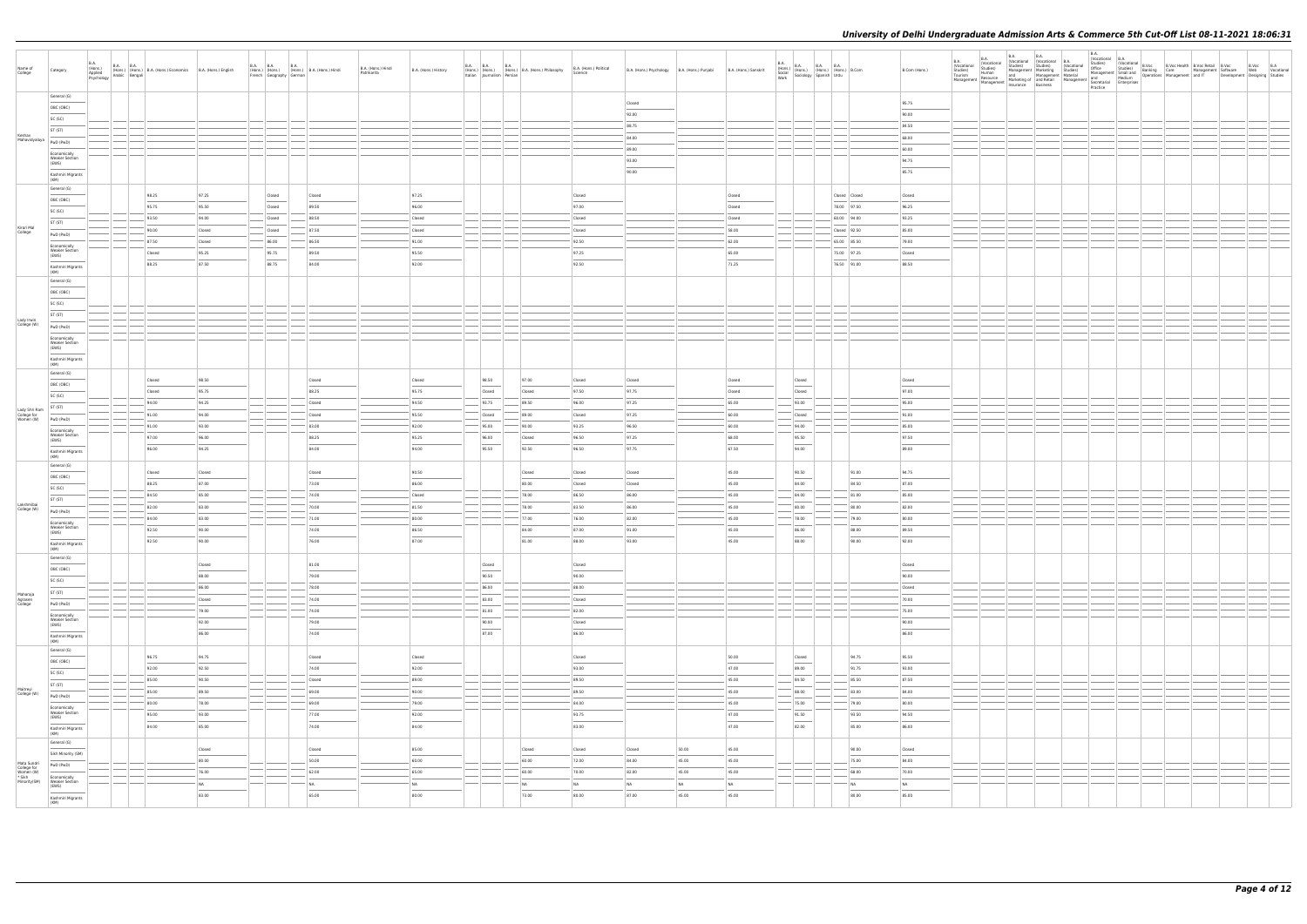| Name of<br>College                                                | Category                                       | <b>B.A.</b><br>(Hons.)<br>Applied<br>Psychology Arabic Bengali | $\begin{array}{ l l }\n\hline\n\text{B.A.} & \text{B.A.} \\ \hline\n\text{(Hons.)} & \text{(Hons.)}\n\end{array}\n\quad \text{B.A. (Hons.)}$ Economics B.A. (Hons.) English |                | French Geography German | B.A. B.A. B.A. B.A. (Hons.) B.A. (Hons.) Hindi | B.A. (Hons.) Hindi<br>Patrikarita | B.A. (Hons.) History | Italian Journalism Persian | B.A. B.A. B.A. B.A. (Hons.) B.A. (Hons.) Philosophy | B.A. (Hons.) Political<br>Science |                | B.A. (Hons.) Psychology B.A. (Hons.) Punjabi | B.A. (Hons.) Sanskrit             |                                                                                                                                                                                                                                                                                                                                                                                                                                                                                     | B.A. (Hons.) B.A. B.A. B.A. B.A. (Hons.) (Hons.) (Hons.) (Hons.) (Hons.) B.Com Work Sociology Spanish Urdu |               | B.Com (Hons.)  | B.A.<br>Vocational<br>Studies)<br>Tourism<br>Management Management Marketing or and network | <b>B.A.</b><br>(Vocational<br>Studies)<br>Human<br>Resource | <b>B.A.</b> | B.A. | Continued Montana B.A.<br>Studies) Studies (Vocational Management Marketing Studies)<br>and Management Material<br>and Management Material<br>Marketing of and Retail Management and Medium<br>Insurance Rusiness | B.A.<br>Practice |  | B.A.<br>Chocational B.A.<br>Chiffican Chucational B.Voc Health B.Voc Retail B.Voc B.Voc B.Voc B.A.<br>Chiffican Carel Development Software Web Vocational<br>Management Small and Development and IT Development Designing Studies<br>And Med |  |  |
|-------------------------------------------------------------------|------------------------------------------------|----------------------------------------------------------------|-----------------------------------------------------------------------------------------------------------------------------------------------------------------------------|----------------|-------------------------|------------------------------------------------|-----------------------------------|----------------------|----------------------------|-----------------------------------------------------|-----------------------------------|----------------|----------------------------------------------|-----------------------------------|-------------------------------------------------------------------------------------------------------------------------------------------------------------------------------------------------------------------------------------------------------------------------------------------------------------------------------------------------------------------------------------------------------------------------------------------------------------------------------------|------------------------------------------------------------------------------------------------------------|---------------|----------------|---------------------------------------------------------------------------------------------|-------------------------------------------------------------|-------------|------|-------------------------------------------------------------------------------------------------------------------------------------------------------------------------------------------------------------------|------------------|--|-----------------------------------------------------------------------------------------------------------------------------------------------------------------------------------------------------------------------------------------------|--|--|
|                                                                   | General (G)                                    |                                                                |                                                                                                                                                                             |                |                         |                                                |                                   |                      |                            |                                                     |                                   | Closed         |                                              |                                   |                                                                                                                                                                                                                                                                                                                                                                                                                                                                                     |                                                                                                            |               | 95.75          |                                                                                             |                                                             |             |      |                                                                                                                                                                                                                   |                  |  |                                                                                                                                                                                                                                               |  |  |
|                                                                   | OBC (OBC)                                      |                                                                |                                                                                                                                                                             |                |                         |                                                |                                   |                      |                            |                                                     |                                   | 92.00          |                                              |                                   |                                                                                                                                                                                                                                                                                                                                                                                                                                                                                     |                                                                                                            |               | 90.00          |                                                                                             |                                                             |             |      |                                                                                                                                                                                                                   |                  |  |                                                                                                                                                                                                                                               |  |  |
|                                                                   | SC (SC)                                        |                                                                |                                                                                                                                                                             |                |                         |                                                |                                   |                      |                            |                                                     |                                   | 88.75          |                                              |                                   |                                                                                                                                                                                                                                                                                                                                                                                                                                                                                     |                                                                                                            |               | 84.50          |                                                                                             |                                                             |             |      |                                                                                                                                                                                                                   |                  |  |                                                                                                                                                                                                                                               |  |  |
| Keshav                                                            | ST (ST)                                        |                                                                |                                                                                                                                                                             |                |                         |                                                |                                   |                      |                            |                                                     |                                   | 84.00          |                                              |                                   |                                                                                                                                                                                                                                                                                                                                                                                                                                                                                     |                                                                                                            |               | 68.00          |                                                                                             |                                                             |             |      |                                                                                                                                                                                                                   |                  |  |                                                                                                                                                                                                                                               |  |  |
| Mahavidyalaya   PwD (PwD)                                         |                                                |                                                                |                                                                                                                                                                             |                |                         |                                                |                                   |                      |                            |                                                     |                                   | 89.00          |                                              |                                   |                                                                                                                                                                                                                                                                                                                                                                                                                                                                                     |                                                                                                            |               | 60.00          |                                                                                             |                                                             |             |      |                                                                                                                                                                                                                   |                  |  |                                                                                                                                                                                                                                               |  |  |
|                                                                   | Economically<br><b>Weaker Section</b>          |                                                                |                                                                                                                                                                             |                |                         |                                                |                                   |                      |                            |                                                     |                                   | 93.00          |                                              |                                   |                                                                                                                                                                                                                                                                                                                                                                                                                                                                                     |                                                                                                            |               | 94.75          |                                                                                             |                                                             |             |      |                                                                                                                                                                                                                   |                  |  |                                                                                                                                                                                                                                               |  |  |
|                                                                   | (EWS)                                          |                                                                |                                                                                                                                                                             |                |                         |                                                |                                   |                      |                            |                                                     |                                   | 90.00          |                                              |                                   |                                                                                                                                                                                                                                                                                                                                                                                                                                                                                     |                                                                                                            |               | 85.75          |                                                                                             |                                                             |             |      |                                                                                                                                                                                                                   |                  |  |                                                                                                                                                                                                                                               |  |  |
|                                                                   | Kashmiri Migrants<br>(KM)                      |                                                                |                                                                                                                                                                             |                |                         |                                                |                                   |                      |                            |                                                     |                                   |                |                                              |                                   |                                                                                                                                                                                                                                                                                                                                                                                                                                                                                     |                                                                                                            |               |                |                                                                                             |                                                             |             |      |                                                                                                                                                                                                                   |                  |  |                                                                                                                                                                                                                                               |  |  |
|                                                                   | General (G)                                    |                                                                | 98.25                                                                                                                                                                       | 97.25          | Closed                  | Closed                                         |                                   | 97.25                |                            |                                                     | Closed                            |                |                                              | Closed                            |                                                                                                                                                                                                                                                                                                                                                                                                                                                                                     |                                                                                                            | Closed Closed | Closed         |                                                                                             |                                                             |             |      |                                                                                                                                                                                                                   |                  |  |                                                                                                                                                                                                                                               |  |  |
|                                                                   | OBC (OBC)                                      |                                                                | 95.75                                                                                                                                                                       | 95.50          | Closed                  | 89.50                                          |                                   | 96.00                |                            |                                                     | 97.00                             |                |                                              | Closed                            |                                                                                                                                                                                                                                                                                                                                                                                                                                                                                     |                                                                                                            | 78.00 97.50   | 96.25          |                                                                                             |                                                             |             |      |                                                                                                                                                                                                                   |                  |  |                                                                                                                                                                                                                                               |  |  |
|                                                                   | SC (SC)                                        |                                                                | 93.50                                                                                                                                                                       | 94.00          | Closed                  | 88.50                                          |                                   | Closed               |                            |                                                     | Closed                            |                |                                              | Closed                            |                                                                                                                                                                                                                                                                                                                                                                                                                                                                                     |                                                                                                            | 60.00 94.00   | 93.25          |                                                                                             |                                                             |             |      |                                                                                                                                                                                                                   |                  |  |                                                                                                                                                                                                                                               |  |  |
| Kirori Mal<br>College                                             | ST (ST)                                        |                                                                | 90.00                                                                                                                                                                       | Closed         | Closed                  | 87.50                                          |                                   | Closed               |                            |                                                     | Closed                            |                |                                              | 58.00                             |                                                                                                                                                                                                                                                                                                                                                                                                                                                                                     |                                                                                                            | Closed 92.50  | 85.00          |                                                                                             |                                                             |             |      |                                                                                                                                                                                                                   |                  |  |                                                                                                                                                                                                                                               |  |  |
|                                                                   | PwD (PwD)                                      |                                                                | 87.50                                                                                                                                                                       | Closed         | 86.00                   | 86.50                                          |                                   | 91.00                |                            |                                                     | 92.50                             |                |                                              | 62.00                             |                                                                                                                                                                                                                                                                                                                                                                                                                                                                                     |                                                                                                            | 65.00 85.50   | 79.00          |                                                                                             |                                                             |             |      |                                                                                                                                                                                                                   |                  |  |                                                                                                                                                                                                                                               |  |  |
|                                                                   | Economically<br><b>Weaker Section</b><br>(EWS) |                                                                | Closed                                                                                                                                                                      | 95.25          | 95.75                   | 89.50                                          |                                   | 95.50                |                            |                                                     | 97.25                             |                |                                              | 65.00                             |                                                                                                                                                                                                                                                                                                                                                                                                                                                                                     |                                                                                                            | 75.00 97.25   | Closed         |                                                                                             |                                                             |             |      |                                                                                                                                                                                                                   |                  |  |                                                                                                                                                                                                                                               |  |  |
|                                                                   | Kashmiri Migrants                              |                                                                | 88.25                                                                                                                                                                       | 87.50          | 88.75                   | 84.00                                          |                                   | 92.00                |                            |                                                     | 92.50                             |                |                                              | 71.25                             |                                                                                                                                                                                                                                                                                                                                                                                                                                                                                     |                                                                                                            | 76.50 91.00   | 88.50          |                                                                                             |                                                             |             |      |                                                                                                                                                                                                                   |                  |  |                                                                                                                                                                                                                                               |  |  |
|                                                                   | (KM)<br>General (G)                            |                                                                |                                                                                                                                                                             |                |                         |                                                |                                   |                      |                            |                                                     |                                   |                |                                              |                                   |                                                                                                                                                                                                                                                                                                                                                                                                                                                                                     |                                                                                                            |               |                |                                                                                             |                                                             |             |      |                                                                                                                                                                                                                   |                  |  |                                                                                                                                                                                                                                               |  |  |
|                                                                   | OBC (OBC)                                      |                                                                |                                                                                                                                                                             |                |                         |                                                |                                   |                      |                            |                                                     |                                   |                |                                              |                                   |                                                                                                                                                                                                                                                                                                                                                                                                                                                                                     |                                                                                                            |               |                |                                                                                             |                                                             |             |      |                                                                                                                                                                                                                   |                  |  |                                                                                                                                                                                                                                               |  |  |
|                                                                   | SC (SC)                                        |                                                                |                                                                                                                                                                             |                |                         |                                                |                                   |                      |                            |                                                     |                                   |                |                                              |                                   |                                                                                                                                                                                                                                                                                                                                                                                                                                                                                     |                                                                                                            |               |                |                                                                                             |                                                             |             |      |                                                                                                                                                                                                                   |                  |  |                                                                                                                                                                                                                                               |  |  |
|                                                                   | ST (ST)                                        |                                                                |                                                                                                                                                                             |                |                         |                                                |                                   |                      |                            |                                                     |                                   |                |                                              |                                   |                                                                                                                                                                                                                                                                                                                                                                                                                                                                                     |                                                                                                            |               |                |                                                                                             |                                                             |             |      |                                                                                                                                                                                                                   |                  |  |                                                                                                                                                                                                                                               |  |  |
| Lady Irwin<br>College (W)                                         | PwD (PwD)                                      |                                                                |                                                                                                                                                                             |                |                         |                                                |                                   |                      |                            |                                                     |                                   |                |                                              |                                   |                                                                                                                                                                                                                                                                                                                                                                                                                                                                                     |                                                                                                            |               |                |                                                                                             |                                                             |             |      |                                                                                                                                                                                                                   |                  |  |                                                                                                                                                                                                                                               |  |  |
|                                                                   | Economically                                   |                                                                |                                                                                                                                                                             |                |                         |                                                |                                   |                      |                            |                                                     |                                   |                |                                              |                                   |                                                                                                                                                                                                                                                                                                                                                                                                                                                                                     |                                                                                                            |               |                |                                                                                             |                                                             |             |      |                                                                                                                                                                                                                   |                  |  |                                                                                                                                                                                                                                               |  |  |
|                                                                   | <b>Weaker Section</b><br>(EWS)                 |                                                                |                                                                                                                                                                             |                |                         |                                                |                                   |                      |                            |                                                     |                                   |                |                                              |                                   |                                                                                                                                                                                                                                                                                                                                                                                                                                                                                     |                                                                                                            |               |                |                                                                                             |                                                             |             |      |                                                                                                                                                                                                                   |                  |  |                                                                                                                                                                                                                                               |  |  |
|                                                                   | Kashmiri Migrants<br>(KM)                      |                                                                |                                                                                                                                                                             |                |                         |                                                |                                   |                      |                            |                                                     |                                   |                |                                              |                                   |                                                                                                                                                                                                                                                                                                                                                                                                                                                                                     |                                                                                                            |               |                |                                                                                             |                                                             |             |      |                                                                                                                                                                                                                   |                  |  |                                                                                                                                                                                                                                               |  |  |
|                                                                   | General (G)                                    |                                                                |                                                                                                                                                                             |                |                         |                                                |                                   |                      |                            |                                                     |                                   |                |                                              |                                   |                                                                                                                                                                                                                                                                                                                                                                                                                                                                                     |                                                                                                            |               |                |                                                                                             |                                                             |             |      |                                                                                                                                                                                                                   |                  |  |                                                                                                                                                                                                                                               |  |  |
|                                                                   | OBC (OBC)                                      |                                                                | Closed                                                                                                                                                                      | 98.50          |                         | Closed                                         |                                   | Closed               | 98.50                      | 97.00                                               | Closed                            | Closed         |                                              | Closed                            | Closed                                                                                                                                                                                                                                                                                                                                                                                                                                                                              |                                                                                                            |               | Closed         |                                                                                             |                                                             |             |      |                                                                                                                                                                                                                   |                  |  |                                                                                                                                                                                                                                               |  |  |
|                                                                   | SC (SC)                                        |                                                                | Closed                                                                                                                                                                      | 95.75          |                         | 88.25                                          |                                   | 95.75                | Closed                     | Closed                                              | 97.50                             | 97.75          |                                              | Closed                            | Closed                                                                                                                                                                                                                                                                                                                                                                                                                                                                              |                                                                                                            |               | 97.00          |                                                                                             |                                                             |             |      |                                                                                                                                                                                                                   |                  |  |                                                                                                                                                                                                                                               |  |  |
|                                                                   | ST (ST)                                        |                                                                | 94.00                                                                                                                                                                       | 94.25          |                         | Closed                                         |                                   | 94.50                | 93.75                      | 89.50                                               | 96.00                             | 97.25          |                                              | 65.00                             | 93.00                                                                                                                                                                                                                                                                                                                                                                                                                                                                               |                                                                                                            |               | 95.00          |                                                                                             |                                                             |             |      |                                                                                                                                                                                                                   |                  |  |                                                                                                                                                                                                                                               |  |  |
| Lady Shri Ram<br>College for<br>Women (W)                         | PwD (PwD)                                      |                                                                | 91.00<br>91.00                                                                                                                                                              | 94.00<br>93.00 |                         | Closed<br>83.00                                |                                   | 95.50<br>92.00       | Closed<br>95.00            | 89.00<br>90.00                                      | Closed<br>93.25                   | 97.25<br>96.50 |                                              | 60.00<br>60.00                    | Closed<br>94.00                                                                                                                                                                                                                                                                                                                                                                                                                                                                     |                                                                                                            |               | 91.00<br>85.00 |                                                                                             |                                                             |             |      |                                                                                                                                                                                                                   |                  |  |                                                                                                                                                                                                                                               |  |  |
|                                                                   | Economically<br><b>Weaker Section</b>          |                                                                | 97.00                                                                                                                                                                       | 96.00          |                         | 88.25                                          |                                   | 95.25                |                            |                                                     | 96.50                             | 97.25          |                                              | 68.00                             | 95.50                                                                                                                                                                                                                                                                                                                                                                                                                                                                               |                                                                                                            |               | 97.50          |                                                                                             |                                                             |             |      |                                                                                                                                                                                                                   |                  |  |                                                                                                                                                                                                                                               |  |  |
|                                                                   | (EWS)                                          |                                                                | 96.00                                                                                                                                                                       | 94.25          |                         | 84.00                                          |                                   | 94.00                | 96.00<br>95.50             | Closed<br>92.50                                     | 96.50                             | 97.75          |                                              | 67.50                             | $\overline{\phantom{a}}$<br>94.00                                                                                                                                                                                                                                                                                                                                                                                                                                                   |                                                                                                            |               | 89.00          |                                                                                             |                                                             |             |      |                                                                                                                                                                                                                   |                  |  |                                                                                                                                                                                                                                               |  |  |
|                                                                   | Kashmiri Migrants<br>(KM)                      |                                                                |                                                                                                                                                                             |                |                         |                                                |                                   |                      |                            |                                                     |                                   |                |                                              |                                   |                                                                                                                                                                                                                                                                                                                                                                                                                                                                                     |                                                                                                            |               |                |                                                                                             |                                                             |             |      |                                                                                                                                                                                                                   |                  |  |                                                                                                                                                                                                                                               |  |  |
|                                                                   | General (G)                                    |                                                                | Closed                                                                                                                                                                      | Closed         |                         | Closed                                         |                                   | 90.50                |                            | Closed                                              | Closed                            | Closed         |                                              | 45.00                             | 90.50                                                                                                                                                                                                                                                                                                                                                                                                                                                                               |                                                                                                            | 91.00         | 94.75          |                                                                                             |                                                             |             |      |                                                                                                                                                                                                                   |                  |  |                                                                                                                                                                                                                                               |  |  |
|                                                                   | OBC (OBC)                                      |                                                                | 88.25                                                                                                                                                                       | 87.00          |                         | 73.00                                          |                                   | 86.00                |                            | 80.00                                               | Closed                            | Closed         |                                              | 45.00                             | 84.00                                                                                                                                                                                                                                                                                                                                                                                                                                                                               |                                                                                                            | 84.50         | 87.00          |                                                                                             |                                                             |             |      |                                                                                                                                                                                                                   |                  |  |                                                                                                                                                                                                                                               |  |  |
|                                                                   | SC (SC)                                        |                                                                | 84.50                                                                                                                                                                       | 85.00          |                         | 74.00                                          |                                   | Closed               |                            | 78.00                                               | 86.50                             | 86.00          |                                              | 45.00                             | 84.00                                                                                                                                                                                                                                                                                                                                                                                                                                                                               |                                                                                                            | 81.00         | 85.00          |                                                                                             |                                                             |             |      |                                                                                                                                                                                                                   |                  |  |                                                                                                                                                                                                                                               |  |  |
| Lakshmibai<br>College (W)                                         | ST (ST)                                        |                                                                | 82.00                                                                                                                                                                       | 83.00          |                         | 70.00                                          |                                   | 81.50                |                            | 78.00                                               | 83.50                             | 86.00          |                                              | 45.00                             | 80.00                                                                                                                                                                                                                                                                                                                                                                                                                                                                               |                                                                                                            | 80.00         | 82.00          |                                                                                             |                                                             |             |      |                                                                                                                                                                                                                   |                  |  |                                                                                                                                                                                                                                               |  |  |
|                                                                   | PwD (PwD)<br>Economically                      |                                                                | 84.00                                                                                                                                                                       | 83.00          |                         | 71.00                                          |                                   | 80.00                |                            | 77.00                                               | 76.00                             | 82.00          |                                              | 45.00                             | 78.00                                                                                                                                                                                                                                                                                                                                                                                                                                                                               |                                                                                                            | 79.00         | 80.00          |                                                                                             |                                                             |             |      |                                                                                                                                                                                                                   |                  |  |                                                                                                                                                                                                                                               |  |  |
|                                                                   | <b>Weaker Section</b><br>(EWS)                 |                                                                | 92.50                                                                                                                                                                       | 90.00          |                         | 74.00                                          |                                   | 86.50                |                            | 84.00                                               | 87.00                             | 91.00          |                                              | 45.00                             | 86.00                                                                                                                                                                                                                                                                                                                                                                                                                                                                               |                                                                                                            | 88.00         | 89.50          |                                                                                             |                                                             |             |      |                                                                                                                                                                                                                   |                  |  |                                                                                                                                                                                                                                               |  |  |
|                                                                   | Kashmiri Migrants<br>(KM)                      |                                                                | 92.50                                                                                                                                                                       | 90.00          |                         | 76.00                                          |                                   | 87.00                |                            | 81.00                                               | 88.00                             | 93.00          |                                              | 45.00                             | 88.00                                                                                                                                                                                                                                                                                                                                                                                                                                                                               |                                                                                                            | 90.00         | 92.00          |                                                                                             |                                                             |             |      |                                                                                                                                                                                                                   |                  |  |                                                                                                                                                                                                                                               |  |  |
|                                                                   | General (G)                                    |                                                                |                                                                                                                                                                             |                |                         |                                                |                                   |                      |                            |                                                     |                                   |                |                                              |                                   |                                                                                                                                                                                                                                                                                                                                                                                                                                                                                     |                                                                                                            |               |                |                                                                                             |                                                             |             |      |                                                                                                                                                                                                                   |                  |  |                                                                                                                                                                                                                                               |  |  |
|                                                                   | OBC (OBC)                                      |                                                                |                                                                                                                                                                             | Closed         |                         | 81.00                                          |                                   |                      | Closed<br>$\sim$           |                                                     | Closed                            |                |                                              |                                   |                                                                                                                                                                                                                                                                                                                                                                                                                                                                                     |                                                                                                            |               | Closed         |                                                                                             |                                                             |             |      |                                                                                                                                                                                                                   |                  |  |                                                                                                                                                                                                                                               |  |  |
|                                                                   | SC (SC)                                        |                                                                |                                                                                                                                                                             | 88.00          |                         | 79.00                                          |                                   |                      | 90.50                      |                                                     | 90.00                             |                |                                              |                                   |                                                                                                                                                                                                                                                                                                                                                                                                                                                                                     |                                                                                                            |               | 90.00          |                                                                                             |                                                             |             |      |                                                                                                                                                                                                                   |                  |  |                                                                                                                                                                                                                                               |  |  |
| Maharaja                                                          | ST (ST)                                        |                                                                |                                                                                                                                                                             | 86.00          |                         | 78.00                                          |                                   |                      | 86.00                      |                                                     | 88.00                             |                |                                              |                                   |                                                                                                                                                                                                                                                                                                                                                                                                                                                                                     |                                                                                                            |               | Closed         |                                                                                             |                                                             |             |      |                                                                                                                                                                                                                   |                  |  |                                                                                                                                                                                                                                               |  |  |
| Agrasen<br>College                                                | PwD (PwD)                                      |                                                                |                                                                                                                                                                             | Closed         |                         | 74.00                                          |                                   |                      | 83.00                      |                                                     | Closed                            |                |                                              |                                   |                                                                                                                                                                                                                                                                                                                                                                                                                                                                                     |                                                                                                            |               | 70.00          |                                                                                             |                                                             |             |      |                                                                                                                                                                                                                   |                  |  |                                                                                                                                                                                                                                               |  |  |
|                                                                   | Economically                                   |                                                                |                                                                                                                                                                             | 79.00          |                         | 74.00                                          |                                   |                      | 81.00                      |                                                     | 82.00                             |                |                                              |                                   |                                                                                                                                                                                                                                                                                                                                                                                                                                                                                     |                                                                                                            |               | 75.00          |                                                                                             |                                                             |             |      |                                                                                                                                                                                                                   |                  |  |                                                                                                                                                                                                                                               |  |  |
|                                                                   | Weaker Section<br>(EWS)                        |                                                                |                                                                                                                                                                             | 92.00          |                         | 79.00                                          |                                   |                      | 90.00<br>$\sim$            |                                                     | Closed                            |                |                                              |                                   |                                                                                                                                                                                                                                                                                                                                                                                                                                                                                     |                                                                                                            |               | 90.00          |                                                                                             |                                                             |             |      |                                                                                                                                                                                                                   |                  |  |                                                                                                                                                                                                                                               |  |  |
|                                                                   | Kashmiri Migrants<br>(KM)                      |                                                                |                                                                                                                                                                             | 86.00          |                         | 74.00                                          |                                   |                      | 87.00                      |                                                     | 86.00                             |                |                                              |                                   |                                                                                                                                                                                                                                                                                                                                                                                                                                                                                     |                                                                                                            |               | 86.00          |                                                                                             |                                                             |             |      |                                                                                                                                                                                                                   |                  |  |                                                                                                                                                                                                                                               |  |  |
|                                                                   | General (G)                                    |                                                                | 96.75                                                                                                                                                                       | 94.75          |                         | Closed                                         |                                   | Closed               |                            |                                                     | Closed                            |                |                                              | 50.00                             | Closed                                                                                                                                                                                                                                                                                                                                                                                                                                                                              |                                                                                                            | 94.75         | 95.50          |                                                                                             |                                                             |             |      |                                                                                                                                                                                                                   |                  |  |                                                                                                                                                                                                                                               |  |  |
|                                                                   | OBC (OBC)                                      |                                                                | 92.00                                                                                                                                                                       | 92.50          |                         | 74.00                                          |                                   | 92.00                |                            |                                                     | 93.00                             |                |                                              | 47.00                             | $\overline{\phantom{a}}$<br>89.00                                                                                                                                                                                                                                                                                                                                                                                                                                                   |                                                                                                            | 91.75         | 93.00          |                                                                                             |                                                             |             |      |                                                                                                                                                                                                                   |                  |  |                                                                                                                                                                                                                                               |  |  |
|                                                                   | SC (SC)                                        |                                                                | 85.00                                                                                                                                                                       | 90.50          |                         | Closed                                         |                                   | 89.00                |                            |                                                     | 89.50                             |                |                                              | 45.00                             | 84.50                                                                                                                                                                                                                                                                                                                                                                                                                                                                               |                                                                                                            | 85.50         | 87.50          |                                                                                             |                                                             |             |      |                                                                                                                                                                                                                   |                  |  |                                                                                                                                                                                                                                               |  |  |
| Maitreyi                                                          | ST (ST)                                        |                                                                | 85.00                                                                                                                                                                       | 89.50          |                         | 69.00                                          |                                   | 90.00                |                            |                                                     | 89.50                             |                |                                              | 45.00                             | 88.00                                                                                                                                                                                                                                                                                                                                                                                                                                                                               |                                                                                                            | 83.00         | 84.00          |                                                                                             |                                                             |             |      |                                                                                                                                                                                                                   |                  |  |                                                                                                                                                                                                                                               |  |  |
| College (W)                                                       | PwD (PwD)                                      |                                                                | 80.00                                                                                                                                                                       | 78.00          |                         | 69.00                                          |                                   | 79.00                |                            |                                                     | 84.00                             |                |                                              | 45.00                             | $\frac{1}{2} \left( \frac{1}{2} \right) \left( \frac{1}{2} \right) \left( \frac{1}{2} \right) \left( \frac{1}{2} \right) \left( \frac{1}{2} \right) \left( \frac{1}{2} \right) \left( \frac{1}{2} \right) \left( \frac{1}{2} \right) \left( \frac{1}{2} \right) \left( \frac{1}{2} \right) \left( \frac{1}{2} \right) \left( \frac{1}{2} \right) \left( \frac{1}{2} \right) \left( \frac{1}{2} \right) \left( \frac{1}{2} \right) \left( \frac{1}{2} \right) \left( \frac$<br>75.00 |                                                                                                            | 79.00         | 80.00          |                                                                                             |                                                             |             |      |                                                                                                                                                                                                                   |                  |  |                                                                                                                                                                                                                                               |  |  |
|                                                                   | Economically<br><b>Weaker Section</b><br>(EWS) |                                                                | 95.00                                                                                                                                                                       | 93.00          |                         | 77.00                                          |                                   | 92.00                |                            |                                                     | 93.75                             |                |                                              | 47.00                             | 91.50                                                                                                                                                                                                                                                                                                                                                                                                                                                                               |                                                                                                            | 93.50         | 94.50          |                                                                                             |                                                             |             |      |                                                                                                                                                                                                                   |                  |  |                                                                                                                                                                                                                                               |  |  |
|                                                                   |                                                |                                                                | 84.00                                                                                                                                                                       | 85.00          |                         | 74.00                                          |                                   | 84.00                |                            |                                                     | 83.00                             |                |                                              | $\overline{\phantom{a}}$<br>47.00 | $\overline{\phantom{a}}$<br>82.00                                                                                                                                                                                                                                                                                                                                                                                                                                                   |                                                                                                            | 85.00         | 86.00          |                                                                                             |                                                             |             |      |                                                                                                                                                                                                                   |                  |  |                                                                                                                                                                                                                                               |  |  |
|                                                                   | Kashmiri Migrants<br>(KM)                      |                                                                |                                                                                                                                                                             |                |                         |                                                |                                   |                      |                            |                                                     |                                   |                |                                              |                                   |                                                                                                                                                                                                                                                                                                                                                                                                                                                                                     |                                                                                                            |               |                |                                                                                             |                                                             |             |      |                                                                                                                                                                                                                   |                  |  |                                                                                                                                                                                                                                               |  |  |
|                                                                   | General (G)                                    |                                                                |                                                                                                                                                                             | Closed         |                         | Closed                                         |                                   | 85.00                |                            | Closed                                              | Closed                            | Closed         | 50.00                                        | 45.00                             |                                                                                                                                                                                                                                                                                                                                                                                                                                                                                     |                                                                                                            | 90.00         | Closed         |                                                                                             |                                                             |             |      |                                                                                                                                                                                                                   |                  |  |                                                                                                                                                                                                                                               |  |  |
|                                                                   | Sikh Minority (SM)<br>PwD (PwD)                |                                                                |                                                                                                                                                                             | 80.00          |                         | 50.00                                          |                                   | 60.00                |                            | 60.00                                               | 72.00                             | 84.00          | 45.00                                        | 45.00                             |                                                                                                                                                                                                                                                                                                                                                                                                                                                                                     |                                                                                                            | 75.00         | 84.00          |                                                                                             |                                                             |             |      |                                                                                                                                                                                                                   |                  |  |                                                                                                                                                                                                                                               |  |  |
| Mata Sundri<br>College for<br>Women (W)<br>* Sikh<br>Minority(SM) | Economically                                   |                                                                |                                                                                                                                                                             | 76.00          |                         | 62.00                                          |                                   | 65.00                |                            | 60.00                                               | 70.00                             | 82.00          | 45.00                                        | 45.00                             |                                                                                                                                                                                                                                                                                                                                                                                                                                                                                     |                                                                                                            | 68.00         | 70.00          |                                                                                             |                                                             |             |      |                                                                                                                                                                                                                   |                  |  |                                                                                                                                                                                                                                               |  |  |
|                                                                   | Weaker Section<br>(EWS)                        |                                                                |                                                                                                                                                                             | NA             |                         | NA                                             |                                   | NA                   |                            | NA                                                  | NA                                | NA             | NA                                           | NA                                |                                                                                                                                                                                                                                                                                                                                                                                                                                                                                     |                                                                                                            | NA            | NA             |                                                                                             |                                                             |             |      |                                                                                                                                                                                                                   |                  |  |                                                                                                                                                                                                                                               |  |  |
|                                                                   | Kashmiri Migrants                              |                                                                |                                                                                                                                                                             | 83.00          |                         | 65.00                                          |                                   | 80.00                |                            | 73.00                                               | 80.00                             | 87.00          | 45.00                                        | 45.00                             |                                                                                                                                                                                                                                                                                                                                                                                                                                                                                     |                                                                                                            | 80.00         | 85.00          |                                                                                             |                                                             |             |      |                                                                                                                                                                                                                   |                  |  |                                                                                                                                                                                                                                               |  |  |
|                                                                   | (KM)                                           |                                                                |                                                                                                                                                                             |                |                         |                                                |                                   |                      |                            |                                                     |                                   |                |                                              |                                   |                                                                                                                                                                                                                                                                                                                                                                                                                                                                                     |                                                                                                            |               |                |                                                                                             |                                                             |             |      |                                                                                                                                                                                                                   |                  |  |                                                                                                                                                                                                                                               |  |  |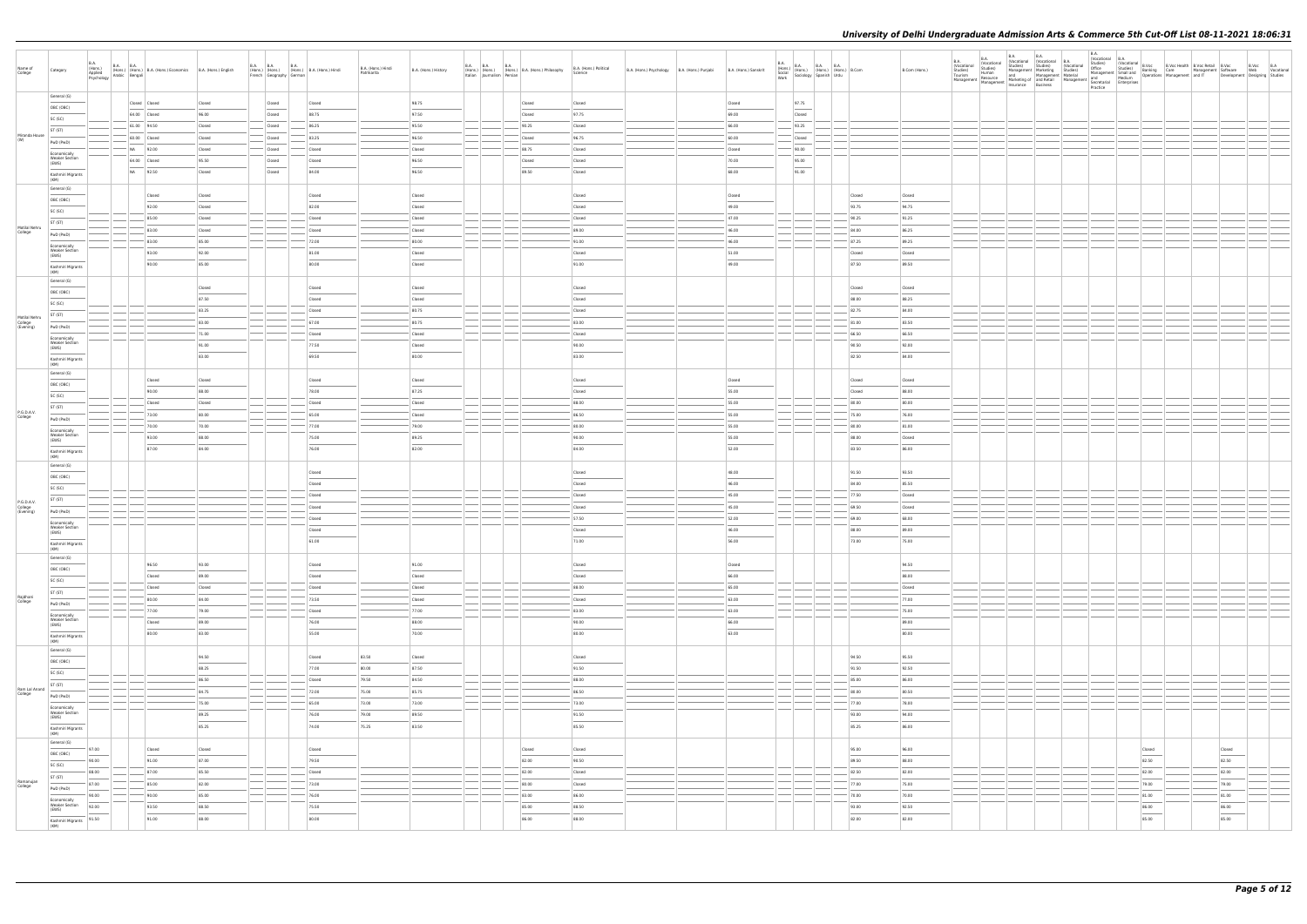|                                    |                                                |                                                                                                                                                                                                                                                                                                                                                                                                                                                                                     |                               |                 |                                                                                                           |                 |                                   |                      |                            |                                                   |                                   |                                                |                       |             |                 |                                                                                                                  |           |                                                                                                                                                                                                                                                                                                                                                                                                                                                                                     |                     |                            |                                                                                                                                                                                             | <b>B.A.</b> |                 |                                    |                                                                                                                                                                                               |              |           |  |
|------------------------------------|------------------------------------------------|-------------------------------------------------------------------------------------------------------------------------------------------------------------------------------------------------------------------------------------------------------------------------------------------------------------------------------------------------------------------------------------------------------------------------------------------------------------------------------------|-------------------------------|-----------------|-----------------------------------------------------------------------------------------------------------|-----------------|-----------------------------------|----------------------|----------------------------|---------------------------------------------------|-----------------------------------|------------------------------------------------|-----------------------|-------------|-----------------|------------------------------------------------------------------------------------------------------------------|-----------|-------------------------------------------------------------------------------------------------------------------------------------------------------------------------------------------------------------------------------------------------------------------------------------------------------------------------------------------------------------------------------------------------------------------------------------------------------------------------------------|---------------------|----------------------------|---------------------------------------------------------------------------------------------------------------------------------------------------------------------------------------------|-------------|-----------------|------------------------------------|-----------------------------------------------------------------------------------------------------------------------------------------------------------------------------------------------|--------------|-----------|--|
|                                    |                                                | <b>B.A.</b>                                                                                                                                                                                                                                                                                                                                                                                                                                                                         |                               |                 |                                                                                                           |                 |                                   |                      |                            |                                                   |                                   |                                                |                       | <b>B.A.</b> |                 |                                                                                                                  |           |                                                                                                                                                                                                                                                                                                                                                                                                                                                                                     | B.A.<br>(Vocational | <b>B.A.</b><br>(Vocational | <b>B.A.</b><br><b>B.A.</b><br>(Vocational (Vocational B.A.<br>Studies) Studies) (Vocational                                                                                                 |             | Vocational B.A. |                                    | Studies)<br>Office Studies B.Voc Bealth B.Voc Health<br>Office Studies Banking Care Management Software                                                                                       |              | B.Voc B.A |  |
| Name of<br>College                 | Category                                       | B.A. (Hons.) B.A. B.A. (Hons.) B.A. (Hons.) Economics B.A. (Hons.) English Psychology Arabic Bengali                                                                                                                                                                                                                                                                                                                                                                                |                               |                 | B.A. (Hons.) (Hons.) B.A. (Hons.) B.A. (Hons.) (Hons.) (Hons.) B.A. (Hons.) Hindi French Geography German |                 | B.A. (Hons.) Hindi<br>Patrikarita | B.A. (Hons.) History | Italian Journalism Persian | B.A. (Hons.) B.A. (Hons.) B.A. (Hons.) Philosophy | B.A. (Hons.) Political<br>Science | B.A. (Hons.) Psychology   B.A. (Hons.) Punjabi | B.A. (Hons.) Sanskrit | Work        |                 | B.A. (Hons.) B.A. B.A. B.A. (Hons.) B.Com<br>Social (Hons.) (Hons.) (Hons.) B.Com<br>Work Sociology Spanish Urdu |           | B.Com (Hons.)                                                                                                                                                                                                                                                                                                                                                                                                                                                                       | Studies)<br>Tourism | Studies)<br>Human          | Management Marketing Studies)<br>and Management Material                                                                                                                                    |             |                 |                                    | Office Studies) BJooc Box Management Software Web Vocational<br>Management Small of Derations Care Management Software Web Vocational<br>Management Development Development Designing Studies |              |           |  |
|                                    |                                                |                                                                                                                                                                                                                                                                                                                                                                                                                                                                                     |                               |                 |                                                                                                           |                 |                                   |                      |                            |                                                   |                                   |                                                |                       |             |                 |                                                                                                                  |           |                                                                                                                                                                                                                                                                                                                                                                                                                                                                                     |                     |                            | Nanagement Resource and Marketing of and Resource and Medium Management Marketing of and Medium Management and Medium (<br>Management Management Insurance Business Secretarial Enterprises | Practice    |                 |                                    |                                                                                                                                                                                               |              |           |  |
|                                    | General (G)                                    |                                                                                                                                                                                                                                                                                                                                                                                                                                                                                     |                               |                 |                                                                                                           |                 |                                   |                      |                            |                                                   |                                   |                                                |                       |             |                 |                                                                                                                  |           |                                                                                                                                                                                                                                                                                                                                                                                                                                                                                     |                     |                            |                                                                                                                                                                                             |             |                 |                                    |                                                                                                                                                                                               |              |           |  |
|                                    | OBC (OBC)                                      |                                                                                                                                                                                                                                                                                                                                                                                                                                                                                     | Closed Closed<br>64.00 Closed | Closed<br>96.00 | Closed<br>Closed                                                                                          | Closed<br>88.75 |                                   | 98.75<br>97.50       |                            | Closed<br>Closed                                  | Closed<br>97.75                   |                                                | Closed<br>69.00       |             | 97.75<br>Closed |                                                                                                                  |           |                                                                                                                                                                                                                                                                                                                                                                                                                                                                                     |                     |                            |                                                                                                                                                                                             |             |                 |                                    |                                                                                                                                                                                               |              |           |  |
|                                    | SC (SC)                                        |                                                                                                                                                                                                                                                                                                                                                                                                                                                                                     | $-61.00$ 94.50                | Closed          | Closed                                                                                                    | 86.25           |                                   | 95.50                |                            | 90.25                                             | Closed                            |                                                | 66.00                 |             | 93.25           |                                                                                                                  |           |                                                                                                                                                                                                                                                                                                                                                                                                                                                                                     |                     |                            |                                                                                                                                                                                             |             |                 |                                    |                                                                                                                                                                                               |              |           |  |
| Miranda House                      | ST (ST)                                        |                                                                                                                                                                                                                                                                                                                                                                                                                                                                                     | 60.00 Closed                  | Closed          | Closed                                                                                                    | 83.25           |                                   | 96.50                |                            | Closed                                            | 96.75                             |                                                | 60.00                 |             | Closed          |                                                                                                                  |           |                                                                                                                                                                                                                                                                                                                                                                                                                                                                                     |                     |                            |                                                                                                                                                                                             |             |                 |                                    |                                                                                                                                                                                               |              |           |  |
| (W)                                | PwD (PwD)                                      |                                                                                                                                                                                                                                                                                                                                                                                                                                                                                     | NA 92.00                      | Closed          | Closed                                                                                                    | Closed          |                                   | Closed               |                            | 88.75                                             | Closed                            |                                                | Closed                |             | 90.00           |                                                                                                                  |           |                                                                                                                                                                                                                                                                                                                                                                                                                                                                                     |                     |                            |                                                                                                                                                                                             |             |                 |                                    |                                                                                                                                                                                               |              |           |  |
|                                    | Economically<br><b>Weaker Section</b>          |                                                                                                                                                                                                                                                                                                                                                                                                                                                                                     | 64.00 Closed                  | 95.50           | Closed                                                                                                    | Closed          |                                   | 96.50                |                            | Closed                                            | Closed                            |                                                | 70.00                 |             | 95.00           |                                                                                                                  |           |                                                                                                                                                                                                                                                                                                                                                                                                                                                                                     |                     |                            |                                                                                                                                                                                             |             |                 |                                    |                                                                                                                                                                                               |              |           |  |
|                                    | (EWS)                                          |                                                                                                                                                                                                                                                                                                                                                                                                                                                                                     | NA 92.50                      | Closed          | Closed                                                                                                    | 84.00           |                                   | 96.50                |                            | 89.50                                             | Closed                            |                                                | 68.00                 |             | 91.00           |                                                                                                                  |           |                                                                                                                                                                                                                                                                                                                                                                                                                                                                                     |                     |                            |                                                                                                                                                                                             |             |                 |                                    |                                                                                                                                                                                               |              |           |  |
|                                    | Kashmiri Migrants<br>(KM)                      |                                                                                                                                                                                                                                                                                                                                                                                                                                                                                     |                               |                 |                                                                                                           |                 |                                   |                      |                            |                                                   |                                   |                                                |                       |             |                 |                                                                                                                  |           |                                                                                                                                                                                                                                                                                                                                                                                                                                                                                     |                     |                            |                                                                                                                                                                                             |             |                 |                                    |                                                                                                                                                                                               |              |           |  |
|                                    | General (G)                                    |                                                                                                                                                                                                                                                                                                                                                                                                                                                                                     | Closed                        | Closed          |                                                                                                           | Closed          |                                   | Closed               |                            |                                                   | Closed                            |                                                | Closed                |             |                 |                                                                                                                  | Closed    | Closed                                                                                                                                                                                                                                                                                                                                                                                                                                                                              |                     |                            |                                                                                                                                                                                             |             |                 |                                    |                                                                                                                                                                                               |              |           |  |
|                                    | OBC (OBC)                                      |                                                                                                                                                                                                                                                                                                                                                                                                                                                                                     | 92.00                         | Closed          |                                                                                                           | 82.00           |                                   | Closed               |                            |                                                   | Closed                            |                                                | 49.00                 |             |                 |                                                                                                                  | 93.75     | 94.75                                                                                                                                                                                                                                                                                                                                                                                                                                                                               |                     |                            |                                                                                                                                                                                             |             |                 |                                    |                                                                                                                                                                                               |              |           |  |
|                                    | SC (SC)                                        |                                                                                                                                                                                                                                                                                                                                                                                                                                                                                     | 85.00                         | Closed          |                                                                                                           | Closed          |                                   | Closed               |                            |                                                   | Closed                            |                                                | 47.00                 |             |                 |                                                                                                                  | 90.25     | 91.25                                                                                                                                                                                                                                                                                                                                                                                                                                                                               |                     |                            |                                                                                                                                                                                             |             |                 |                                    |                                                                                                                                                                                               |              |           |  |
| Motilal Nehru                      | ST (ST)                                        |                                                                                                                                                                                                                                                                                                                                                                                                                                                                                     | 83.00                         | Closed          |                                                                                                           | Closed          |                                   | Closed               |                            |                                                   | 89.00                             |                                                | 46.00                 |             |                 |                                                                                                                  | 84.00     | 86.25                                                                                                                                                                                                                                                                                                                                                                                                                                                                               |                     |                            |                                                                                                                                                                                             |             |                 |                                    |                                                                                                                                                                                               |              |           |  |
| College                            | PwD (PwD)                                      |                                                                                                                                                                                                                                                                                                                                                                                                                                                                                     |                               |                 |                                                                                                           |                 |                                   |                      |                            |                                                   |                                   |                                                |                       |             |                 |                                                                                                                  |           |                                                                                                                                                                                                                                                                                                                                                                                                                                                                                     |                     |                            |                                                                                                                                                                                             |             |                 |                                    |                                                                                                                                                                                               |              |           |  |
|                                    | Economically<br><b>Weaker Section</b>          |                                                                                                                                                                                                                                                                                                                                                                                                                                                                                     | 83.00                         | 85.00           |                                                                                                           | 72.00           |                                   | 80.00                |                            |                                                   | 91.00                             |                                                | 46.00                 |             |                 |                                                                                                                  | 87.25     | 89.25                                                                                                                                                                                                                                                                                                                                                                                                                                                                               |                     |                            |                                                                                                                                                                                             |             |                 |                                    |                                                                                                                                                                                               |              |           |  |
|                                    | (EWS)                                          |                                                                                                                                                                                                                                                                                                                                                                                                                                                                                     | 93.00                         | 92.00           |                                                                                                           | 81.00           |                                   | Closed               |                            |                                                   | Closed                            |                                                | 51.00                 |             |                 |                                                                                                                  | Closed    | Closed                                                                                                                                                                                                                                                                                                                                                                                                                                                                              |                     |                            |                                                                                                                                                                                             |             |                 |                                    |                                                                                                                                                                                               |              |           |  |
|                                    | Kashmiri Migrants<br>(KM)                      |                                                                                                                                                                                                                                                                                                                                                                                                                                                                                     | 90.00                         | 85.00           |                                                                                                           | 80.00           |                                   | Closed               |                            |                                                   | 91.00                             |                                                | 49.00                 |             |                 |                                                                                                                  | 87.50     | 89.50                                                                                                                                                                                                                                                                                                                                                                                                                                                                               |                     |                            |                                                                                                                                                                                             |             |                 |                                    |                                                                                                                                                                                               |              |           |  |
|                                    | General (G)                                    |                                                                                                                                                                                                                                                                                                                                                                                                                                                                                     |                               |                 |                                                                                                           |                 |                                   |                      |                            |                                                   |                                   |                                                |                       |             |                 |                                                                                                                  |           |                                                                                                                                                                                                                                                                                                                                                                                                                                                                                     |                     |                            |                                                                                                                                                                                             |             |                 |                                    |                                                                                                                                                                                               |              |           |  |
|                                    | OBC (OBC)                                      |                                                                                                                                                                                                                                                                                                                                                                                                                                                                                     |                               | Closed          |                                                                                                           | Closed          |                                   | Closed               |                            |                                                   | Closed                            |                                                |                       |             |                 |                                                                                                                  | Closed    | Closed                                                                                                                                                                                                                                                                                                                                                                                                                                                                              |                     |                            |                                                                                                                                                                                             |             |                 |                                    |                                                                                                                                                                                               |              |           |  |
|                                    | SC (SC)                                        |                                                                                                                                                                                                                                                                                                                                                                                                                                                                                     |                               | 87.50           |                                                                                                           | Closed          |                                   | Closed               |                            |                                                   | Closed                            |                                                |                       |             |                 |                                                                                                                  | 88.00     | 88.25                                                                                                                                                                                                                                                                                                                                                                                                                                                                               |                     |                            |                                                                                                                                                                                             |             |                 |                                    |                                                                                                                                                                                               |              |           |  |
| Motilal Nehru                      | ST (ST)                                        |                                                                                                                                                                                                                                                                                                                                                                                                                                                                                     |                               | $-83.25$        |                                                                                                           | Closed          |                                   | 80.75                |                            |                                                   | Closed                            |                                                |                       |             |                 |                                                                                                                  | 82.75     | 84.00                                                                                                                                                                                                                                                                                                                                                                                                                                                                               |                     |                            |                                                                                                                                                                                             |             |                 |                                    |                                                                                                                                                                                               |              |           |  |
| College<br>(Evening)               | PwD (PwD)                                      |                                                                                                                                                                                                                                                                                                                                                                                                                                                                                     |                               | 83.00           |                                                                                                           | 67.00           |                                   | 80.75                |                            |                                                   | 83.00                             |                                                |                       |             |                 |                                                                                                                  | 81.00     | 83.50                                                                                                                                                                                                                                                                                                                                                                                                                                                                               |                     |                            |                                                                                                                                                                                             |             |                 |                                    |                                                                                                                                                                                               |              |           |  |
|                                    | Economically                                   |                                                                                                                                                                                                                                                                                                                                                                                                                                                                                     |                               | 71.00           |                                                                                                           | Closed          |                                   | Closed               |                            |                                                   | Closed                            |                                                |                       |             |                 |                                                                                                                  | 66.50     | 66.50                                                                                                                                                                                                                                                                                                                                                                                                                                                                               |                     |                            |                                                                                                                                                                                             |             |                 |                                    |                                                                                                                                                                                               |              |           |  |
|                                    | <b>Weaker Section</b><br>(EWS)                 |                                                                                                                                                                                                                                                                                                                                                                                                                                                                                     |                               | 91.00           |                                                                                                           | 77.50           |                                   | Closed               |                            |                                                   | 90.00                             |                                                |                       |             |                 |                                                                                                                  | 90.50     | 92.00                                                                                                                                                                                                                                                                                                                                                                                                                                                                               |                     |                            |                                                                                                                                                                                             |             |                 |                                    |                                                                                                                                                                                               |              |           |  |
|                                    | Kashmiri Migrants<br>(KM)                      |                                                                                                                                                                                                                                                                                                                                                                                                                                                                                     |                               | 83.00           |                                                                                                           | 69.50           |                                   | 80.00                |                            |                                                   | 83.00                             |                                                |                       |             |                 |                                                                                                                  | 82.50     | 84.00                                                                                                                                                                                                                                                                                                                                                                                                                                                                               |                     |                            |                                                                                                                                                                                             |             |                 |                                    |                                                                                                                                                                                               |              |           |  |
|                                    | General (G)                                    |                                                                                                                                                                                                                                                                                                                                                                                                                                                                                     |                               |                 |                                                                                                           |                 |                                   |                      |                            |                                                   |                                   |                                                |                       |             |                 |                                                                                                                  |           |                                                                                                                                                                                                                                                                                                                                                                                                                                                                                     |                     |                            |                                                                                                                                                                                             |             |                 |                                    |                                                                                                                                                                                               |              |           |  |
|                                    | OBC (OBC)                                      |                                                                                                                                                                                                                                                                                                                                                                                                                                                                                     | Closed                        | Closed          |                                                                                                           | Closed          |                                   | Closed               |                            |                                                   | Closed                            |                                                | Closed                |             |                 |                                                                                                                  | Closed    | Closed                                                                                                                                                                                                                                                                                                                                                                                                                                                                              |                     |                            |                                                                                                                                                                                             |             |                 |                                    |                                                                                                                                                                                               |              |           |  |
|                                    | SC (SC)                                        |                                                                                                                                                                                                                                                                                                                                                                                                                                                                                     | 90.00                         | 88.00           |                                                                                                           | 78.00           |                                   | 87.25                |                            |                                                   | Closed                            |                                                | 55.00                 |             |                 |                                                                                                                  | Closed    | 88.00                                                                                                                                                                                                                                                                                                                                                                                                                                                                               |                     |                            |                                                                                                                                                                                             |             |                 |                                    |                                                                                                                                                                                               |              |           |  |
|                                    | ST (ST)                                        |                                                                                                                                                                                                                                                                                                                                                                                                                                                                                     | Closed                        | Closed          |                                                                                                           | Closed          |                                   | Closed               |                            |                                                   | 88.00                             |                                                | 55.00                 |             |                 |                                                                                                                  | 80.00     | 80.00                                                                                                                                                                                                                                                                                                                                                                                                                                                                               |                     |                            |                                                                                                                                                                                             |             |                 |                                    |                                                                                                                                                                                               |              |           |  |
| P.G.D.A.V.<br>College              | PwD (PwD)                                      |                                                                                                                                                                                                                                                                                                                                                                                                                                                                                     | 73.00                         | 80.00           |                                                                                                           | 65.00           |                                   | Closed               |                            |                                                   | 86.50                             |                                                | 55.00                 |             |                 |                                                                                                                  | 75.00     | 76.00                                                                                                                                                                                                                                                                                                                                                                                                                                                                               |                     |                            |                                                                                                                                                                                             |             |                 |                                    |                                                                                                                                                                                               |              |           |  |
|                                    | Economically                                   |                                                                                                                                                                                                                                                                                                                                                                                                                                                                                     | 70.00                         | 70.00           |                                                                                                           | 77.00           |                                   | 79.00                |                            |                                                   | 80.00                             |                                                | 55.00                 |             |                 |                                                                                                                  | 80.00     | 81.00                                                                                                                                                                                                                                                                                                                                                                                                                                                                               |                     |                            |                                                                                                                                                                                             |             |                 |                                    |                                                                                                                                                                                               |              |           |  |
|                                    | <b>Weaker Section</b><br>(EWS)                 |                                                                                                                                                                                                                                                                                                                                                                                                                                                                                     | 93.00                         | 88.00           |                                                                                                           | 75.00           |                                   | 89.25                |                            |                                                   | 90.00                             |                                                | 55.00                 |             |                 |                                                                                                                  | 88.00     | Closed                                                                                                                                                                                                                                                                                                                                                                                                                                                                              |                     |                            |                                                                                                                                                                                             |             |                 |                                    |                                                                                                                                                                                               |              |           |  |
|                                    | Kashmiri Migrants                              |                                                                                                                                                                                                                                                                                                                                                                                                                                                                                     | 87.00                         | 84.00           |                                                                                                           | 76.00           |                                   | 82.00                |                            |                                                   | 84.00                             |                                                | 52.00                 |             |                 |                                                                                                                  | 83.50     | 86.00                                                                                                                                                                                                                                                                                                                                                                                                                                                                               |                     |                            |                                                                                                                                                                                             |             |                 |                                    |                                                                                                                                                                                               |              |           |  |
|                                    | (KM)<br>General (G)                            |                                                                                                                                                                                                                                                                                                                                                                                                                                                                                     |                               |                 |                                                                                                           |                 |                                   |                      |                            |                                                   |                                   |                                                |                       |             |                 |                                                                                                                  |           |                                                                                                                                                                                                                                                                                                                                                                                                                                                                                     |                     |                            |                                                                                                                                                                                             |             |                 |                                    |                                                                                                                                                                                               |              |           |  |
|                                    | OBC (OBC)                                      |                                                                                                                                                                                                                                                                                                                                                                                                                                                                                     |                               |                 |                                                                                                           | Closed          |                                   |                      |                            |                                                   | Closed                            |                                                | 48.00                 |             |                 |                                                                                                                  | 91.50     | 93.50                                                                                                                                                                                                                                                                                                                                                                                                                                                                               |                     |                            |                                                                                                                                                                                             |             |                 |                                    |                                                                                                                                                                                               |              |           |  |
|                                    | SC (SC)                                        |                                                                                                                                                                                                                                                                                                                                                                                                                                                                                     |                               |                 |                                                                                                           | Closed          |                                   |                      |                            |                                                   | Closed                            |                                                | 46.00                 |             |                 |                                                                                                                  | 84.00     | 85.50                                                                                                                                                                                                                                                                                                                                                                                                                                                                               |                     |                            |                                                                                                                                                                                             |             |                 |                                    |                                                                                                                                                                                               |              |           |  |
|                                    | ST (ST)                                        |                                                                                                                                                                                                                                                                                                                                                                                                                                                                                     |                               |                 |                                                                                                           | Closed          |                                   |                      |                            |                                                   | Closed                            |                                                | 45.00                 |             |                 |                                                                                                                  | 77.50     | Closed                                                                                                                                                                                                                                                                                                                                                                                                                                                                              |                     |                            |                                                                                                                                                                                             |             |                 |                                    |                                                                                                                                                                                               |              |           |  |
| P.G.D.A.V.<br>College<br>(Evening) | PwD (PwD)                                      |                                                                                                                                                                                                                                                                                                                                                                                                                                                                                     |                               |                 |                                                                                                           | Closed          |                                   |                      |                            |                                                   | Closed                            |                                                | 45.00                 |             |                 |                                                                                                                  | 69.50     | Closed                                                                                                                                                                                                                                                                                                                                                                                                                                                                              |                     |                            |                                                                                                                                                                                             |             |                 |                                    |                                                                                                                                                                                               |              |           |  |
|                                    | Economically                                   |                                                                                                                                                                                                                                                                                                                                                                                                                                                                                     |                               |                 |                                                                                                           | Closed          |                                   |                      |                            |                                                   | 57.50                             |                                                | 52.00                 |             |                 |                                                                                                                  | 69.00     | 68.00                                                                                                                                                                                                                                                                                                                                                                                                                                                                               |                     |                            |                                                                                                                                                                                             |             |                 |                                    |                                                                                                                                                                                               |              |           |  |
|                                    | <b>Weaker Section</b><br>(EWS)                 |                                                                                                                                                                                                                                                                                                                                                                                                                                                                                     |                               |                 |                                                                                                           | Closed          |                                   |                      |                            |                                                   | Closed                            |                                                | 46.00                 |             |                 |                                                                                                                  | 88.00     | 89.00                                                                                                                                                                                                                                                                                                                                                                                                                                                                               |                     |                            |                                                                                                                                                                                             |             |                 |                                    |                                                                                                                                                                                               |              |           |  |
|                                    | Kashmiri Migrants                              |                                                                                                                                                                                                                                                                                                                                                                                                                                                                                     |                               |                 |                                                                                                           | 61.00           |                                   |                      |                            |                                                   | 71.00                             |                                                | 56.00                 |             |                 |                                                                                                                  | 73.00     | 75.00                                                                                                                                                                                                                                                                                                                                                                                                                                                                               |                     |                            |                                                                                                                                                                                             |             |                 |                                    |                                                                                                                                                                                               |              |           |  |
|                                    | (KM)                                           |                                                                                                                                                                                                                                                                                                                                                                                                                                                                                     |                               |                 |                                                                                                           |                 |                                   |                      |                            |                                                   |                                   |                                                |                       |             |                 |                                                                                                                  |           |                                                                                                                                                                                                                                                                                                                                                                                                                                                                                     |                     |                            |                                                                                                                                                                                             |             |                 |                                    |                                                                                                                                                                                               |              |           |  |
|                                    | General (G)<br>OBC (OBC)                       |                                                                                                                                                                                                                                                                                                                                                                                                                                                                                     | 96.50                         | 93.00           |                                                                                                           | Closed          |                                   | 91.00                |                            |                                                   | Closed                            |                                                | Closed                |             |                 |                                                                                                                  |           | 94.50                                                                                                                                                                                                                                                                                                                                                                                                                                                                               |                     |                            |                                                                                                                                                                                             |             |                 |                                    |                                                                                                                                                                                               |              |           |  |
|                                    |                                                |                                                                                                                                                                                                                                                                                                                                                                                                                                                                                     | Closed                        | 89.00           |                                                                                                           | Closed          |                                   | Closed               |                            |                                                   | Closed                            |                                                | 66.00                 |             |                 |                                                                                                                  |           | 88.00                                                                                                                                                                                                                                                                                                                                                                                                                                                                               |                     |                            |                                                                                                                                                                                             |             |                 |                                    |                                                                                                                                                                                               |              |           |  |
|                                    | SC (SC)                                        |                                                                                                                                                                                                                                                                                                                                                                                                                                                                                     | Closed                        | Closed          |                                                                                                           | Closed          |                                   | Closed               |                            |                                                   | 88.00                             |                                                | 65.00                 |             |                 |                                                                                                                  |           | Closed                                                                                                                                                                                                                                                                                                                                                                                                                                                                              |                     |                            |                                                                                                                                                                                             |             |                 |                                    |                                                                                                                                                                                               |              |           |  |
| Rajdhani<br>College                | ST (ST)<br>PwD (PwD)                           |                                                                                                                                                                                                                                                                                                                                                                                                                                                                                     | 80.00                         | 84.00           |                                                                                                           | 73.50           |                                   | Closed               |                            |                                                   | Closed                            |                                                | 63.00                 |             | $\sim$ $\sim$   |                                                                                                                  |           | 77.00                                                                                                                                                                                                                                                                                                                                                                                                                                                                               |                     |                            |                                                                                                                                                                                             |             |                 |                                    |                                                                                                                                                                                               |              |           |  |
|                                    |                                                |                                                                                                                                                                                                                                                                                                                                                                                                                                                                                     | 77.00                         | 79.00           |                                                                                                           | - Closed        |                                   | 77.00                |                            |                                                   | 83.00                             |                                                | 63.00                 |             |                 |                                                                                                                  |           | 75.00                                                                                                                                                                                                                                                                                                                                                                                                                                                                               |                     |                            |                                                                                                                                                                                             |             |                 |                                    |                                                                                                                                                                                               |              |           |  |
|                                    | Economically<br><b>Weaker Section</b><br>(EWS) |                                                                                                                                                                                                                                                                                                                                                                                                                                                                                     | Closed                        | 89.00           |                                                                                                           | 76.00           |                                   | 88.00                |                            |                                                   | 90.00                             |                                                | 66.00                 |             |                 |                                                                                                                  |           | 89.00                                                                                                                                                                                                                                                                                                                                                                                                                                                                               |                     |                            |                                                                                                                                                                                             |             |                 |                                    |                                                                                                                                                                                               |              |           |  |
|                                    | Kashmiri Migrants                              |                                                                                                                                                                                                                                                                                                                                                                                                                                                                                     | 80.00                         | 83.00           |                                                                                                           | 55.00           |                                   | 70.00                |                            |                                                   | 80.00                             |                                                | $\sim$<br>63.00       |             |                 |                                                                                                                  |           | $\frac{1}{2} \left( \frac{1}{2} \right) \left( \frac{1}{2} \right) \left( \frac{1}{2} \right) \left( \frac{1}{2} \right) \left( \frac{1}{2} \right) \left( \frac{1}{2} \right) \left( \frac{1}{2} \right) \left( \frac{1}{2} \right) \left( \frac{1}{2} \right) \left( \frac{1}{2} \right) \left( \frac{1}{2} \right) \left( \frac{1}{2} \right) \left( \frac{1}{2} \right) \left( \frac{1}{2} \right) \left( \frac{1}{2} \right) \left( \frac{1}{2} \right) \left( \frac$<br>80.00 |                     |                            |                                                                                                                                                                                             |             |                 |                                    |                                                                                                                                                                                               |              |           |  |
|                                    | (KM)                                           |                                                                                                                                                                                                                                                                                                                                                                                                                                                                                     |                               |                 |                                                                                                           |                 |                                   |                      |                            |                                                   |                                   |                                                |                       |             |                 |                                                                                                                  |           |                                                                                                                                                                                                                                                                                                                                                                                                                                                                                     |                     |                            |                                                                                                                                                                                             |             |                 |                                    |                                                                                                                                                                                               |              |           |  |
|                                    | General (G)<br>OBC (OBC)                       |                                                                                                                                                                                                                                                                                                                                                                                                                                                                                     |                               | 94.50           |                                                                                                           | Closed          | 83.50                             | Closed               |                            |                                                   | Closed                            |                                                |                       |             |                 |                                                                                                                  | 94.50     | 95.50                                                                                                                                                                                                                                                                                                                                                                                                                                                                               |                     |                            |                                                                                                                                                                                             |             |                 |                                    |                                                                                                                                                                                               |              |           |  |
|                                    |                                                |                                                                                                                                                                                                                                                                                                                                                                                                                                                                                     |                               | 88.25           |                                                                                                           | 77.00           | 80.00                             | 87.50                |                            |                                                   | $\sim$<br>91.50                   |                                                |                       |             |                 |                                                                                                                  | 91.50     | 92.50                                                                                                                                                                                                                                                                                                                                                                                                                                                                               |                     |                            |                                                                                                                                                                                             |             |                 |                                    |                                                                                                                                                                                               |              |           |  |
|                                    | SC (SC)                                        | $\sim$                                                                                                                                                                                                                                                                                                                                                                                                                                                                              |                               | 86.50           |                                                                                                           | Closed          | 79.50                             | 84.50                |                            |                                                   | 88.00                             |                                                |                       |             |                 |                                                                                                                  | 85.00     | 86.00                                                                                                                                                                                                                                                                                                                                                                                                                                                                               |                     |                            |                                                                                                                                                                                             |             |                 |                                    |                                                                                                                                                                                               |              |           |  |
| Ram Lal Anand<br>College           | ST (ST)                                        | $ - -$                                                                                                                                                                                                                                                                                                                                                                                                                                                                              |                               | 84.75           |                                                                                                           | 72.00           | 75.00                             | 85.75                |                            |                                                   | 86.50                             |                                                |                       |             |                 |                                                                                                                  | 80.00     | 80.50                                                                                                                                                                                                                                                                                                                                                                                                                                                                               |                     |                            |                                                                                                                                                                                             |             |                 |                                    |                                                                                                                                                                                               |              |           |  |
|                                    | PwD (PwD)                                      |                                                                                                                                                                                                                                                                                                                                                                                                                                                                                     |                               | $-75.00$        |                                                                                                           | 65.00           | 73.00                             | 73.00                |                            |                                                   | 73.00                             |                                                |                       |             |                 |                                                                                                                  | $- 77.00$ | 78.00                                                                                                                                                                                                                                                                                                                                                                                                                                                                               |                     |                            |                                                                                                                                                                                             |             |                 |                                    |                                                                                                                                                                                               |              |           |  |
|                                    | Economically<br><b>Weaker Section</b>          |                                                                                                                                                                                                                                                                                                                                                                                                                                                                                     |                               | 89.25           |                                                                                                           | 76.00           | 79.00                             | 89.50                |                            |                                                   | 91.50                             |                                                |                       |             |                 |                                                                                                                  | 93.00     | 94.00                                                                                                                                                                                                                                                                                                                                                                                                                                                                               |                     |                            |                                                                                                                                                                                             |             |                 |                                    |                                                                                                                                                                                               |              |           |  |
|                                    | (EWS)                                          |                                                                                                                                                                                                                                                                                                                                                                                                                                                                                     |                               | 85.25           |                                                                                                           | 74.00           | 75.25                             | 83.50                |                            |                                                   | 85.50                             |                                                |                       |             |                 |                                                                                                                  | 85.25     | 86.00                                                                                                                                                                                                                                                                                                                                                                                                                                                                               |                     |                            |                                                                                                                                                                                             |             |                 |                                    |                                                                                                                                                                                               |              |           |  |
|                                    | Kashmiri Migrants<br>(KM)                      |                                                                                                                                                                                                                                                                                                                                                                                                                                                                                     |                               |                 |                                                                                                           |                 |                                   |                      |                            |                                                   |                                   |                                                |                       |             |                 |                                                                                                                  |           |                                                                                                                                                                                                                                                                                                                                                                                                                                                                                     |                     |                            |                                                                                                                                                                                             |             |                 |                                    |                                                                                                                                                                                               |              |           |  |
|                                    | General (G)<br>the control of the con-         |                                                                                                                                                                                                                                                                                                                                                                                                                                                                                     |                               |                 |                                                                                                           |                 |                                   |                      |                            |                                                   |                                   |                                                |                       |             |                 |                                                                                                                  | 95.00     | 96.00                                                                                                                                                                                                                                                                                                                                                                                                                                                                               |                     |                            |                                                                                                                                                                                             |             |                 |                                    |                                                                                                                                                                                               |              |           |  |
|                                    | OBC (OBC)                                      | 97.00<br>$\frac{1}{2} \left( \frac{1}{2} \right) \left( \frac{1}{2} \right) \left( \frac{1}{2} \right) \left( \frac{1}{2} \right) \left( \frac{1}{2} \right) \left( \frac{1}{2} \right) \left( \frac{1}{2} \right) \left( \frac{1}{2} \right) \left( \frac{1}{2} \right) \left( \frac{1}{2} \right) \left( \frac{1}{2} \right) \left( \frac{1}{2} \right) \left( \frac{1}{2} \right) \left( \frac{1}{2} \right) \left( \frac{1}{2} \right) \left( \frac{1}{2} \right) \left( \frac$ | Closed                        | Closed          |                                                                                                           | Closed          |                                   |                      |                            | Closed                                            | Closed                            |                                                |                       |             |                 |                                                                                                                  |           |                                                                                                                                                                                                                                                                                                                                                                                                                                                                                     |                     |                            |                                                                                                                                                                                             |             |                 | Closed<br>$\overline{\phantom{a}}$ |                                                                                                                                                                                               | Closed<br>__ |           |  |
|                                    | SC (SC)                                        | 90.00                                                                                                                                                                                                                                                                                                                                                                                                                                                                               | 91.00                         | 87.00           |                                                                                                           | 79.50           |                                   |                      |                            | 82.00                                             | 90.50                             |                                                |                       |             |                 |                                                                                                                  | 89.50     | 88.00                                                                                                                                                                                                                                                                                                                                                                                                                                                                               |                     |                            |                                                                                                                                                                                             |             |                 | 82.50                              |                                                                                                                                                                                               | 82.50        |           |  |
| Ramanujan                          | ST (ST)                                        | 88.00                                                                                                                                                                                                                                                                                                                                                                                                                                                                               | $-87.00$                      | 85.50           |                                                                                                           | Closed          |                                   |                      |                            | 82.00                                             | Closed                            |                                                |                       |             |                 |                                                                                                                  | 82.50     | 82.00                                                                                                                                                                                                                                                                                                                                                                                                                                                                               |                     |                            |                                                                                                                                                                                             |             |                 | 82.00                              |                                                                                                                                                                                               | 82.00        |           |  |
| College                            | PwD (PwD)                                      | 87.00                                                                                                                                                                                                                                                                                                                                                                                                                                                                               | 85.00                         | 82.00           |                                                                                                           | 73.00           |                                   |                      |                            | 80.00                                             | Closed                            |                                                |                       |             |                 |                                                                                                                  | 77.00     | 75.00                                                                                                                                                                                                                                                                                                                                                                                                                                                                               |                     |                            |                                                                                                                                                                                             |             |                 | 79.00                              |                                                                                                                                                                                               | 79.00        |           |  |
|                                    | Economically                                   | 90.00                                                                                                                                                                                                                                                                                                                                                                                                                                                                               | 90.00                         | 85.00           |                                                                                                           | 76.00           |                                   |                      |                            | 83.00                                             | 86.00                             |                                                |                       |             |                 |                                                                                                                  | $- 70.00$ | 70.00                                                                                                                                                                                                                                                                                                                                                                                                                                                                               |                     |                            |                                                                                                                                                                                             |             |                 | 81.00                              |                                                                                                                                                                                               | 81.00        |           |  |
|                                    | <b>Weaker Section</b><br>(EWS)                 | 92.00                                                                                                                                                                                                                                                                                                                                                                                                                                                                               | 93.50                         | 88.50           |                                                                                                           | 75.50           |                                   |                      |                            | 85.00                                             | 88.50                             |                                                |                       |             |                 |                                                                                                                  | 93.00     | 92.50                                                                                                                                                                                                                                                                                                                                                                                                                                                                               |                     |                            |                                                                                                                                                                                             |             |                 | 86.00                              |                                                                                                                                                                                               | 86.00        |           |  |
|                                    | Kashmiri Migrants<br>(KM)                      | 91.50                                                                                                                                                                                                                                                                                                                                                                                                                                                                               | 91.00                         | 88.00           |                                                                                                           | 80.00           |                                   |                      |                            | 86.00                                             | 88.00                             |                                                |                       |             |                 |                                                                                                                  | 82.00     | 82.00                                                                                                                                                                                                                                                                                                                                                                                                                                                                               |                     |                            |                                                                                                                                                                                             |             |                 | 85.00                              |                                                                                                                                                                                               | 85.00        |           |  |
|                                    |                                                |                                                                                                                                                                                                                                                                                                                                                                                                                                                                                     |                               |                 |                                                                                                           |                 |                                   |                      |                            |                                                   |                                   |                                                |                       |             |                 |                                                                                                                  |           |                                                                                                                                                                                                                                                                                                                                                                                                                                                                                     |                     |                            |                                                                                                                                                                                             |             |                 |                                    |                                                                                                                                                                                               |              |           |  |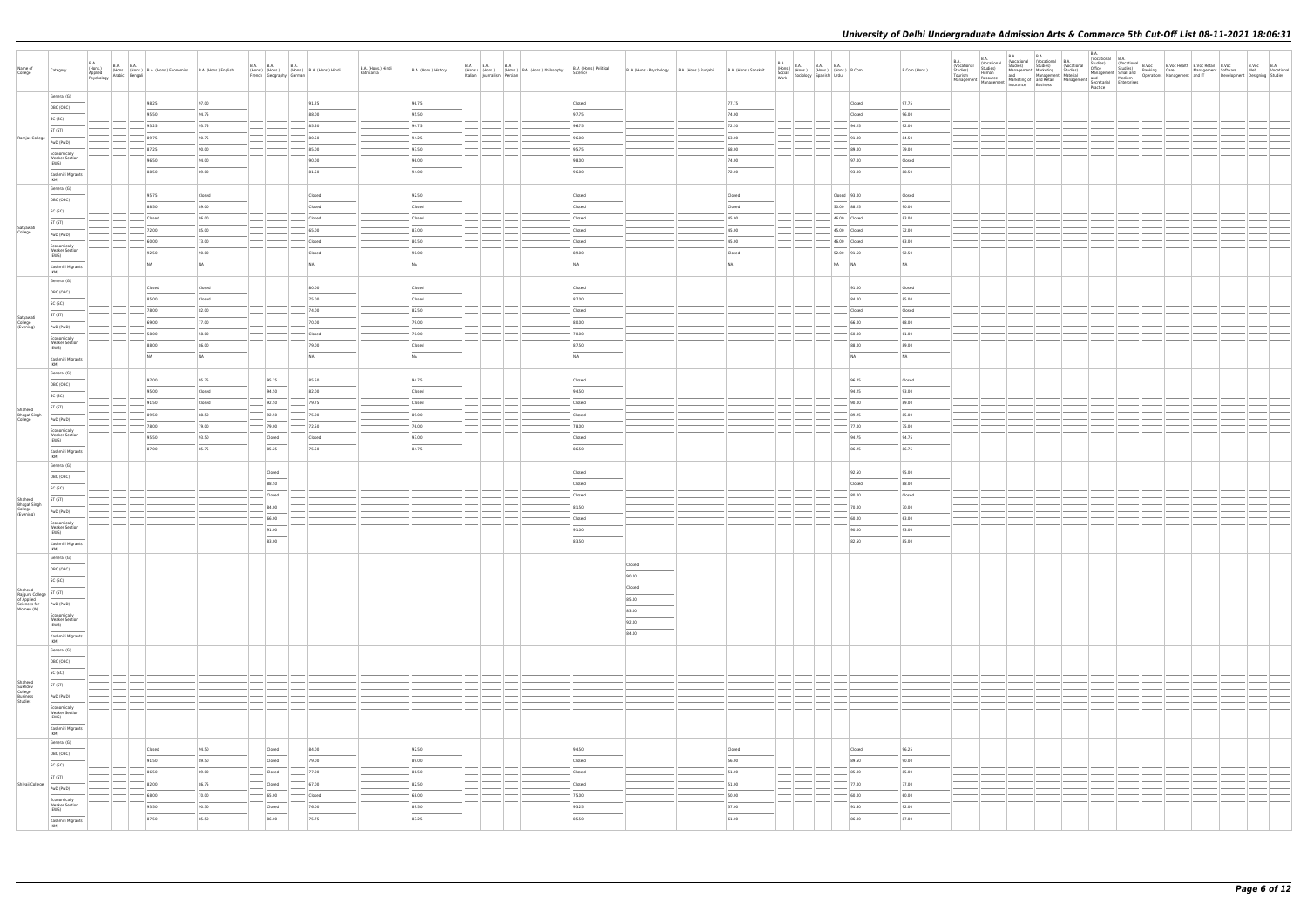| Name of<br>College                                   | Category                                       | B.A.<br>(Hons.)<br>Applied | B.A. (Hons.) B.A. B.A. (Hons.) B.A. (Hons.) Economics B.A. (Hons.) English Psychology Arabic Bengali |                  | <b>B.A. B.A.</b> | <b>B.A.</b><br>French   Geography   German  | (Hons.) (Hons.) (Hons.) B.A. (Hons.) Hindi | B.A. (Hons.) Hindi<br>Patrikarita | B.A. (Hons.) History | <b>B.A. B.A.</b><br><b>B.A.</b> | (Hons.) (Hons.) (Hons.) B.A. (Hons.) Philosophy<br>Italian Journalism Persian | B.A. (Hons.) Political<br>Science | B.A. (Hons.) Psychology   B.A. (Hons.) Punjabi | B.A. (Hons.) Sanskrit                      | $\begin{array}{c c c} \text{B.A.} \\ \text{(Hons.)} \\ \text{Social} \\ \text{Social} \\ \text{Work} \\ \text{Work} \end{array} \hspace{1em} \begin{array}{c} \text{B.A.} \\ \text{(Hons.)} \\ \text{(Hons.)} \\ \text{(Fons.)} \\ \text{Spanish} \\ \text{Urdu} \end{array} \hspace{1em} \begin{array}{c} \text{B.A.} \\ \text{B.A.} \\ \text{(Hons.)} \\ \text{Urdu} \end{array} \hspace{1em} \begin{array}{c} \text{B.A.} \\ \text{B.Com} \\ \text{B.Com} \end{array}$ |                              | B.Com (Hons.)  |  |  |  |  | Development Designing Studies | B.Voc B.A<br>Web Vocational |
|------------------------------------------------------|------------------------------------------------|----------------------------|------------------------------------------------------------------------------------------------------|------------------|------------------|---------------------------------------------|--------------------------------------------|-----------------------------------|----------------------|---------------------------------|-------------------------------------------------------------------------------|-----------------------------------|------------------------------------------------|--------------------------------------------|---------------------------------------------------------------------------------------------------------------------------------------------------------------------------------------------------------------------------------------------------------------------------------------------------------------------------------------------------------------------------------------------------------------------------------------------------------------------------|------------------------------|----------------|--|--|--|--|-------------------------------|-----------------------------|
|                                                      | General (G)<br>OBC (OBC)                       |                            | 98.25                                                                                                | 97.00            |                  |                                             | 91.25                                      |                                   | 96.75                |                                 |                                                                               | Closed                            |                                                | 77.75                                      |                                                                                                                                                                                                                                                                                                                                                                                                                                                                           | Closed                       | 97.75          |  |  |  |  |                               |                             |
|                                                      | SC (SC)                                        |                            | 95.50                                                                                                | 94.75            |                  |                                             | 88.00                                      |                                   | 95.50                |                                 |                                                                               | 97.75                             |                                                | 74.00                                      |                                                                                                                                                                                                                                                                                                                                                                                                                                                                           | Closed                       | 96.00          |  |  |  |  |                               |                             |
|                                                      | ST (ST)                                        |                            | 93.25                                                                                                | 93.75            |                  |                                             | 85.50                                      |                                   | 94.75                |                                 |                                                                               | 96.75                             |                                                | 72.50                                      |                                                                                                                                                                                                                                                                                                                                                                                                                                                                           | 94.25                        | 92.00          |  |  |  |  |                               |                             |
| Ramjas College                                       | PwD (PwD)                                      |                            | 89.75                                                                                                | 90.75            |                  |                                             | 80.50                                      |                                   | 94.25                |                                 |                                                                               | 96.00                             |                                                | 63.00                                      |                                                                                                                                                                                                                                                                                                                                                                                                                                                                           | 91.00                        | 84.50          |  |  |  |  |                               |                             |
|                                                      | Economically                                   |                            | 87.25                                                                                                | 90.00            |                  |                                             | 85.00                                      |                                   | 93.50                |                                 |                                                                               | 95.75                             |                                                | 68.00                                      |                                                                                                                                                                                                                                                                                                                                                                                                                                                                           | 89.00                        | 79.00          |  |  |  |  |                               |                             |
|                                                      | <b>Weaker Section</b><br>(EWS)                 |                            | 96.50                                                                                                | 94.00            |                  |                                             | 90.00                                      |                                   | 96.00                |                                 |                                                                               | 98.00                             |                                                | 74.00                                      |                                                                                                                                                                                                                                                                                                                                                                                                                                                                           | 97.00                        | Closed         |  |  |  |  |                               |                             |
|                                                      | Kashmiri Migrants<br>(KM)                      |                            | 88.50                                                                                                | 89.00            |                  |                                             | 81.50                                      |                                   | 94.00                |                                 |                                                                               | 96.00                             |                                                | 72.00                                      |                                                                                                                                                                                                                                                                                                                                                                                                                                                                           | 93.00                        | 88.50          |  |  |  |  |                               |                             |
|                                                      | General (G)                                    |                            |                                                                                                      |                  |                  |                                             |                                            |                                   |                      |                                 |                                                                               |                                   |                                                |                                            |                                                                                                                                                                                                                                                                                                                                                                                                                                                                           |                              |                |  |  |  |  |                               |                             |
|                                                      | OBC (OBC)                                      |                            | 95.75                                                                                                | Closed           |                  |                                             | Closed                                     |                                   | 92.50                |                                 |                                                                               | Closed                            |                                                | Closed                                     |                                                                                                                                                                                                                                                                                                                                                                                                                                                                           | $\vert$ Closed $\vert$ 93.00 | Closed         |  |  |  |  |                               |                             |
|                                                      | SC (SC)                                        |                            | 88.50                                                                                                | 89.00            |                  |                                             | Closed                                     |                                   | Closed               |                                 |                                                                               | Closed                            |                                                | Closed                                     |                                                                                                                                                                                                                                                                                                                                                                                                                                                                           | 50.00 88.25                  | 90.00          |  |  |  |  |                               |                             |
|                                                      | ST (ST)                                        |                            | Closed<br>72.00                                                                                      | 86.00<br>85.00   |                  |                                             | Closed<br>65.00                            |                                   | Closed<br>83.00      |                                 |                                                                               | Closed                            |                                                | 45.00                                      |                                                                                                                                                                                                                                                                                                                                                                                                                                                                           | 46.00 Closed<br>45.00 Closed | 83.00<br>72.00 |  |  |  |  |                               |                             |
| Satyawati<br>College                                 | PwD (PwD)                                      |                            | 60.00                                                                                                | 73.00            |                  |                                             | Closed                                     |                                   | 80.50                |                                 |                                                                               | Closed<br>Closed                  |                                                | 45.00<br>45.00                             |                                                                                                                                                                                                                                                                                                                                                                                                                                                                           | 46.00 Closed                 | 63.00          |  |  |  |  |                               |                             |
|                                                      | Economically<br><b>Weaker Section</b>          |                            | 92.50                                                                                                | 90.00            |                  |                                             | Closed                                     |                                   | 90.00                |                                 |                                                                               | 89.00                             |                                                | Closed                                     |                                                                                                                                                                                                                                                                                                                                                                                                                                                                           | 52.00 91.50                  | 92.50          |  |  |  |  |                               |                             |
|                                                      | (EWS)                                          |                            | NA                                                                                                   | NA               |                  |                                             | NA                                         |                                   | NA                   |                                 |                                                                               | NA                                |                                                | NA                                         |                                                                                                                                                                                                                                                                                                                                                                                                                                                                           | NA NA                        | NA             |  |  |  |  |                               |                             |
|                                                      | Kashmiri Migrants<br>(KM)                      |                            |                                                                                                      |                  |                  |                                             |                                            |                                   |                      |                                 |                                                                               |                                   |                                                |                                            |                                                                                                                                                                                                                                                                                                                                                                                                                                                                           |                              |                |  |  |  |  |                               |                             |
|                                                      | General (G)                                    |                            | Closed                                                                                               | Closed           |                  |                                             | 80.00                                      |                                   | Closed               |                                 |                                                                               | Closed                            |                                                |                                            |                                                                                                                                                                                                                                                                                                                                                                                                                                                                           | 91.00                        | Closed         |  |  |  |  |                               |                             |
|                                                      | OBC (OBC)<br>SC (SC)                           |                            | 85.00                                                                                                | Closed           |                  |                                             | 75.00                                      |                                   | Closed               |                                 |                                                                               | 87.00                             |                                                |                                            |                                                                                                                                                                                                                                                                                                                                                                                                                                                                           | 84.00                        | 85.00          |  |  |  |  |                               |                             |
|                                                      | ST (ST)                                        |                            | 78.00                                                                                                | 82.00            |                  |                                             | 74.00                                      |                                   | 82.50                |                                 |                                                                               | Closed                            |                                                |                                            |                                                                                                                                                                                                                                                                                                                                                                                                                                                                           | Closed                       | Closed         |  |  |  |  |                               |                             |
| Satyawati<br>College<br>(Evening)                    | PwD (PwD)                                      |                            | 69.00                                                                                                | 77.00            |                  |                                             | 70.00                                      |                                   | 79.00                |                                 |                                                                               | 80.00                             |                                                |                                            |                                                                                                                                                                                                                                                                                                                                                                                                                                                                           | 66.00                        | 68.00          |  |  |  |  |                               |                             |
|                                                      | Economically                                   |                            | 58.00                                                                                                | 58.00            |                  |                                             | Closed                                     |                                   | 70.00                |                                 |                                                                               | 70.00                             |                                                |                                            |                                                                                                                                                                                                                                                                                                                                                                                                                                                                           | 60.00                        | 61.00          |  |  |  |  |                               |                             |
|                                                      | <b>Weaker Section</b><br>(EWS)                 |                            | 88.00                                                                                                | 86.00            |                  |                                             | 79.00                                      |                                   | Closed               |                                 |                                                                               | 87.50                             |                                                |                                            |                                                                                                                                                                                                                                                                                                                                                                                                                                                                           | 88.00                        | 89.00          |  |  |  |  |                               |                             |
|                                                      | Kashmiri Migrants<br>(KM)                      |                            | NA                                                                                                   | NA               |                  |                                             | NA                                         |                                   | NA                   |                                 |                                                                               | NA                                |                                                |                                            |                                                                                                                                                                                                                                                                                                                                                                                                                                                                           | NA                           | NA             |  |  |  |  |                               |                             |
|                                                      | General (G)                                    |                            |                                                                                                      |                  |                  |                                             |                                            |                                   |                      |                                 |                                                                               |                                   |                                                |                                            |                                                                                                                                                                                                                                                                                                                                                                                                                                                                           |                              |                |  |  |  |  |                               |                             |
|                                                      | OBC (OBC)                                      |                            | 97.00                                                                                                | 95.75            |                  | 95.25                                       | 85.50                                      |                                   | 94.75                |                                 |                                                                               | Closed                            |                                                |                                            |                                                                                                                                                                                                                                                                                                                                                                                                                                                                           | 96.25                        | Closed         |  |  |  |  |                               |                             |
|                                                      | SC (SC)                                        |                            | 95.00<br>91.50                                                                                       | Closed<br>Closed |                  | 94.50<br>92.50                              | 82.00<br>79.75                             |                                   | Closed<br>Closed     |                                 |                                                                               | 94.50<br>Closed                   |                                                |                                            |                                                                                                                                                                                                                                                                                                                                                                                                                                                                           | 94.25<br>90.00               | 93.00<br>89.00 |  |  |  |  |                               |                             |
| Shaheed<br><b>Bhagat Singh</b>                       | ST (ST)                                        |                            | 89.50                                                                                                | 88.50            |                  | 92.50                                       | 75.00                                      |                                   | 89.00                |                                 |                                                                               | Closed                            |                                                |                                            |                                                                                                                                                                                                                                                                                                                                                                                                                                                                           | 89.25                        | 85.00          |  |  |  |  |                               |                             |
| College                                              | PwD (PwD)                                      |                            | 78.00                                                                                                | 79.00            |                  | $-79.00$                                    | $-72.50$                                   |                                   | 76.00                |                                 |                                                                               | 78.00                             |                                                |                                            |                                                                                                                                                                                                                                                                                                                                                                                                                                                                           | 77.00                        | 75.00          |  |  |  |  |                               |                             |
|                                                      | Economically<br><b>Weaker Section</b><br>(EWS) |                            | 95.50                                                                                                | 93.50            |                  | Closed                                      | Closed                                     |                                   | 93.00                |                                 |                                                                               | Closed                            |                                                |                                            |                                                                                                                                                                                                                                                                                                                                                                                                                                                                           | 94.75                        | 94.75          |  |  |  |  |                               |                             |
|                                                      | Kashmiri Migrants                              |                            | 87.00                                                                                                | 85.75            |                  | 85.25                                       | 75.50                                      |                                   | 84.75                |                                 |                                                                               | 86.50                             |                                                |                                            |                                                                                                                                                                                                                                                                                                                                                                                                                                                                           | 86.25                        | 86.75          |  |  |  |  |                               |                             |
|                                                      | (KM)<br>General (G)                            |                            |                                                                                                      |                  |                  |                                             |                                            |                                   |                      |                                 |                                                                               |                                   |                                                |                                            |                                                                                                                                                                                                                                                                                                                                                                                                                                                                           |                              |                |  |  |  |  |                               |                             |
|                                                      | OBC (OBC)                                      |                            |                                                                                                      |                  |                  | Closed                                      |                                            |                                   |                      |                                 |                                                                               | Closed                            |                                                |                                            |                                                                                                                                                                                                                                                                                                                                                                                                                                                                           | 92.50                        | 95.00          |  |  |  |  |                               |                             |
|                                                      | SC (SC)                                        |                            |                                                                                                      |                  |                  | 88.50                                       |                                            |                                   |                      |                                 |                                                                               | Closed                            |                                                |                                            |                                                                                                                                                                                                                                                                                                                                                                                                                                                                           | Closed                       | 88.00          |  |  |  |  |                               |                             |
| Shaheed                                              | ST (ST)                                        |                            |                                                                                                      |                  |                  | Closed                                      |                                            |                                   |                      |                                 |                                                                               | Closed                            |                                                |                                            |                                                                                                                                                                                                                                                                                                                                                                                                                                                                           | 80.00                        | Closed         |  |  |  |  |                               |                             |
| Bhagat Singh<br>College<br>(Evening)                 | PwD (PwD)                                      |                            |                                                                                                      |                  |                  | 84.00                                       |                                            |                                   |                      |                                 |                                                                               | 81.50                             |                                                |                                            |                                                                                                                                                                                                                                                                                                                                                                                                                                                                           | 70.00                        | 70.00          |  |  |  |  |                               |                             |
|                                                      | Economically<br><b>Weaker Section</b>          |                            |                                                                                                      |                  |                  | 66.00                                       |                                            |                                   |                      |                                 |                                                                               | Closed                            |                                                |                                            |                                                                                                                                                                                                                                                                                                                                                                                                                                                                           | 60.00                        | 63.00          |  |  |  |  |                               |                             |
|                                                      | (EWS)                                          |                            |                                                                                                      |                  |                  | 91.00                                       |                                            |                                   |                      |                                 |                                                                               | 91.00                             |                                                |                                            |                                                                                                                                                                                                                                                                                                                                                                                                                                                                           | 90.00                        | 93.00          |  |  |  |  |                               |                             |
|                                                      | Kashmiri Migrants<br>(KM)                      |                            |                                                                                                      |                  |                  | 83.00                                       |                                            |                                   |                      |                                 |                                                                               | 83.50                             |                                                |                                            |                                                                                                                                                                                                                                                                                                                                                                                                                                                                           | 82.50                        | 85.00          |  |  |  |  |                               |                             |
|                                                      | General (G)                                    |                            |                                                                                                      |                  |                  |                                             |                                            |                                   |                      |                                 |                                                                               |                                   | Closed                                         |                                            |                                                                                                                                                                                                                                                                                                                                                                                                                                                                           |                              |                |  |  |  |  |                               |                             |
|                                                      | OBC (OBC)                                      |                            |                                                                                                      |                  |                  |                                             |                                            |                                   |                      |                                 |                                                                               |                                   | 90.00                                          |                                            |                                                                                                                                                                                                                                                                                                                                                                                                                                                                           |                              |                |  |  |  |  |                               |                             |
| Shaheed                                              | SC (SC)                                        |                            |                                                                                                      |                  |                  |                                             |                                            |                                   |                      |                                 |                                                                               |                                   | Closed                                         |                                            |                                                                                                                                                                                                                                                                                                                                                                                                                                                                           |                              |                |  |  |  |  |                               |                             |
| Rajguru College<br>of Applied<br>Sciences for        | ST (ST)<br>PwD (PwD)                           |                            |                                                                                                      |                  |                  |                                             |                                            |                                   |                      |                                 |                                                                               |                                   | 85.00                                          |                                            |                                                                                                                                                                                                                                                                                                                                                                                                                                                                           |                              |                |  |  |  |  |                               |                             |
| Women (W)                                            | Economically                                   |                            |                                                                                                      |                  |                  |                                             |                                            |                                   |                      |                                 |                                                                               |                                   | 83.00                                          |                                            |                                                                                                                                                                                                                                                                                                                                                                                                                                                                           |                              |                |  |  |  |  |                               |                             |
|                                                      | <b>Weaker Section</b><br>(EWS)                 |                            |                                                                                                      |                  |                  |                                             |                                            |                                   |                      |                                 |                                                                               |                                   | 92.00                                          |                                            |                                                                                                                                                                                                                                                                                                                                                                                                                                                                           |                              |                |  |  |  |  |                               |                             |
|                                                      | Kashmiri Migrants<br>(KM)                      |                            |                                                                                                      |                  |                  |                                             |                                            |                                   |                      |                                 |                                                                               |                                   | 84.00                                          |                                            |                                                                                                                                                                                                                                                                                                                                                                                                                                                                           |                              |                |  |  |  |  |                               |                             |
|                                                      | General (G)<br>$\overline{\phantom{a}}$        |                            |                                                                                                      |                  |                  |                                             |                                            |                                   |                      |                                 |                                                                               |                                   |                                                |                                            |                                                                                                                                                                                                                                                                                                                                                                                                                                                                           |                              |                |  |  |  |  |                               |                             |
|                                                      | OBC (OBC)                                      |                            |                                                                                                      |                  |                  |                                             |                                            |                                   |                      |                                 |                                                                               |                                   |                                                |                                            |                                                                                                                                                                                                                                                                                                                                                                                                                                                                           |                              |                |  |  |  |  |                               |                             |
|                                                      | SC (SC)                                        |                            |                                                                                                      |                  |                  |                                             |                                            |                                   |                      |                                 |                                                                               |                                   |                                                |                                            |                                                                                                                                                                                                                                                                                                                                                                                                                                                                           |                              |                |  |  |  |  |                               |                             |
| Shaheed<br>Sukhdev<br>College<br>Business<br>Studies | ST (ST)                                        |                            |                                                                                                      |                  |                  |                                             |                                            |                                   |                      |                                 |                                                                               |                                   |                                                |                                            |                                                                                                                                                                                                                                                                                                                                                                                                                                                                           |                              |                |  |  |  |  |                               |                             |
|                                                      | PwD (PwD)                                      |                            |                                                                                                      |                  |                  |                                             |                                            |                                   |                      |                                 |                                                                               |                                   |                                                |                                            |                                                                                                                                                                                                                                                                                                                                                                                                                                                                           |                              |                |  |  |  |  |                               |                             |
|                                                      | Economically<br><b>Weaker Section</b><br>(EWS) |                            |                                                                                                      |                  |                  |                                             |                                            |                                   |                      |                                 |                                                                               |                                   |                                                |                                            |                                                                                                                                                                                                                                                                                                                                                                                                                                                                           |                              |                |  |  |  |  |                               |                             |
|                                                      | Kashmiri Migrants<br>(KM)                      |                            |                                                                                                      |                  |                  |                                             |                                            |                                   |                      |                                 |                                                                               |                                   |                                                |                                            |                                                                                                                                                                                                                                                                                                                                                                                                                                                                           |                              |                |  |  |  |  |                               |                             |
|                                                      | General (G)                                    |                            |                                                                                                      |                  |                  |                                             |                                            |                                   |                      |                                 |                                                                               |                                   |                                                |                                            |                                                                                                                                                                                                                                                                                                                                                                                                                                                                           |                              |                |  |  |  |  |                               |                             |
|                                                      | OBC (OBC)                                      |                            | Closed                                                                                               | 94.50            |                  | Closed<br>$\overline{\phantom{a}}$          | 84.00                                      |                                   | 92.50                |                                 |                                                                               | 94.50                             |                                                | Closed                                     |                                                                                                                                                                                                                                                                                                                                                                                                                                                                           | Closed                       | 96.25          |  |  |  |  |                               |                             |
|                                                      | SC (SC)                                        |                            | 91.50                                                                                                | 89.50            |                  | Closed                                      | 79.00                                      |                                   | 89.00                |                                 |                                                                               | Closed                            |                                                | 56.00                                      |                                                                                                                                                                                                                                                                                                                                                                                                                                                                           | 89.50                        | 90.00          |  |  |  |  |                               |                             |
|                                                      | <b>Contract Contract</b><br>ST (ST)            |                            | 86.50                                                                                                | 89.00            |                  | $\overline{\phantom{a}}$ Closed             | 77.00                                      |                                   | 86.50                |                                 |                                                                               | Closed                            |                                                | 51.00                                      |                                                                                                                                                                                                                                                                                                                                                                                                                                                                           | 85.00                        | 85.00          |  |  |  |  |                               |                             |
| Shivaji College                                      | PwD (PwD)                                      |                            | 82.00                                                                                                | 86.75            |                  | Closed                                      | 67.00                                      |                                   | 82.50                |                                 |                                                                               | Closed                            |                                                | 51.00                                      |                                                                                                                                                                                                                                                                                                                                                                                                                                                                           | 77.00                        | 77.00          |  |  |  |  |                               |                             |
|                                                      | Economically                                   |                            | 68.00                                                                                                | 70.00            |                  | $- 65.00$                                   | Closed                                     |                                   | 68.00                |                                 |                                                                               | 75.00                             |                                                | 50.00                                      |                                                                                                                                                                                                                                                                                                                                                                                                                                                                           | 60.00                        | 60.00          |  |  |  |  |                               |                             |
|                                                      | Weaker Section<br>(EWS)                        |                            | 93.50<br>87.50                                                                                       | 90.50<br>85.50   |                  | Closed<br>$\overline{\phantom{a}}$<br>86.00 | 76.00<br>75.75                             |                                   | 89.50<br>83.25       |                                 |                                                                               | 93.25<br>$\frac{1}{2}$<br>85.50   |                                                | 57.00<br>$\overline{\phantom{a}}$<br>61.00 |                                                                                                                                                                                                                                                                                                                                                                                                                                                                           | 91.50<br>86.00               | 92.00<br>87.00 |  |  |  |  |                               |                             |
|                                                      | Kashmiri Migrants<br>(KM)                      |                            |                                                                                                      |                  |                  |                                             |                                            |                                   |                      |                                 |                                                                               |                                   |                                                |                                            |                                                                                                                                                                                                                                                                                                                                                                                                                                                                           |                              |                |  |  |  |  |                               |                             |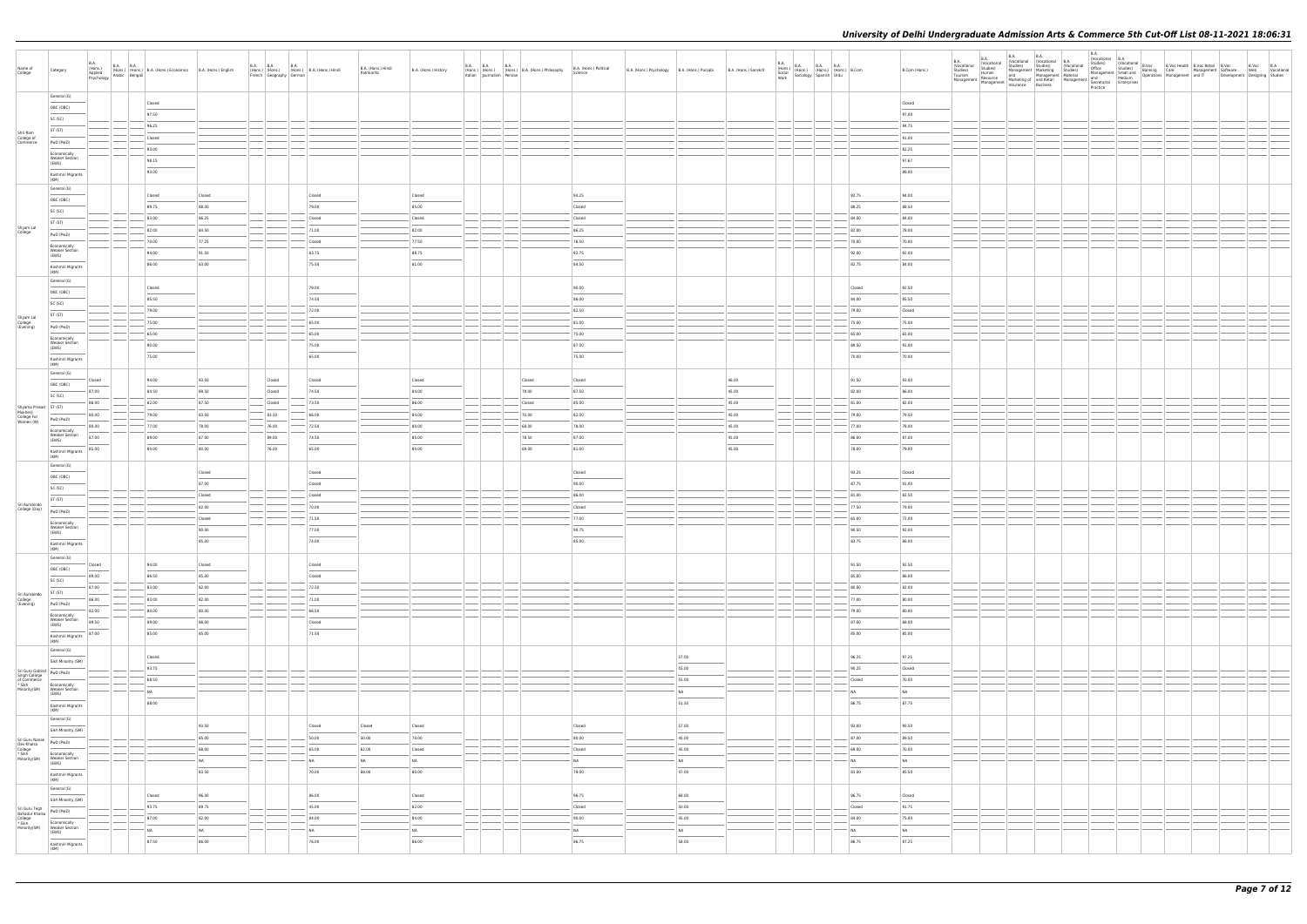| Name of<br>College                                                                                                                                                                                                                                                                   | Category                                                                                                                                                                                                                                                                                                                                                                                                                                                                                                     | B.A.<br>(Hons.)<br>Applied<br><b>B.A. B.A.</b><br>(Hons.) (Hons.) (Hons.) B.A. (Hons.) Economics B.A. (Hons.) English<br>Applied Psychology Arabic Bengali |                 |                | B.A. B.A. B.A. B.A.<br>(Hons.) (Hons.) (Hons.) E<br>French Geography German | (Hons.) B.A. (Hons.) Hindi | B.A. (Hons.) Hindi<br>Patrikarita | B.A. (Hons.) History | B.A. B.A. | Italian Journalism Persian | <b>B.A.</b><br>(Hons.) (Hons.) (Hons.) B.A. (Hons.) Philosophy | B.A. (Hons.) Political<br>Science | B.A. (Hons.) Psychology B.A. (Hons.) Punjabi |                | B.A. (Hons.) Sanskrit | $\begin{array}{c c c} \text{B.A.} \\ \text{(Hons.)} \\ \text{Social} \\ \text{Social} \\ \text{Work} \end{array} \hspace{1em} \begin{array}{c} \text{B.A.} \\ \text{(Hons.)} \\ \text{(Hons.)} \\ \text{(Fons.)} \end{array} \hspace{1em} \begin{array}{c} \text{B.A.} \\ \text{(Hons.)} \\ \text{(Hons.)} \end{array} \hspace{1em} \begin{array}{c} \text{B.A.} \\ \text{(Hons.)} \\ \text{Urdu} \end{array} \hspace{1em} \begin{array}{c} \text{B.Com} \\ \text{B.Com} \end{array}$ |                | B.Com (Hons.)   | B.A.<br>(Vocational<br>B.A.<br>(Vocational<br>Studies)<br>Human<br>Vicuolais) Studies) - Studies) Management Marketing Studies) Management (Marketing Studies) Management (Marketing Studies) Management (Marketing Management Marketing of and Resource (Marketing Management Marketing Manageme | <b>B.A.</b><br><b>B.A.</b><br>(Vocational (Vocational B.A.<br>Studies) Studies (Vocational | B.A. | Practice |  |  | Development Designing Studies | B.Voc B.A<br>Web Vocational |  |
|--------------------------------------------------------------------------------------------------------------------------------------------------------------------------------------------------------------------------------------------------------------------------------------|--------------------------------------------------------------------------------------------------------------------------------------------------------------------------------------------------------------------------------------------------------------------------------------------------------------------------------------------------------------------------------------------------------------------------------------------------------------------------------------------------------------|------------------------------------------------------------------------------------------------------------------------------------------------------------|-----------------|----------------|-----------------------------------------------------------------------------|----------------------------|-----------------------------------|----------------------|-----------|----------------------------|----------------------------------------------------------------|-----------------------------------|----------------------------------------------|----------------|-----------------------|---------------------------------------------------------------------------------------------------------------------------------------------------------------------------------------------------------------------------------------------------------------------------------------------------------------------------------------------------------------------------------------------------------------------------------------------------------------------------------------|----------------|-----------------|---------------------------------------------------------------------------------------------------------------------------------------------------------------------------------------------------------------------------------------------------------------------------------------------------|--------------------------------------------------------------------------------------------|------|----------|--|--|-------------------------------|-----------------------------|--|
|                                                                                                                                                                                                                                                                                      | General (G)                                                                                                                                                                                                                                                                                                                                                                                                                                                                                                  |                                                                                                                                                            | Closed          |                |                                                                             |                            |                                   |                      |           |                            |                                                                |                                   |                                              |                |                       |                                                                                                                                                                                                                                                                                                                                                                                                                                                                                       |                | Closed          |                                                                                                                                                                                                                                                                                                   |                                                                                            |      |          |  |  |                               |                             |  |
|                                                                                                                                                                                                                                                                                      | OBC (OBC)                                                                                                                                                                                                                                                                                                                                                                                                                                                                                                    |                                                                                                                                                            | 97.50           |                |                                                                             |                            |                                   |                      |           |                            |                                                                |                                   |                                              |                |                       |                                                                                                                                                                                                                                                                                                                                                                                                                                                                                       |                | 97.00           |                                                                                                                                                                                                                                                                                                   |                                                                                            |      |          |  |  |                               |                             |  |
|                                                                                                                                                                                                                                                                                      | SC (SC)                                                                                                                                                                                                                                                                                                                                                                                                                                                                                                      |                                                                                                                                                            | 96.25           |                |                                                                             |                            |                                   |                      |           |                            |                                                                |                                   |                                              |                |                       |                                                                                                                                                                                                                                                                                                                                                                                                                                                                                       |                | 94.75           |                                                                                                                                                                                                                                                                                                   |                                                                                            |      |          |  |  |                               |                             |  |
| Shri Ram<br>College of<br>Commerce                                                                                                                                                                                                                                                   | ST (ST)                                                                                                                                                                                                                                                                                                                                                                                                                                                                                                      |                                                                                                                                                            | Closed          |                |                                                                             |                            |                                   |                      |           |                            |                                                                |                                   |                                              |                |                       |                                                                                                                                                                                                                                                                                                                                                                                                                                                                                       |                | 91.00           |                                                                                                                                                                                                                                                                                                   |                                                                                            |      |          |  |  |                               |                             |  |
|                                                                                                                                                                                                                                                                                      | PwD (PwD)                                                                                                                                                                                                                                                                                                                                                                                                                                                                                                    |                                                                                                                                                            | 93.00           |                |                                                                             |                            |                                   |                      |           |                            |                                                                |                                   |                                              |                |                       |                                                                                                                                                                                                                                                                                                                                                                                                                                                                                       |                | 82.25           |                                                                                                                                                                                                                                                                                                   |                                                                                            |      |          |  |  |                               |                             |  |
|                                                                                                                                                                                                                                                                                      | Economically<br><b>Weaker Section</b><br>(EWS)                                                                                                                                                                                                                                                                                                                                                                                                                                                               |                                                                                                                                                            | 98.15           |                |                                                                             |                            |                                   |                      |           |                            |                                                                |                                   |                                              |                |                       |                                                                                                                                                                                                                                                                                                                                                                                                                                                                                       |                | 97.67           |                                                                                                                                                                                                                                                                                                   |                                                                                            |      |          |  |  |                               |                             |  |
|                                                                                                                                                                                                                                                                                      | Kashmiri Migrants                                                                                                                                                                                                                                                                                                                                                                                                                                                                                            |                                                                                                                                                            | 93.00           |                |                                                                             |                            |                                   |                      |           |                            |                                                                |                                   |                                              |                |                       |                                                                                                                                                                                                                                                                                                                                                                                                                                                                                       |                | 89.00           |                                                                                                                                                                                                                                                                                                   |                                                                                            |      |          |  |  |                               |                             |  |
|                                                                                                                                                                                                                                                                                      | (KM)<br>General (G)                                                                                                                                                                                                                                                                                                                                                                                                                                                                                          |                                                                                                                                                            |                 |                |                                                                             |                            |                                   |                      |           |                            |                                                                |                                   |                                              |                |                       |                                                                                                                                                                                                                                                                                                                                                                                                                                                                                       |                |                 |                                                                                                                                                                                                                                                                                                   |                                                                                            |      |          |  |  |                               |                             |  |
|                                                                                                                                                                                                                                                                                      | OBC (OBC)                                                                                                                                                                                                                                                                                                                                                                                                                                                                                                    |                                                                                                                                                            | Closed          | Closed         |                                                                             | Closed                     |                                   | Closed               |           |                            |                                                                | 94.25                             |                                              |                |                       |                                                                                                                                                                                                                                                                                                                                                                                                                                                                                       | 92.75          | 94.00           |                                                                                                                                                                                                                                                                                                   |                                                                                            |      |          |  |  |                               |                             |  |
|                                                                                                                                                                                                                                                                                      | SC (SC)                                                                                                                                                                                                                                                                                                                                                                                                                                                                                                      |                                                                                                                                                            | 89.75           | 88.00          |                                                                             | 79.00                      |                                   | 85.00                |           |                            |                                                                | Closed                            |                                              |                |                       |                                                                                                                                                                                                                                                                                                                                                                                                                                                                                       | 88.25          | 88.50           |                                                                                                                                                                                                                                                                                                   |                                                                                            |      |          |  |  |                               |                             |  |
|                                                                                                                                                                                                                                                                                      | ST (ST)                                                                                                                                                                                                                                                                                                                                                                                                                                                                                                      |                                                                                                                                                            | 83.00           | 86.25          |                                                                             | Closed                     |                                   | Closed               |           |                            |                                                                | Closed                            |                                              |                |                       |                                                                                                                                                                                                                                                                                                                                                                                                                                                                                       | 84.00          | 84.00           |                                                                                                                                                                                                                                                                                                   |                                                                                            |      |          |  |  |                               |                             |  |
| Shyam Lal<br>College                                                                                                                                                                                                                                                                 | PwD (PwD)                                                                                                                                                                                                                                                                                                                                                                                                                                                                                                    |                                                                                                                                                            | 82.00           | 84.50          |                                                                             | 71.00                      |                                   | 82.00                |           |                            |                                                                | 86.25                             |                                              |                |                       |                                                                                                                                                                                                                                                                                                                                                                                                                                                                                       | 82.00          | 78.00           |                                                                                                                                                                                                                                                                                                   |                                                                                            |      |          |  |  |                               |                             |  |
|                                                                                                                                                                                                                                                                                      | Economically<br><b>Weaker Section</b>                                                                                                                                                                                                                                                                                                                                                                                                                                                                        |                                                                                                                                                            | 70.00           | 77.25          |                                                                             | Closed                     |                                   | 77.50                |           |                            |                                                                | 76.50                             |                                              |                |                       |                                                                                                                                                                                                                                                                                                                                                                                                                                                                                       | 70.00          | 70.00           |                                                                                                                                                                                                                                                                                                   |                                                                                            |      |          |  |  |                               |                             |  |
|                                                                                                                                                                                                                                                                                      | (EWS)                                                                                                                                                                                                                                                                                                                                                                                                                                                                                                        |                                                                                                                                                            | 94.00           | 91.50          |                                                                             | 83.75                      |                                   | 88.75                |           |                            |                                                                | 92.75                             |                                              |                |                       |                                                                                                                                                                                                                                                                                                                                                                                                                                                                                       | 92.00          | 92.00           |                                                                                                                                                                                                                                                                                                   |                                                                                            |      |          |  |  |                               |                             |  |
|                                                                                                                                                                                                                                                                                      | Kashmiri Migrants<br>(KM)                                                                                                                                                                                                                                                                                                                                                                                                                                                                                    |                                                                                                                                                            | 86.00           | 83.00          |                                                                             | 75.50                      |                                   | 81.00                |           |                            |                                                                | 84.50                             |                                              |                |                       |                                                                                                                                                                                                                                                                                                                                                                                                                                                                                       | 82.75          | 84.00           |                                                                                                                                                                                                                                                                                                   |                                                                                            |      |          |  |  |                               |                             |  |
|                                                                                                                                                                                                                                                                                      | General (G)                                                                                                                                                                                                                                                                                                                                                                                                                                                                                                  |                                                                                                                                                            | Closed          |                |                                                                             | 79.00                      |                                   |                      |           |                            |                                                                | 90.00                             |                                              |                |                       |                                                                                                                                                                                                                                                                                                                                                                                                                                                                                       | Closed         | 92.50           |                                                                                                                                                                                                                                                                                                   |                                                                                            |      |          |  |  |                               |                             |  |
|                                                                                                                                                                                                                                                                                      | OBC (OBC)                                                                                                                                                                                                                                                                                                                                                                                                                                                                                                    |                                                                                                                                                            | 85.50           |                |                                                                             | 74.50                      |                                   |                      |           |                            |                                                                | 86.00                             |                                              |                |                       |                                                                                                                                                                                                                                                                                                                                                                                                                                                                                       | 84.00          | 85.50           |                                                                                                                                                                                                                                                                                                   |                                                                                            |      |          |  |  |                               |                             |  |
|                                                                                                                                                                                                                                                                                      | SC (SC)                                                                                                                                                                                                                                                                                                                                                                                                                                                                                                      |                                                                                                                                                            | 79.00           |                |                                                                             | 72.00                      |                                   |                      |           |                            |                                                                | 82.50                             |                                              |                |                       |                                                                                                                                                                                                                                                                                                                                                                                                                                                                                       | 79.00          | Closed          |                                                                                                                                                                                                                                                                                                   |                                                                                            |      |          |  |  |                               |                             |  |
| Shyam Lal<br>College<br>(Evening)                                                                                                                                                                                                                                                    | ST (ST)                                                                                                                                                                                                                                                                                                                                                                                                                                                                                                      |                                                                                                                                                            | 75.00           |                |                                                                             | 65.00                      |                                   |                      |           |                            |                                                                | 81.00                             |                                              |                |                       |                                                                                                                                                                                                                                                                                                                                                                                                                                                                                       | 75.00          | 75.00           |                                                                                                                                                                                                                                                                                                   |                                                                                            |      |          |  |  |                               |                             |  |
|                                                                                                                                                                                                                                                                                      | PwD (PwD)                                                                                                                                                                                                                                                                                                                                                                                                                                                                                                    |                                                                                                                                                            | 65.00           |                |                                                                             | 65.00                      |                                   |                      |           |                            |                                                                | 75.00                             |                                              |                |                       |                                                                                                                                                                                                                                                                                                                                                                                                                                                                                       | 65.00          | 65.00           |                                                                                                                                                                                                                                                                                                   |                                                                                            |      |          |  |  |                               |                             |  |
|                                                                                                                                                                                                                                                                                      | Economically<br><b>Weaker Section</b><br>(EWS)                                                                                                                                                                                                                                                                                                                                                                                                                                                               |                                                                                                                                                            | 90.00           |                |                                                                             | 75.00                      |                                   |                      |           |                            |                                                                | 87.00                             |                                              |                |                       |                                                                                                                                                                                                                                                                                                                                                                                                                                                                                       | 89.50          | 91.00           |                                                                                                                                                                                                                                                                                                   |                                                                                            |      |          |  |  |                               |                             |  |
|                                                                                                                                                                                                                                                                                      | Kashmiri Migrants                                                                                                                                                                                                                                                                                                                                                                                                                                                                                            |                                                                                                                                                            | 75.00           |                |                                                                             | 65.00                      |                                   |                      |           |                            |                                                                | 75.00                             |                                              |                |                       |                                                                                                                                                                                                                                                                                                                                                                                                                                                                                       | 70.00          | 70.00           |                                                                                                                                                                                                                                                                                                   |                                                                                            |      |          |  |  |                               |                             |  |
|                                                                                                                                                                                                                                                                                      | (KM)<br>General (G)                                                                                                                                                                                                                                                                                                                                                                                                                                                                                          |                                                                                                                                                            |                 |                |                                                                             |                            |                                   |                      |           |                            |                                                                |                                   |                                              |                |                       |                                                                                                                                                                                                                                                                                                                                                                                                                                                                                       |                |                 |                                                                                                                                                                                                                                                                                                   |                                                                                            |      |          |  |  |                               |                             |  |
|                                                                                                                                                                                                                                                                                      | OBC (OBC)                                                                                                                                                                                                                                                                                                                                                                                                                                                                                                    | Closed                                                                                                                                                     | 94.00           | 93.50          | Closed                                                                      | Closed                     |                                   | Closed               |           |                            | Closed                                                         | Closed                            |                                              |                | 46.00                 |                                                                                                                                                                                                                                                                                                                                                                                                                                                                                       | 91.50          | 93.00           |                                                                                                                                                                                                                                                                                                   |                                                                                            |      |          |  |  |                               |                             |  |
|                                                                                                                                                                                                                                                                                      | SC (SC)                                                                                                                                                                                                                                                                                                                                                                                                                                                                                                      | 87.00                                                                                                                                                      | 84.50           | 89.50          | Closed                                                                      | 74.50                      |                                   | 84.00                |           |                            | 79.00                                                          | 87.50                             |                                              |                | 45.00                 |                                                                                                                                                                                                                                                                                                                                                                                                                                                                                       | 82.00          | 86.00           |                                                                                                                                                                                                                                                                                                   |                                                                                            |      |          |  |  |                               |                             |  |
| Shyama Prasad ST (ST)                                                                                                                                                                                                                                                                |                                                                                                                                                                                                                                                                                                                                                                                                                                                                                                              | 86.00                                                                                                                                                      | 82.00           | 87.50          | Closed                                                                      | 73.50                      |                                   | 86.00                |           |                            | Closed                                                         | 85.00                             |                                              |                | 45.00                 |                                                                                                                                                                                                                                                                                                                                                                                                                                                                                       | 81.00          | 82.00           |                                                                                                                                                                                                                                                                                                   |                                                                                            |      |          |  |  |                               |                             |  |
| Mukherji<br>College For<br>Women (W)                                                                                                                                                                                                                                                 | PwD (PwD)                                                                                                                                                                                                                                                                                                                                                                                                                                                                                                    | 80.00                                                                                                                                                      | 79.00           | 83.50          | 83.50                                                                       | 66.00                      |                                   | 84.00                |           |                            | 70.00                                                          | 82.00                             |                                              |                | 45.00                 |                                                                                                                                                                                                                                                                                                                                                                                                                                                                                       | 79.00          | 79.50           |                                                                                                                                                                                                                                                                                                   |                                                                                            |      |          |  |  |                               |                             |  |
|                                                                                                                                                                                                                                                                                      | Economically<br><b>Weaker Section</b>                                                                                                                                                                                                                                                                                                                                                                                                                                                                        | 80.00                                                                                                                                                      | 77.00           | 78.00          | 76.00                                                                       | 72.50                      |                                   | 80.00                |           |                            | 68.00                                                          | 78.00                             |                                              |                | 45.00                 |                                                                                                                                                                                                                                                                                                                                                                                                                                                                                       | $- 77.00$      | 78.00           |                                                                                                                                                                                                                                                                                                   |                                                                                            |      |          |  |  |                               |                             |  |
|                                                                                                                                                                                                                                                                                      | (EWS)                                                                                                                                                                                                                                                                                                                                                                                                                                                                                                        | 87.00                                                                                                                                                      | 89.00           | 87.00          | 89.00                                                                       | 74.50                      |                                   | 85.00                |           |                            | 78.50                                                          | 87.00                             |                                              |                | 45.00                 |                                                                                                                                                                                                                                                                                                                                                                                                                                                                                       | 86.00          | 87.00           |                                                                                                                                                                                                                                                                                                   |                                                                                            |      |          |  |  |                               |                             |  |
|                                                                                                                                                                                                                                                                                      | Kashmiri Migrants<br>(KM)                                                                                                                                                                                                                                                                                                                                                                                                                                                                                    | 85.00                                                                                                                                                      | 80.00           | 80.00          | 76.00                                                                       | 65.00                      |                                   | 80.00                |           |                            | 69.00                                                          | 81.00                             |                                              |                | 45.00                 |                                                                                                                                                                                                                                                                                                                                                                                                                                                                                       | 78.00          | 79.00           |                                                                                                                                                                                                                                                                                                   |                                                                                            |      |          |  |  |                               |                             |  |
|                                                                                                                                                                                                                                                                                      | General (G)                                                                                                                                                                                                                                                                                                                                                                                                                                                                                                  |                                                                                                                                                            |                 | Closed         |                                                                             | Closed                     |                                   |                      |           |                            |                                                                | Closed                            |                                              |                |                       |                                                                                                                                                                                                                                                                                                                                                                                                                                                                                       | 93.25          | Closed          |                                                                                                                                                                                                                                                                                                   |                                                                                            |      |          |  |  |                               |                             |  |
|                                                                                                                                                                                                                                                                                      | OBC (OBC)                                                                                                                                                                                                                                                                                                                                                                                                                                                                                                    |                                                                                                                                                            |                 | 87.00          |                                                                             | Closed                     |                                   |                      |           |                            |                                                                | 90.00                             |                                              |                |                       |                                                                                                                                                                                                                                                                                                                                                                                                                                                                                       | 87.75          | 91.00           |                                                                                                                                                                                                                                                                                                   |                                                                                            |      |          |  |  |                               |                             |  |
|                                                                                                                                                                                                                                                                                      | SC (SC)                                                                                                                                                                                                                                                                                                                                                                                                                                                                                                      |                                                                                                                                                            |                 | Closed         |                                                                             | Closed                     |                                   |                      |           |                            |                                                                | 86.00                             |                                              |                |                       |                                                                                                                                                                                                                                                                                                                                                                                                                                                                                       | 81.00          | 82.50           |                                                                                                                                                                                                                                                                                                   |                                                                                            |      |          |  |  |                               |                             |  |
| Sri Aurobindo<br>College (Day)                                                                                                                                                                                                                                                       | ST (ST)                                                                                                                                                                                                                                                                                                                                                                                                                                                                                                      |                                                                                                                                                            |                 | 82.00          |                                                                             | 70.00                      |                                   |                      |           |                            |                                                                | Closed                            |                                              |                |                       |                                                                                                                                                                                                                                                                                                                                                                                                                                                                                       | 77.50          | 79.00           |                                                                                                                                                                                                                                                                                                   |                                                                                            |      |          |  |  |                               |                             |  |
|                                                                                                                                                                                                                                                                                      | PwD (PwD)<br>Economically                                                                                                                                                                                                                                                                                                                                                                                                                                                                                    |                                                                                                                                                            |                 | Closed         |                                                                             | 71.50                      |                                   |                      |           |                            |                                                                | 77.00                             |                                              |                |                       |                                                                                                                                                                                                                                                                                                                                                                                                                                                                                       | 65.00          | 72.00           |                                                                                                                                                                                                                                                                                                   |                                                                                            |      |          |  |  |                               |                             |  |
|                                                                                                                                                                                                                                                                                      | <b>Weaker Section</b><br>(EWS)                                                                                                                                                                                                                                                                                                                                                                                                                                                                               |                                                                                                                                                            |                 | 90.00          |                                                                             | 77.00                      |                                   |                      |           |                            |                                                                | 90.75                             |                                              |                |                       |                                                                                                                                                                                                                                                                                                                                                                                                                                                                                       | 90.50          | 92.00           |                                                                                                                                                                                                                                                                                                   |                                                                                            |      |          |  |  |                               |                             |  |
|                                                                                                                                                                                                                                                                                      | Kashmiri Migrants<br>(KM)                                                                                                                                                                                                                                                                                                                                                                                                                                                                                    |                                                                                                                                                            |                 | 85.00          |                                                                             | 74.00                      |                                   |                      |           |                            |                                                                | 85.00                             |                                              |                |                       |                                                                                                                                                                                                                                                                                                                                                                                                                                                                                       | 83.75          | 86.00           |                                                                                                                                                                                                                                                                                                   |                                                                                            |      |          |  |  |                               |                             |  |
|                                                                                                                                                                                                                                                                                      | General (G)                                                                                                                                                                                                                                                                                                                                                                                                                                                                                                  |                                                                                                                                                            |                 |                |                                                                             |                            |                                   |                      |           |                            |                                                                |                                   |                                              |                |                       |                                                                                                                                                                                                                                                                                                                                                                                                                                                                                       |                |                 |                                                                                                                                                                                                                                                                                                   |                                                                                            |      |          |  |  |                               |                             |  |
|                                                                                                                                                                                                                                                                                      | OBC (OBC)                                                                                                                                                                                                                                                                                                                                                                                                                                                                                                    | Closed                                                                                                                                                     | 94.00           | Closed         |                                                                             | Closed                     |                                   |                      |           |                            |                                                                |                                   |                                              |                |                       |                                                                                                                                                                                                                                                                                                                                                                                                                                                                                       | 91.50          | 92.50           |                                                                                                                                                                                                                                                                                                   |                                                                                            |      |          |  |  |                               |                             |  |
|                                                                                                                                                                                                                                                                                      | $\frac{1}{2} \left( \frac{1}{2} \right) \left( \frac{1}{2} \right) \left( \frac{1}{2} \right) \left( \frac{1}{2} \right) \left( \frac{1}{2} \right) \left( \frac{1}{2} \right) \left( \frac{1}{2} \right) \left( \frac{1}{2} \right) \left( \frac{1}{2} \right) \left( \frac{1}{2} \right) \left( \frac{1}{2} \right) \left( \frac{1}{2} \right) \left( \frac{1}{2} \right) \left( \frac{1}{2} \right) \left( \frac{1}{2} \right) \left( \frac{1}{2} \right) \left( \frac$<br>SC (SC)                        | 89.00                                                                                                                                                      | 86.50           | 85.00          |                                                                             | Closed                     |                                   |                      |           |                            |                                                                |                                   |                                              |                |                       |                                                                                                                                                                                                                                                                                                                                                                                                                                                                                       | 85.00          | 86.00           |                                                                                                                                                                                                                                                                                                   |                                                                                            |      |          |  |  |                               |                             |  |
|                                                                                                                                                                                                                                                                                      | ST (ST)                                                                                                                                                                                                                                                                                                                                                                                                                                                                                                      | 87.00                                                                                                                                                      | 83.00           | 82.00          |                                                                             | 72.50                      |                                   |                      |           |                            |                                                                |                                   |                                              |                |                       |                                                                                                                                                                                                                                                                                                                                                                                                                                                                                       | 80.00          | 82.00           |                                                                                                                                                                                                                                                                                                   |                                                                                            |      |          |  |  |                               |                             |  |
| Sri Aurobindo<br>College<br>(Evening)                                                                                                                                                                                                                                                | PwD (PwD)                                                                                                                                                                                                                                                                                                                                                                                                                                                                                                    | 86.00<br>82.00                                                                                                                                             | 83.00<br>80.00  | 82.00<br>80.00 |                                                                             | 71.00<br>66.50             |                                   |                      |           |                            | $\sim$                                                         |                                   |                                              |                |                       |                                                                                                                                                                                                                                                                                                                                                                                                                                                                                       | 77.00<br>79.00 | 80.00<br>80.00  |                                                                                                                                                                                                                                                                                                   |                                                                                            |      |          |  |  |                               |                             |  |
|                                                                                                                                                                                                                                                                                      | Economically<br><b>Weaker Section</b>                                                                                                                                                                                                                                                                                                                                                                                                                                                                        | 89.50                                                                                                                                                      | 89.00           | 86.00          |                                                                             | Closed                     |                                   |                      |           |                            |                                                                |                                   |                                              |                |                       |                                                                                                                                                                                                                                                                                                                                                                                                                                                                                       | 87.00          | 88.00           |                                                                                                                                                                                                                                                                                                   |                                                                                            |      |          |  |  |                               |                             |  |
|                                                                                                                                                                                                                                                                                      | (EWS)<br>$\frac{1}{2} \left( \frac{1}{2} \right) \left( \frac{1}{2} \right) \left( \frac{1}{2} \right) \left( \frac{1}{2} \right) \left( \frac{1}{2} \right) \left( \frac{1}{2} \right) \left( \frac{1}{2} \right) \left( \frac{1}{2} \right) \left( \frac{1}{2} \right) \left( \frac{1}{2} \right) \left( \frac{1}{2} \right) \left( \frac{1}{2} \right) \left( \frac{1}{2} \right) \left( \frac{1}{2} \right) \left( \frac{1}{2} \right) \left( \frac{1}{2} \right) \left( \frac$                          | 87.00                                                                                                                                                      | 85.00           | 85.00          |                                                                             | $\frac{1}{2}$<br>71.50     |                                   |                      |           |                            |                                                                |                                   |                                              |                |                       |                                                                                                                                                                                                                                                                                                                                                                                                                                                                                       | 85.00          | 85.00           |                                                                                                                                                                                                                                                                                                   |                                                                                            |      |          |  |  |                               |                             |  |
|                                                                                                                                                                                                                                                                                      | Kashmiri Migrants<br>(KM)                                                                                                                                                                                                                                                                                                                                                                                                                                                                                    |                                                                                                                                                            |                 |                |                                                                             |                            |                                   |                      |           |                            |                                                                |                                   |                                              |                |                       |                                                                                                                                                                                                                                                                                                                                                                                                                                                                                       |                |                 |                                                                                                                                                                                                                                                                                                   |                                                                                            |      |          |  |  |                               |                             |  |
|                                                                                                                                                                                                                                                                                      | General (G)                                                                                                                                                                                                                                                                                                                                                                                                                                                                                                  |                                                                                                                                                            | Closed          |                |                                                                             |                            |                                   |                      |           |                            |                                                                |                                   |                                              | 57.00          |                       |                                                                                                                                                                                                                                                                                                                                                                                                                                                                                       | 96.25          | 97.25           |                                                                                                                                                                                                                                                                                                   |                                                                                            |      |          |  |  |                               |                             |  |
|                                                                                                                                                                                                                                                                                      | Sikh Minority (SM)                                                                                                                                                                                                                                                                                                                                                                                                                                                                                           |                                                                                                                                                            | 93.75           |                |                                                                             |                            |                                   |                      |           |                            |                                                                |                                   |                                              | 55.00          |                       |                                                                                                                                                                                                                                                                                                                                                                                                                                                                                       | 90.25          | Closed          |                                                                                                                                                                                                                                                                                                   |                                                                                            |      |          |  |  |                               |                             |  |
| Sri Guru Gobind<br>Singh College<br>of Commerce<br>* Sikh<br>Minority(SM)<br>Weaker Section<br>Weaker Section<br>CIDC CONTENT CONTENT CONTENT CONTENT CONTENT CONTENT CONTENT CONTENT CONTENT CONTENT CONTENT CONTENT CONTENT CONTENT CONTE                                          |                                                                                                                                                                                                                                                                                                                                                                                                                                                                                                              |                                                                                                                                                            | 68.50           |                |                                                                             |                            |                                   |                      |           |                            |                                                                |                                   |                                              | 55.00          |                       |                                                                                                                                                                                                                                                                                                                                                                                                                                                                                       | Closed         | 70.00           |                                                                                                                                                                                                                                                                                                   |                                                                                            |      |          |  |  |                               |                             |  |
|                                                                                                                                                                                                                                                                                      | Economically<br>Weaker Section<br>(EWS)                                                                                                                                                                                                                                                                                                                                                                                                                                                                      |                                                                                                                                                            | NA              |                |                                                                             |                            |                                   |                      |           |                            |                                                                |                                   |                                              | NA             |                       |                                                                                                                                                                                                                                                                                                                                                                                                                                                                                       | <b>NA</b>      | <b>NA</b>       |                                                                                                                                                                                                                                                                                                   |                                                                                            |      |          |  |  |                               |                             |  |
|                                                                                                                                                                                                                                                                                      | Kashmiri Migrants                                                                                                                                                                                                                                                                                                                                                                                                                                                                                            |                                                                                                                                                            | 88.00           |                |                                                                             |                            |                                   |                      |           |                            |                                                                |                                   |                                              | 51.50          |                       |                                                                                                                                                                                                                                                                                                                                                                                                                                                                                       | 86.75          | 87.75           |                                                                                                                                                                                                                                                                                                   |                                                                                            |      |          |  |  |                               |                             |  |
|                                                                                                                                                                                                                                                                                      | (KM)<br>General (G)                                                                                                                                                                                                                                                                                                                                                                                                                                                                                          |                                                                                                                                                            |                 |                |                                                                             |                            |                                   |                      |           |                            |                                                                |                                   |                                              |                |                       |                                                                                                                                                                                                                                                                                                                                                                                                                                                                                       |                |                 |                                                                                                                                                                                                                                                                                                   |                                                                                            |      |          |  |  |                               |                             |  |
|                                                                                                                                                                                                                                                                                      | Sikh Minority (SM)                                                                                                                                                                                                                                                                                                                                                                                                                                                                                           |                                                                                                                                                            |                 | 93.50          |                                                                             | Closed                     | Closed                            | Closed               |           |                            |                                                                | Closed                            |                                              | 57.00          |                       |                                                                                                                                                                                                                                                                                                                                                                                                                                                                                       | 93.00          | 95.50           |                                                                                                                                                                                                                                                                                                   |                                                                                            |      |          |  |  |                               |                             |  |
|                                                                                                                                                                                                                                                                                      |                                                                                                                                                                                                                                                                                                                                                                                                                                                                                                              |                                                                                                                                                            |                 | 85.00          |                                                                             | 50.00                      | 50.00                             | 70.00                |           |                            |                                                                | 80.00                             |                                              | 45.00          |                       |                                                                                                                                                                                                                                                                                                                                                                                                                                                                                       | 87.00          | 89.50           |                                                                                                                                                                                                                                                                                                   |                                                                                            |      |          |  |  |                               |                             |  |
| Sri Guru Nanak<br>Dev Khalsa<br>College<br>* Sikh<br>Minority(SM)<br>Weaker Section<br>Visus<br>Visus<br>Visus<br>Visus<br>Visus<br>Visus<br>Visus<br>Visus<br>Visus<br>Visus<br>Visus<br>Visus<br>Visus<br>Visus<br>Visus<br>Visus<br>Visus<br>Visus<br>Visus<br>Visus<br>Visus<br> | Economically                                                                                                                                                                                                                                                                                                                                                                                                                                                                                                 |                                                                                                                                                            |                 | 68.00          |                                                                             | 65.00                      | 62.00                             | Closed               |           |                            |                                                                | Closed                            |                                              | 45.00          |                       |                                                                                                                                                                                                                                                                                                                                                                                                                                                                                       | 69.00          | 70.00           |                                                                                                                                                                                                                                                                                                   |                                                                                            |      |          |  |  |                               |                             |  |
|                                                                                                                                                                                                                                                                                      | <b>Weaker Section</b><br>(EWS)<br>$\frac{1}{2} \left( \frac{1}{2} \right) \left( \frac{1}{2} \right) \left( \frac{1}{2} \right) \left( \frac{1}{2} \right) \left( \frac{1}{2} \right) \left( \frac{1}{2} \right) \left( \frac{1}{2} \right) \left( \frac{1}{2} \right) \left( \frac{1}{2} \right) \left( \frac{1}{2} \right) \left( \frac{1}{2} \right) \left( \frac{1}{2} \right) \left( \frac{1}{2} \right) \left( \frac{1}{2} \right) \left( \frac{1}{2} \right) \left( \frac{1}{2} \right) \left( \frac$ |                                                                                                                                                            |                 | NA             |                                                                             | NA                         | <b>NA</b>                         | <b>NA</b>            |           |                            |                                                                | NA                                |                                              | <b>NA</b>      |                       |                                                                                                                                                                                                                                                                                                                                                                                                                                                                                       | <b>NA</b>      | NA              |                                                                                                                                                                                                                                                                                                   |                                                                                            |      |          |  |  |                               |                             |  |
|                                                                                                                                                                                                                                                                                      | Kashmiri Migrants<br>(KM)                                                                                                                                                                                                                                                                                                                                                                                                                                                                                    |                                                                                                                                                            |                 | 83.50          |                                                                             | 70.00                      | 68.00                             | 80.00                |           |                            |                                                                | 79.00                             |                                              | 47.00          |                       |                                                                                                                                                                                                                                                                                                                                                                                                                                                                                       | 83.00          | 85.50           |                                                                                                                                                                                                                                                                                                   |                                                                                            |      |          |  |  |                               |                             |  |
|                                                                                                                                                                                                                                                                                      | General (G)                                                                                                                                                                                                                                                                                                                                                                                                                                                                                                  |                                                                                                                                                            |                 |                |                                                                             |                            |                                   |                      |           |                            |                                                                |                                   |                                              |                |                       |                                                                                                                                                                                                                                                                                                                                                                                                                                                                                       | 96.75          |                 |                                                                                                                                                                                                                                                                                                   |                                                                                            |      |          |  |  |                               |                             |  |
|                                                                                                                                                                                                                                                                                      | Sikh Minority (SM)                                                                                                                                                                                                                                                                                                                                                                                                                                                                                           |                                                                                                                                                            | Closed<br>93.75 | 96.00<br>89.75 |                                                                             | 86.00<br>45.00             |                                   | Closed<br>82.00      |           |                            |                                                                | 96.75<br>Closed                   |                                              | 68.00<br>50.00 |                       |                                                                                                                                                                                                                                                                                                                                                                                                                                                                                       | Closed         | Closed<br>91.75 |                                                                                                                                                                                                                                                                                                   |                                                                                            |      |          |  |  |                               |                             |  |
| Sri Guru Tegh                                                                                                                                                                                                                                                                        | PwD (PwD)                                                                                                                                                                                                                                                                                                                                                                                                                                                                                                    |                                                                                                                                                            | 87.00           | 82.00          |                                                                             | 84.00                      |                                   | 84.00                |           |                            |                                                                | 90.00                             |                                              | 45.00          |                       |                                                                                                                                                                                                                                                                                                                                                                                                                                                                                       | 84.00          | 75.00           |                                                                                                                                                                                                                                                                                                   |                                                                                            |      |          |  |  |                               |                             |  |
| Bahadur Khalsa<br>College<br>* Sikh<br>Minority(SM)                                                                                                                                                                                                                                  | Economically<br>Weaker Section<br>(EWS)                                                                                                                                                                                                                                                                                                                                                                                                                                                                      |                                                                                                                                                            | NA              | NA             |                                                                             | NA                         |                                   | NA                   |           |                            |                                                                | NA                                |                                              | NA             |                       |                                                                                                                                                                                                                                                                                                                                                                                                                                                                                       | <b>NA</b>      | <b>NA</b>       |                                                                                                                                                                                                                                                                                                   |                                                                                            |      |          |  |  |                               |                             |  |
|                                                                                                                                                                                                                                                                                      | Kashmiri Migrants                                                                                                                                                                                                                                                                                                                                                                                                                                                                                            |                                                                                                                                                            | 87.50           | 86.00          |                                                                             | 76.00                      |                                   | 86.00                |           |                            |                                                                | 86.75                             |                                              | 58.00          |                       |                                                                                                                                                                                                                                                                                                                                                                                                                                                                                       | 86.75          | 87.25           |                                                                                                                                                                                                                                                                                                   |                                                                                            |      |          |  |  |                               |                             |  |
|                                                                                                                                                                                                                                                                                      | (KM)                                                                                                                                                                                                                                                                                                                                                                                                                                                                                                         |                                                                                                                                                            |                 |                |                                                                             |                            |                                   |                      |           |                            |                                                                |                                   |                                              |                |                       |                                                                                                                                                                                                                                                                                                                                                                                                                                                                                       |                |                 |                                                                                                                                                                                                                                                                                                   |                                                                                            |      |          |  |  |                               |                             |  |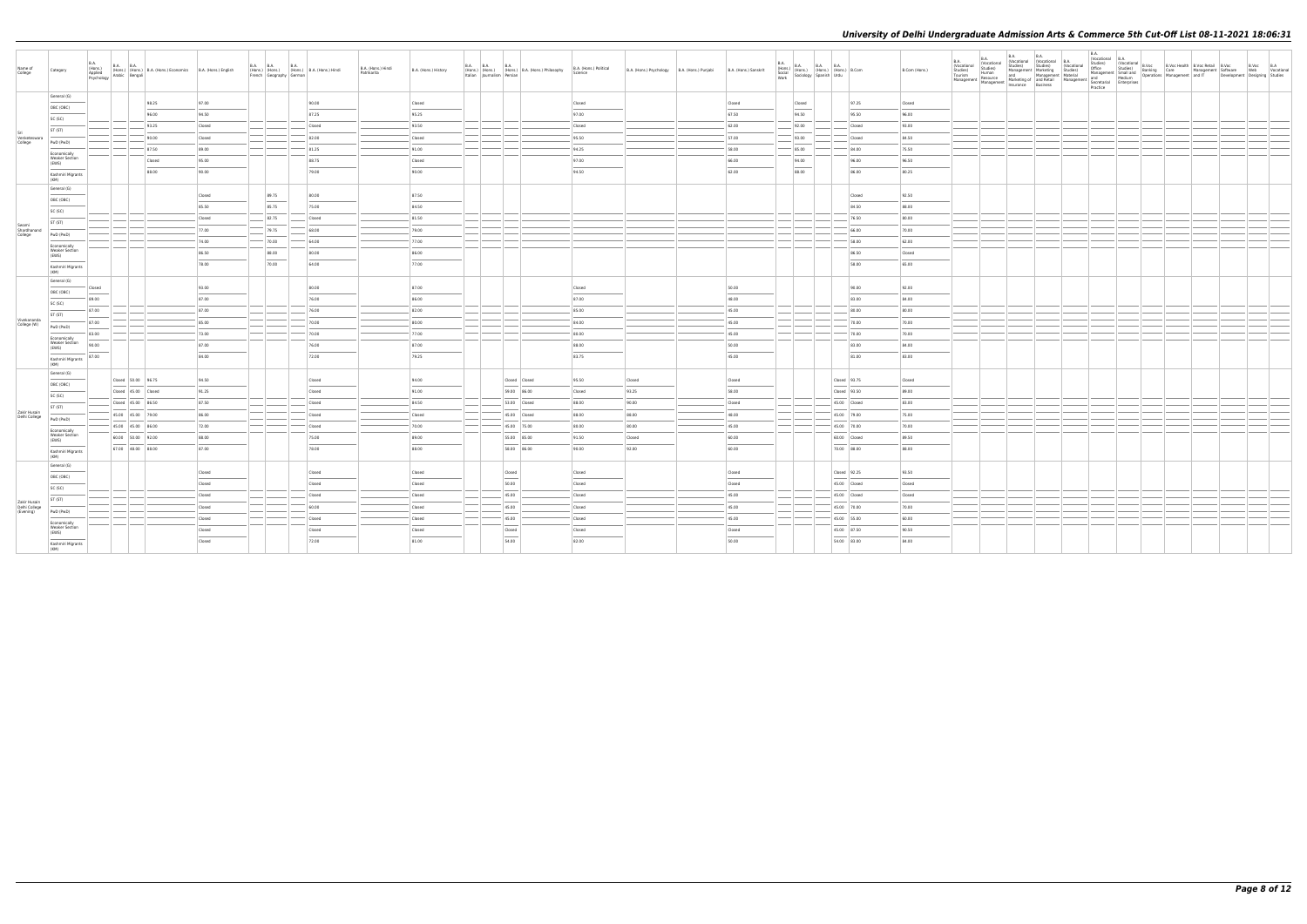| Name of<br>College              | Category                                       | <b>B.A.</b><br>(Hons.)<br>Applied<br>Psychology | B.A. (Hons.) (Hons.) B.A. (Hons.) Economics B.A. (Hons.) English<br>Iv Arabic Bengali |        | French Geography German | B.A. B.A. B.A. B.A. (Hons.) B.A. (Hons.) Hindi | B.A. (Hons.) Hindi<br>Patrikarita | B.A. (Hons.) History | <b>B.A. B.A.</b><br>Italian Journalism Persian | <b>B.A.</b> | (Hons.) (Hons.) (Hons.) B.A. (Hons.) Philosophy | B.A. (Hons.) Political<br>Science | B.A. (Hons.) Psychology B.A. (Hons.) Punjabi |                                   | B.A. (Hons.) Sanskrit | $\begin{array}{ l l l } \hline \text{B.A.} & \text{B.A.} & \text{B.A.} & \text{B.A.} \\ \hline \text{Gocial} & \text{(Hons.)} & \text{(Hons.)} & \text{(Hons.)} & \text{B.Com} \\ \hline \text{Sociology} & \text{Spanish} & \text{Urdu} & \text{B.Com} \\\hline \end{array}$ |              | B.Com (Hons.) | B.A.<br>(Vocational | <b>B.A.</b> | <b>B.A.</b> | Practice |  | B.A.<br>Clocational B.A.<br>Clocational B.Voc (B.Voc Health B.Voc Retail B.Voc<br>Studies) Care (Bangement Schwarf Care<br>And Thewelo | B.Voc B.A<br>Web Vocational<br>Development Designing Studies |
|---------------------------------|------------------------------------------------|-------------------------------------------------|---------------------------------------------------------------------------------------|--------|-------------------------|------------------------------------------------|-----------------------------------|----------------------|------------------------------------------------|-------------|-------------------------------------------------|-----------------------------------|----------------------------------------------|-----------------------------------|-----------------------|-------------------------------------------------------------------------------------------------------------------------------------------------------------------------------------------------------------------------------------------------------------------------------|--------------|---------------|---------------------|-------------|-------------|----------|--|----------------------------------------------------------------------------------------------------------------------------------------|--------------------------------------------------------------|
|                                 | General (G)                                    |                                                 | 98.25                                                                                 | 97.00  |                         | 90.00                                          |                                   | Closed               |                                                |             |                                                 | Closed                            |                                              | Closed                            |                       | Closed                                                                                                                                                                                                                                                                        | 97.25        | Closed        |                     |             |             |          |  |                                                                                                                                        |                                                              |
|                                 | OBC (OBC)                                      |                                                 | 96.00                                                                                 | 94.50  |                         | 87.25                                          |                                   | 95.25                |                                                |             |                                                 | 97.00                             |                                              | 67.50                             |                       | $\sim$<br>94.50                                                                                                                                                                                                                                                               | 95.50        | 96.00         |                     |             |             |          |  |                                                                                                                                        |                                                              |
|                                 | SC (SC)                                        |                                                 | 93.25                                                                                 | Closed |                         | Closed                                         |                                   | 93.50                |                                                |             |                                                 | Closed                            |                                              | 62.00                             |                       | 92.00                                                                                                                                                                                                                                                                         | Closed       | 93.00         |                     |             |             |          |  |                                                                                                                                        |                                                              |
| Venketeswara                    | ST (ST)                                        |                                                 | 90.00                                                                                 | Closed |                         | 82.00                                          |                                   | Closed               |                                                |             |                                                 | 95.50                             |                                              | 57.00                             |                       | 93.00                                                                                                                                                                                                                                                                         | Closed       | 84.50         |                     |             |             |          |  |                                                                                                                                        |                                                              |
| College                         | PwD (PwD)                                      |                                                 | 87.50                                                                                 | 89.00  |                         | 81.25                                          |                                   | 91.00                |                                                |             |                                                 | 94.25                             |                                              | 58.00                             |                       | 85.00                                                                                                                                                                                                                                                                         | 84.00        | 75.50         |                     |             |             |          |  |                                                                                                                                        |                                                              |
|                                 | Economically<br><b>Weaker Section</b><br>(EWS) |                                                 | Closed                                                                                | 95.00  |                         | 88.75                                          |                                   | Closed               |                                                |             |                                                 | 97.00                             |                                              | 66.00                             |                       | 94.00                                                                                                                                                                                                                                                                         | 96.00        | 96.50         |                     |             |             |          |  |                                                                                                                                        |                                                              |
|                                 | Kashmiri Migrants                              |                                                 | 88.00                                                                                 | 90.00  |                         | 79.00                                          |                                   | 90.00                |                                                |             |                                                 | 94.50                             |                                              | 62.00                             |                       | 88.00                                                                                                                                                                                                                                                                         | 86.00        | 80.25         |                     |             |             |          |  |                                                                                                                                        |                                                              |
|                                 | (KM)<br>General (G)                            |                                                 |                                                                                       |        |                         |                                                |                                   |                      |                                                |             |                                                 |                                   |                                              |                                   |                       |                                                                                                                                                                                                                                                                               |              |               |                     |             |             |          |  |                                                                                                                                        |                                                              |
|                                 | OBC (OBC)                                      |                                                 |                                                                                       | Closed | 89.75                   | 80.00                                          |                                   | 87.50                |                                                |             |                                                 |                                   |                                              |                                   |                       |                                                                                                                                                                                                                                                                               | Closed       | 92.50         |                     |             |             |          |  |                                                                                                                                        |                                                              |
|                                 | SC (SC)                                        |                                                 |                                                                                       | 85.50  | 85.75                   | 75.00                                          |                                   | 84.50                |                                                |             |                                                 |                                   |                                              |                                   |                       |                                                                                                                                                                                                                                                                               | 84.50        | 88.00         |                     |             |             |          |  |                                                                                                                                        |                                                              |
|                                 | ST (ST)                                        |                                                 |                                                                                       | Closed | 82.75                   | Closed                                         |                                   | 81.50                |                                                |             |                                                 |                                   |                                              |                                   |                       |                                                                                                                                                                                                                                                                               | 76.50        | 80.00         |                     |             |             |          |  |                                                                                                                                        |                                                              |
| Swami<br>Shardhanand<br>College | PwD (PwD)                                      |                                                 |                                                                                       | 77.00  | 79.75                   | 68.00                                          |                                   | 79.00                |                                                |             |                                                 |                                   |                                              |                                   |                       |                                                                                                                                                                                                                                                                               | 66.00        | 70.00         |                     |             |             |          |  |                                                                                                                                        |                                                              |
|                                 | Economically                                   |                                                 |                                                                                       | 74.00  | $- 70.00$               | 64.00                                          |                                   | 77.00                |                                                |             |                                                 |                                   |                                              |                                   |                       |                                                                                                                                                                                                                                                                               | 58.00        | 62.00         |                     |             |             |          |  |                                                                                                                                        |                                                              |
|                                 | <b>Weaker Section</b><br>(EWS)                 |                                                 |                                                                                       | 86.50  | 88.00                   | 80.00                                          |                                   | 86.00                |                                                |             |                                                 |                                   |                                              |                                   |                       |                                                                                                                                                                                                                                                                               | 86.50        | Closed        |                     |             |             |          |  |                                                                                                                                        |                                                              |
|                                 | Kashmiri Migrants<br>(KM)                      |                                                 |                                                                                       | 78.00  | 70.00                   | 64.00                                          |                                   | 77.00                |                                                |             |                                                 |                                   |                                              |                                   |                       |                                                                                                                                                                                                                                                                               | 58.00        | 65.00         |                     |             |             |          |  |                                                                                                                                        |                                                              |
|                                 | General (G)                                    | Closed                                          |                                                                                       | 93.00  |                         | 80.00                                          |                                   | 87.00                |                                                |             |                                                 | Closed                            |                                              | 50.00                             |                       |                                                                                                                                                                                                                                                                               | 90.00        | 92.00         |                     |             |             |          |  |                                                                                                                                        |                                                              |
|                                 | OBC (OBC)                                      | 89.00                                           |                                                                                       | 87.00  |                         | 76.00                                          |                                   | 86.00                |                                                |             |                                                 | 87.00                             |                                              | 48.00                             |                       |                                                                                                                                                                                                                                                                               | 83.00        | 84.00         |                     |             |             |          |  |                                                                                                                                        |                                                              |
|                                 | SC (SC)                                        | 87.00                                           |                                                                                       | 87.00  |                         | 76.00                                          |                                   | 82.00                |                                                |             |                                                 | 85.00                             |                                              | 45.00                             |                       |                                                                                                                                                                                                                                                                               | 80.00        | 80.00         |                     |             |             |          |  |                                                                                                                                        |                                                              |
| Vivekananda<br>College (W)      | ST (ST)                                        | 87.00                                           |                                                                                       | 85.00  |                         | 70.00                                          |                                   | 80.00                |                                                |             |                                                 | 84.00                             |                                              | 45.00                             |                       |                                                                                                                                                                                                                                                                               | 70.00        | 70.00         |                     |             |             |          |  |                                                                                                                                        |                                                              |
|                                 | PwD (PwD)                                      | 83.00                                           |                                                                                       | 73.00  |                         | 70.00                                          |                                   | 77.00                |                                                |             |                                                 | 80.00                             |                                              | 45.00                             |                       |                                                                                                                                                                                                                                                                               | 70.00        | 70.00         |                     |             |             |          |  |                                                                                                                                        |                                                              |
|                                 | Economically<br><b>Weaker Section</b><br>(EWS) | 90.00                                           |                                                                                       | 87.00  |                         | 76.00                                          |                                   | 87.00                |                                                |             |                                                 | 88.00                             |                                              | 50.00                             |                       |                                                                                                                                                                                                                                                                               | 83.00        | 84.00         |                     |             |             |          |  |                                                                                                                                        |                                                              |
|                                 | Kashmiri Migrants<br>(KM)                      | 87.00                                           |                                                                                       | 84.00  |                         | 72.00                                          |                                   | 79.25                |                                                |             |                                                 | 83.75                             |                                              | $\overline{\phantom{a}}$<br>45.00 |                       |                                                                                                                                                                                                                                                                               | 81.00        | 83.00         |                     |             |             |          |  |                                                                                                                                        |                                                              |
|                                 | General (G)                                    |                                                 |                                                                                       |        |                         |                                                |                                   |                      |                                                |             |                                                 |                                   |                                              |                                   |                       |                                                                                                                                                                                                                                                                               |              |               |                     |             |             |          |  |                                                                                                                                        |                                                              |
|                                 | OBC (OBC)                                      |                                                 | Closed 50.00 96.75                                                                    | 94.50  |                         | Closed                                         |                                   | 94.00                |                                                |             | Closed Closed                                   | 95.50                             | Closed                                       | Closed                            |                       |                                                                                                                                                                                                                                                                               | Closed 93.75 | Closed        |                     |             |             |          |  |                                                                                                                                        |                                                              |
|                                 | SC (SC)                                        |                                                 | Closed 45.00 Closed                                                                   | 91.25  |                         | Closed                                         |                                   | 91.00                |                                                |             | 59.00 86.00                                     | Closed                            | 93.25                                        | 58.00                             |                       |                                                                                                                                                                                                                                                                               | Closed 93.50 | 89.00         |                     |             |             |          |  |                                                                                                                                        |                                                              |
|                                 | ST (ST)                                        |                                                 | Closed 45.00 86.50                                                                    | 87.50  |                         | Closed                                         |                                   | 84.50                |                                                |             | 53.00 Closed                                    | 88.00                             | 90.00                                        | Closed                            |                       |                                                                                                                                                                                                                                                                               | 45.00 Closed | 83.00         |                     |             |             |          |  |                                                                                                                                        |                                                              |
| Zakir Husain<br>Delhi College   | PwD (PwD)                                      |                                                 | 45.00 45.00 79.00                                                                     | 86.00  |                         | Closed                                         |                                   | Closed               |                                                |             | 45.00 Closed                                    | 88.00                             | 88.00                                        | 48.00                             |                       |                                                                                                                                                                                                                                                                               | 45.00 79.00  | 75.00         |                     |             |             |          |  |                                                                                                                                        |                                                              |
|                                 | Economically                                   |                                                 | 45.00 45.00 86.00                                                                     | 72.00  |                         | Closed                                         |                                   | 70.00                |                                                |             | 45.00 75.00                                     | 80.00                             | 80.00                                        | 45.00                             |                       |                                                                                                                                                                                                                                                                               | 45.00 70.00  | 70.00         |                     |             |             |          |  |                                                                                                                                        |                                                              |
|                                 | <b>Weaker Section</b><br>(EWS)                 |                                                 | 60.00 50.00 92.00                                                                     | 88.00  |                         | 75.00                                          |                                   | 89.00                |                                                |             | 55.00 85.00                                     | 91.50                             | Closed                                       | 60.00                             |                       |                                                                                                                                                                                                                                                                               | 60.00 Closed | 89.50         |                     |             |             |          |  |                                                                                                                                        |                                                              |
|                                 | Kashmiri Migrants<br>(KM)                      |                                                 | 67.00 48.00 88.00                                                                     | 87.00  |                         | 78.00                                          |                                   | 88.00                |                                                |             | 58.00 86.00                                     | 90.00                             | 92.00                                        | 60.00                             |                       |                                                                                                                                                                                                                                                                               | 70.00 88.00  | 88.00         |                     |             |             |          |  |                                                                                                                                        |                                                              |
|                                 | General (G)                                    |                                                 |                                                                                       | Closed |                         | Closed                                         |                                   | Closed               |                                                | Closed      |                                                 | Closed                            |                                              | Closed                            |                       |                                                                                                                                                                                                                                                                               | Closed 92.25 | 93.50         |                     |             |             |          |  |                                                                                                                                        |                                                              |
|                                 | OBC (OBC)                                      |                                                 |                                                                                       | Closed |                         | Closed                                         |                                   | Closed               |                                                | 50.00       |                                                 | Closed                            |                                              | Closed                            |                       |                                                                                                                                                                                                                                                                               | 45.00 Closed | Closed        |                     |             |             |          |  |                                                                                                                                        |                                                              |
|                                 | SC (SC)                                        |                                                 |                                                                                       | Closed |                         | Closed                                         |                                   | Closed               |                                                | 45.00       |                                                 | Closed                            |                                              | 45.00                             |                       |                                                                                                                                                                                                                                                                               | 45.00 Closed | Closed        |                     |             |             |          |  |                                                                                                                                        |                                                              |
| Zakir Husain<br>Delhi College   | ST (ST)                                        |                                                 |                                                                                       | Closed |                         | 60.00                                          |                                   | Closed               |                                                | 45.00       |                                                 | Closed                            |                                              | 45.00                             |                       |                                                                                                                                                                                                                                                                               | 45.00 70.00  | 70.00         |                     |             |             |          |  |                                                                                                                                        |                                                              |
| (Evening)                       | PwD (PwD)                                      |                                                 |                                                                                       | Closed |                         | Closed                                         |                                   | Closed               |                                                | 45.00       |                                                 | Closed                            |                                              | 45.00                             |                       |                                                                                                                                                                                                                                                                               | 45.00 55.00  | 60.00         |                     |             |             |          |  |                                                                                                                                        |                                                              |
|                                 | Economically<br><b>Weaker Section</b><br>(EWS) |                                                 |                                                                                       | Closed |                         | Closed                                         |                                   | Closed               |                                                | Closed      |                                                 | Closed                            |                                              | Closed                            |                       |                                                                                                                                                                                                                                                                               | 45.00 87.50  | 90.50         |                     |             |             |          |  |                                                                                                                                        |                                                              |
|                                 | Kashmiri Migrants                              |                                                 |                                                                                       | Closed |                         | 72.00                                          |                                   | 81.00                |                                                | 54.00       |                                                 | 82.00                             |                                              | 50.00                             |                       |                                                                                                                                                                                                                                                                               | 54.00 83.00  | 84.00         |                     |             |             |          |  |                                                                                                                                        |                                                              |
|                                 | (KM)                                           |                                                 |                                                                                       |        |                         |                                                |                                   |                      |                                                |             |                                                 |                                   |                                              |                                   |                       |                                                                                                                                                                                                                                                                               |              |               |                     |             |             |          |  |                                                                                                                                        |                                                              |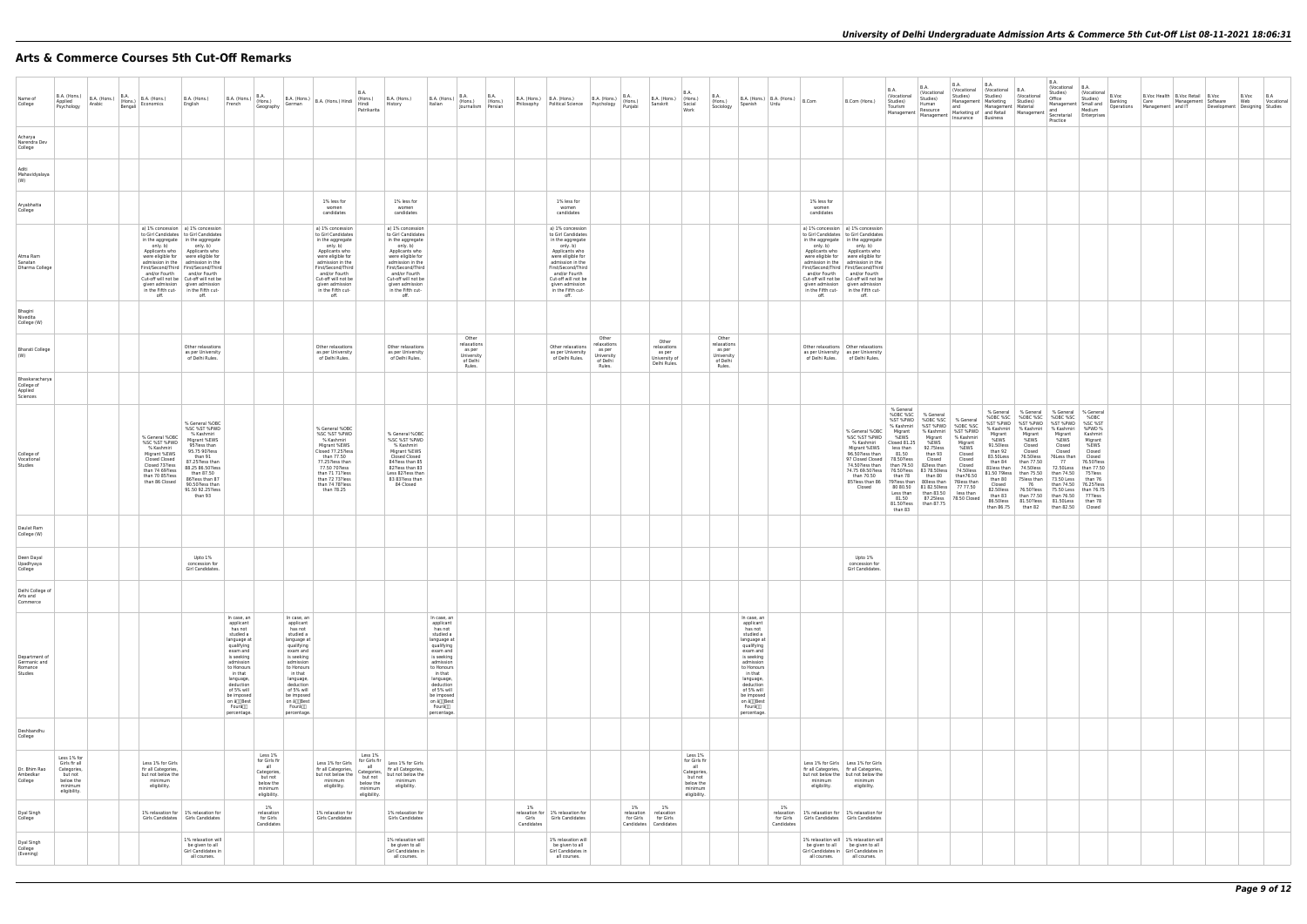# **Arts & Commerce Courses 5th Cut-Off Remarks**

| ıt | B.A.<br>(Vocational<br>Studies)<br>Marketing<br>Management<br>and Retail<br><b>Business</b>                                                                                                                               | B.A.<br>(Vocational<br>Studies)<br>Material<br>Management                                                                                                                                                               | B.A.<br>(Vocational<br>Studies)<br>Office<br>Management<br>and<br>Secretarial<br>Practice                                                                                                                                 | B.A.<br>(Vocational<br>Studies)<br>Small and<br>Medium<br>Enterprises                                                                                                                                  | B.Voc<br>Banking<br>Operations | <b>B.Voc Health</b><br>Care<br>Management | <b>B.Voc Retail</b><br>Management<br>and IT | B.Voc<br>Software<br>Development | B.Voc<br>Web<br>Designing | B.A<br>Vocational<br>Studies |
|----|---------------------------------------------------------------------------------------------------------------------------------------------------------------------------------------------------------------------------|-------------------------------------------------------------------------------------------------------------------------------------------------------------------------------------------------------------------------|---------------------------------------------------------------------------------------------------------------------------------------------------------------------------------------------------------------------------|--------------------------------------------------------------------------------------------------------------------------------------------------------------------------------------------------------|--------------------------------|-------------------------------------------|---------------------------------------------|----------------------------------|---------------------------|------------------------------|
|    |                                                                                                                                                                                                                           |                                                                                                                                                                                                                         |                                                                                                                                                                                                                           |                                                                                                                                                                                                        |                                |                                           |                                             |                                  |                           |                              |
|    |                                                                                                                                                                                                                           |                                                                                                                                                                                                                         |                                                                                                                                                                                                                           |                                                                                                                                                                                                        |                                |                                           |                                             |                                  |                           |                              |
|    |                                                                                                                                                                                                                           |                                                                                                                                                                                                                         |                                                                                                                                                                                                                           |                                                                                                                                                                                                        |                                |                                           |                                             |                                  |                           |                              |
|    |                                                                                                                                                                                                                           |                                                                                                                                                                                                                         |                                                                                                                                                                                                                           |                                                                                                                                                                                                        |                                |                                           |                                             |                                  |                           |                              |
|    |                                                                                                                                                                                                                           |                                                                                                                                                                                                                         |                                                                                                                                                                                                                           |                                                                                                                                                                                                        |                                |                                           |                                             |                                  |                           |                              |
|    |                                                                                                                                                                                                                           |                                                                                                                                                                                                                         |                                                                                                                                                                                                                           |                                                                                                                                                                                                        |                                |                                           |                                             |                                  |                           |                              |
|    |                                                                                                                                                                                                                           |                                                                                                                                                                                                                         |                                                                                                                                                                                                                           |                                                                                                                                                                                                        |                                |                                           |                                             |                                  |                           |                              |
|    |                                                                                                                                                                                                                           |                                                                                                                                                                                                                         |                                                                                                                                                                                                                           |                                                                                                                                                                                                        |                                |                                           |                                             |                                  |                           |                              |
| d  | % General<br>%OBC %SC<br>%ST %PWD<br>% Kashmiri<br>Migrant<br>%EWS<br>91.50less<br>than 92<br>83.50Less<br>than 84<br>81less than<br>81.50 79less<br>than 80<br>Closed<br>82.50less<br>than 83<br>86.50less<br>than 86.75 | % General<br>%OBC %SC<br>%ST %PWD<br>% Kashmiri<br>Migrant<br>%EWS<br>Closed<br>Closed<br>76.50less<br>than 77.50<br>74.50 less<br>than 75.50<br>75less than<br>76<br>76.50?less<br>than 77.50<br>81.50?less<br>than 82 | % General<br>%OBC %SC<br>%ST %PWD<br>% Kashmiri<br>Migrant<br>%EWS<br>Closed<br>Closed<br>76Less than<br>77<br>72.50Less<br>than 74.50<br>73.50 Less<br>than 74.50<br>75.50 Less<br>than 76.50<br>81.50Less<br>than 82.50 | % General<br>%OBC<br>%SC %ST<br>%PWD%<br>Kashmiri<br>Migrant<br>%EWS<br>Closed<br>Closed<br>76.50?less<br>than 77.50<br>75?less<br>than 76<br>76.25?less<br>than 76.75<br>77?less<br>than 78<br>Closed |                                |                                           |                                             |                                  |                           |                              |
|    |                                                                                                                                                                                                                           |                                                                                                                                                                                                                         |                                                                                                                                                                                                                           |                                                                                                                                                                                                        |                                |                                           |                                             |                                  |                           |                              |
|    |                                                                                                                                                                                                                           |                                                                                                                                                                                                                         |                                                                                                                                                                                                                           |                                                                                                                                                                                                        |                                |                                           |                                             |                                  |                           |                              |
|    |                                                                                                                                                                                                                           |                                                                                                                                                                                                                         |                                                                                                                                                                                                                           |                                                                                                                                                                                                        |                                |                                           |                                             |                                  |                           |                              |
|    |                                                                                                                                                                                                                           |                                                                                                                                                                                                                         |                                                                                                                                                                                                                           |                                                                                                                                                                                                        |                                |                                           |                                             |                                  |                           |                              |
|    |                                                                                                                                                                                                                           |                                                                                                                                                                                                                         |                                                                                                                                                                                                                           |                                                                                                                                                                                                        |                                |                                           |                                             |                                  |                           |                              |
|    |                                                                                                                                                                                                                           |                                                                                                                                                                                                                         |                                                                                                                                                                                                                           |                                                                                                                                                                                                        |                                |                                           |                                             |                                  |                           |                              |
|    |                                                                                                                                                                                                                           |                                                                                                                                                                                                                         |                                                                                                                                                                                                                           |                                                                                                                                                                                                        |                                |                                           |                                             |                                  |                           |                              |

| Name of<br>College                                  | B.A. (Hons.)<br>Applied<br>Psychology                                                          | B.A. (Hons.)<br>Arabic | B.A.<br>(Hons.)<br>Bengali | B.A. (Hons.)<br>Economics                                                                                                                               | B.A. (Hons.)<br>English                                                                                                                                                                                                                                                                                                                                                                                                      | B.A. (Hons.)<br>French                                                                                                                                                                                                                                  | B.A.<br>(Hons.)<br>German<br>Geography                                                                                                                                                                                                      | B.A. (Hons.)   B.A. (Hons.) Hindi                                                                                                                                                                                                               | B.A<br>(Hons.)<br>Hindi<br>Patrikarita                                                            | B.A. (Hons.)<br>History                                                                                                                                                                                                                         | B.A. (Hons.)<br>Italian                                                                                                                                                                                                                                 | B.A.<br>(Hons.)<br>Journalism Persian                              | B.A.<br>(Hons.) | Philosophy                                  | B.A. (Hons.)   B.A. (Hons.)<br><b>Political Science</b>                                                                                                                                                                                         | B.A. (Hons.)<br>Psychology                                         | <b>B.A.</b><br>$ $ (Hons.)<br>Punjabi       | B.A. (Hons.)<br>Sanskrit                                        | B.A.<br>(Hons.)<br>Social<br>Work                                                                 | B.A.<br>(Hons.)<br>Sociology                                       | Spanish                                                                                                                                                                                                                                     | B.A. (Hons.) $B.A.$ (Hons.) $B.C.$<br>  Urdu |                                                                                                                                       | B.Com (Hons.)                                                                                                                                                                                                                                                                                                                                      | B.A.<br>(Vocational<br>Studies)<br>Tourism<br>Management                                                                                                                                                                                 | B.A.<br>(Vocational<br>Studies)<br>Human<br>Resource<br>Management                                                                                                                                                       | <b>B.A.</b><br>(Vocational<br>Studies)<br>Management   M<br>and<br>Marketing of are<br>Insurance B<br>Insurance                                                                    | $\frac{N}{S}$ |
|-----------------------------------------------------|------------------------------------------------------------------------------------------------|------------------------|----------------------------|---------------------------------------------------------------------------------------------------------------------------------------------------------|------------------------------------------------------------------------------------------------------------------------------------------------------------------------------------------------------------------------------------------------------------------------------------------------------------------------------------------------------------------------------------------------------------------------------|---------------------------------------------------------------------------------------------------------------------------------------------------------------------------------------------------------------------------------------------------------|---------------------------------------------------------------------------------------------------------------------------------------------------------------------------------------------------------------------------------------------|-------------------------------------------------------------------------------------------------------------------------------------------------------------------------------------------------------------------------------------------------|---------------------------------------------------------------------------------------------------|-------------------------------------------------------------------------------------------------------------------------------------------------------------------------------------------------------------------------------------------------|---------------------------------------------------------------------------------------------------------------------------------------------------------------------------------------------------------------------------------------------------------|--------------------------------------------------------------------|-----------------|---------------------------------------------|-------------------------------------------------------------------------------------------------------------------------------------------------------------------------------------------------------------------------------------------------|--------------------------------------------------------------------|---------------------------------------------|-----------------------------------------------------------------|---------------------------------------------------------------------------------------------------|--------------------------------------------------------------------|---------------------------------------------------------------------------------------------------------------------------------------------------------------------------------------------------------------------------------------------|----------------------------------------------|---------------------------------------------------------------------------------------------------------------------------------------|----------------------------------------------------------------------------------------------------------------------------------------------------------------------------------------------------------------------------------------------------------------------------------------------------------------------------------------------------|------------------------------------------------------------------------------------------------------------------------------------------------------------------------------------------------------------------------------------------|--------------------------------------------------------------------------------------------------------------------------------------------------------------------------------------------------------------------------|------------------------------------------------------------------------------------------------------------------------------------------------------------------------------------|---------------|
| Acharya<br>Narendra Dev<br>College                  |                                                                                                |                        |                            |                                                                                                                                                         |                                                                                                                                                                                                                                                                                                                                                                                                                              |                                                                                                                                                                                                                                                         |                                                                                                                                                                                                                                             |                                                                                                                                                                                                                                                 |                                                                                                   |                                                                                                                                                                                                                                                 |                                                                                                                                                                                                                                                         |                                                                    |                 |                                             |                                                                                                                                                                                                                                                 |                                                                    |                                             |                                                                 |                                                                                                   |                                                                    |                                                                                                                                                                                                                                             |                                              |                                                                                                                                       |                                                                                                                                                                                                                                                                                                                                                    |                                                                                                                                                                                                                                          |                                                                                                                                                                                                                          |                                                                                                                                                                                    |               |
| Aditi<br>Mahavidyalaya<br>(W)                       |                                                                                                |                        |                            |                                                                                                                                                         |                                                                                                                                                                                                                                                                                                                                                                                                                              |                                                                                                                                                                                                                                                         |                                                                                                                                                                                                                                             |                                                                                                                                                                                                                                                 |                                                                                                   |                                                                                                                                                                                                                                                 |                                                                                                                                                                                                                                                         |                                                                    |                 |                                             |                                                                                                                                                                                                                                                 |                                                                    |                                             |                                                                 |                                                                                                   |                                                                    |                                                                                                                                                                                                                                             |                                              |                                                                                                                                       |                                                                                                                                                                                                                                                                                                                                                    |                                                                                                                                                                                                                                          |                                                                                                                                                                                                                          |                                                                                                                                                                                    |               |
| Aryabhatta<br>College                               |                                                                                                |                        |                            |                                                                                                                                                         |                                                                                                                                                                                                                                                                                                                                                                                                                              |                                                                                                                                                                                                                                                         |                                                                                                                                                                                                                                             | 1% less for<br>women<br>candidates                                                                                                                                                                                                              |                                                                                                   | 1% less for<br>women<br>candidates                                                                                                                                                                                                              |                                                                                                                                                                                                                                                         |                                                                    |                 |                                             | 1% less for<br>women<br>candidates                                                                                                                                                                                                              |                                                                    |                                             |                                                                 |                                                                                                   |                                                                    |                                                                                                                                                                                                                                             |                                              | 1% less for<br>women<br>candidates                                                                                                    |                                                                                                                                                                                                                                                                                                                                                    |                                                                                                                                                                                                                                          |                                                                                                                                                                                                                          |                                                                                                                                                                                    |               |
| Atma Ram<br>Sanatan<br>Dharma College               |                                                                                                |                        |                            | only. b)<br>Applicants who<br>and/or Fourth<br>off.                                                                                                     | a) 1% concession   a) 1% concession<br>to Girl Candidates   to Girl Candidates<br>in the aggregate   in the aggregate<br>only. b)<br>Applicants who<br>were eligible for were eligible for<br>admission in the   admission in the<br>First/Second/Third   First/Second/Third<br>and/or Fourth<br>Cut-off will not be   Cut-off will not be<br>given admission given admission<br>in the Fifth cut- in the Fifth cut-<br>off. |                                                                                                                                                                                                                                                         |                                                                                                                                                                                                                                             | a) 1% concession<br>to Girl Candidates<br>in the aggregate<br>only. b)<br>Applicants who<br>were eligible for<br>admission in the<br>First/Second/Third<br>and/or Fourth<br>Cut-off will not be<br>given admission<br>in the Fifth cut-<br>off. |                                                                                                   | a) 1% concession<br>to Girl Candidates<br>in the aggregate<br>only. b)<br>Applicants who<br>were eligible for<br>admission in the<br>First/Second/Third<br>and/or Fourth<br>Cut-off will not be<br>given admission<br>in the Fifth cut-<br>off. |                                                                                                                                                                                                                                                         |                                                                    |                 |                                             | a) 1% concession<br>to Girl Candidates<br>in the aggregate<br>only. b)<br>Applicants who<br>were eligible for<br>admission in the<br>First/Second/Third<br>and/or Fourth<br>Cut-off will not be<br>given admission<br>in the Fifth cut-<br>off. |                                                                    |                                             |                                                                 |                                                                                                   |                                                                    |                                                                                                                                                                                                                                             |                                              | in the aggregate<br>only. b)<br>Applicants who<br>were eligible for<br>admission in the<br>and/or Fourth<br>in the Fifth cut-<br>off. | a) 1% concession   a) 1% concession<br>to Girl Candidates   to Girl Candidates<br>in the aggregate<br>only. b)<br>Applicants who<br>were eligible for<br>admission in the<br>First/Second/Third First/Second/Third<br>and/or Fourth<br>Cut-off will not be   Cut-off will not be<br>given admission   given admission<br>in the Fifth cut-<br>off. |                                                                                                                                                                                                                                          |                                                                                                                                                                                                                          |                                                                                                                                                                                    |               |
| Bhagini<br>Nivedita<br>College (W)                  |                                                                                                |                        |                            |                                                                                                                                                         |                                                                                                                                                                                                                                                                                                                                                                                                                              |                                                                                                                                                                                                                                                         |                                                                                                                                                                                                                                             |                                                                                                                                                                                                                                                 |                                                                                                   |                                                                                                                                                                                                                                                 |                                                                                                                                                                                                                                                         |                                                                    |                 |                                             |                                                                                                                                                                                                                                                 |                                                                    |                                             |                                                                 |                                                                                                   |                                                                    |                                                                                                                                                                                                                                             |                                              |                                                                                                                                       |                                                                                                                                                                                                                                                                                                                                                    |                                                                                                                                                                                                                                          |                                                                                                                                                                                                                          |                                                                                                                                                                                    |               |
| <b>Bharati College</b><br>(W)                       |                                                                                                |                        |                            |                                                                                                                                                         | Other relaxations<br>as per University<br>of Delhi Rules.                                                                                                                                                                                                                                                                                                                                                                    |                                                                                                                                                                                                                                                         |                                                                                                                                                                                                                                             | Other relaxations<br>as per University<br>of Delhi Rules.                                                                                                                                                                                       |                                                                                                   | Other relaxations<br>as per University<br>of Delhi Rules.                                                                                                                                                                                       |                                                                                                                                                                                                                                                         | Other<br>relaxations<br>as per<br>University<br>of Delhi<br>Rules. |                 |                                             | Other relaxations<br>as per University<br>of Delhi Rules.                                                                                                                                                                                       | Other<br>relaxations<br>as per<br>University<br>of Delhi<br>Rules. |                                             | Other<br>relaxations<br>as per<br>University of<br>Delhi Rules. |                                                                                                   | Other<br>relaxations<br>as per<br>University<br>of Delhi<br>Rules. |                                                                                                                                                                                                                                             |                                              | of Delhi Rules.                                                                                                                       | Other relaxations   Other relaxations<br>as per University   as per University<br>of Delhi Rules.                                                                                                                                                                                                                                                  |                                                                                                                                                                                                                                          |                                                                                                                                                                                                                          |                                                                                                                                                                                    |               |
| Bhaskaracharya<br>College of<br>Applied<br>Sciences |                                                                                                |                        |                            |                                                                                                                                                         |                                                                                                                                                                                                                                                                                                                                                                                                                              |                                                                                                                                                                                                                                                         |                                                                                                                                                                                                                                             |                                                                                                                                                                                                                                                 |                                                                                                   |                                                                                                                                                                                                                                                 |                                                                                                                                                                                                                                                         |                                                                    |                 |                                             |                                                                                                                                                                                                                                                 |                                                                    |                                             |                                                                 |                                                                                                   |                                                                    |                                                                                                                                                                                                                                             |                                              |                                                                                                                                       |                                                                                                                                                                                                                                                                                                                                                    |                                                                                                                                                                                                                                          |                                                                                                                                                                                                                          |                                                                                                                                                                                    |               |
| College of<br>Vocational<br>Studies                 |                                                                                                |                        |                            | % General %OBC<br>%SC %ST %PWD<br>% Kashmiri<br>Migrant %EWS<br>Closed Closed<br>Closed 73?less<br>than 74 69?less<br>than 70 85?less<br>than 86 Closed | % General %OBC<br>%SC %ST %PWD<br>% Kashmiri<br>Migrant %EWS<br>95?less than<br>95.75 90?less<br>than 91<br>87.25?less than<br>88.25 86.50?less<br>than 87.50<br>86?less than 87<br>90.50?less than<br>91.50 92.25?less<br>than 93                                                                                                                                                                                           |                                                                                                                                                                                                                                                         |                                                                                                                                                                                                                                             | % General %OBC<br>%SC %ST %PWD<br>% Kashmiri<br>Migrant %EWS<br>Closed 77.25?less<br>than 77.50<br>77.25?less than<br>77.50 70?less<br>than 71 71?less<br>than 72 73?less<br>than 74 78?less<br>than 78.25                                      |                                                                                                   | % General %OBC<br>%SC %ST %PWD<br>% Kashmiri<br>Migrant %EWS<br>Closed Closed<br>84?less than 85<br>82?less than 83<br>Less 82?less than<br>83 83?less than<br>84 Closed                                                                        |                                                                                                                                                                                                                                                         |                                                                    |                 |                                             |                                                                                                                                                                                                                                                 |                                                                    |                                             |                                                                 |                                                                                                   |                                                                    |                                                                                                                                                                                                                                             |                                              |                                                                                                                                       | % General %OBC<br>%SC %ST %PWD<br>% Kashmiri<br>Migrant %EWS<br>96.50?less than<br>97 Closed Closed<br>74.50?less than<br>74.75 69.50?less<br>than 70.50<br>85?less than 86<br>Closed                                                                                                                                                              | % General<br>%OBC %SC<br>%ST %PWD<br>% Kashmiri<br>Migrant<br>%EWS<br>Closed 81.25<br>less than<br>81.50<br>78.50?less<br>than 79.50<br>76.50?less<br>than 78<br>79?less than<br>80 80.50<br>Less than<br>81.50<br>81.50?less<br>than 83 | % General<br>%OBC %SC<br>%ST %PWD<br>% Kashmiri<br>Migrant<br>%EWS<br>92.75less<br>than 93<br>Closed<br>82less than<br>83 78.50 less<br>than 80<br>80less than<br>81 82.50 less<br>than 83.50<br>87.25less<br>than 87.75 | % General<br>%OBC %SC<br>%ST %PWD<br>% Kashmiri<br>Migrant<br>%EWS<br>Closed<br>Closed<br>Closed<br>74.50less<br>than76.50<br>76less than<br>77 77.50<br>less than<br>78.50 Closed |               |
| Daulat Ram<br>College (W)                           |                                                                                                |                        |                            |                                                                                                                                                         |                                                                                                                                                                                                                                                                                                                                                                                                                              |                                                                                                                                                                                                                                                         |                                                                                                                                                                                                                                             |                                                                                                                                                                                                                                                 |                                                                                                   |                                                                                                                                                                                                                                                 |                                                                                                                                                                                                                                                         |                                                                    |                 |                                             |                                                                                                                                                                                                                                                 |                                                                    |                                             |                                                                 |                                                                                                   |                                                                    |                                                                                                                                                                                                                                             |                                              |                                                                                                                                       |                                                                                                                                                                                                                                                                                                                                                    |                                                                                                                                                                                                                                          |                                                                                                                                                                                                                          |                                                                                                                                                                                    |               |
| Deen Dayal<br>Upadhyaya<br>College                  |                                                                                                |                        |                            |                                                                                                                                                         | Upto 1%<br>concession for<br>Girl Candidates.                                                                                                                                                                                                                                                                                                                                                                                |                                                                                                                                                                                                                                                         |                                                                                                                                                                                                                                             |                                                                                                                                                                                                                                                 |                                                                                                   |                                                                                                                                                                                                                                                 |                                                                                                                                                                                                                                                         |                                                                    |                 |                                             |                                                                                                                                                                                                                                                 |                                                                    |                                             |                                                                 |                                                                                                   |                                                                    |                                                                                                                                                                                                                                             |                                              |                                                                                                                                       | Upto 1%<br>concession for<br>Girl Candidates.                                                                                                                                                                                                                                                                                                      |                                                                                                                                                                                                                                          |                                                                                                                                                                                                                          |                                                                                                                                                                                    |               |
| Delhi College of<br>Arts and<br>Commerce            |                                                                                                |                        |                            |                                                                                                                                                         |                                                                                                                                                                                                                                                                                                                                                                                                                              |                                                                                                                                                                                                                                                         |                                                                                                                                                                                                                                             |                                                                                                                                                                                                                                                 |                                                                                                   |                                                                                                                                                                                                                                                 |                                                                                                                                                                                                                                                         |                                                                    |                 |                                             |                                                                                                                                                                                                                                                 |                                                                    |                                             |                                                                 |                                                                                                   |                                                                    |                                                                                                                                                                                                                                             |                                              |                                                                                                                                       |                                                                                                                                                                                                                                                                                                                                                    |                                                                                                                                                                                                                                          |                                                                                                                                                                                                                          |                                                                                                                                                                                    |               |
| Department of<br>Germanic and<br>Romance<br>Studies |                                                                                                |                        |                            |                                                                                                                                                         |                                                                                                                                                                                                                                                                                                                                                                                                                              | In case, an<br>applicant<br>has not<br>studied a<br>language at<br>qualifying<br>exam and<br>is seeking<br>admission<br>to Honours<br>in that<br>language,<br>deduction<br>of 5% will<br>be imposed<br>on â <sub>□</sub> Best<br>Fourâ∏∏<br>percentage. | In case, an<br>applicant<br>has not<br>studied a<br>language at<br>qualifying<br>exam and<br>is seeking<br>admission<br>to Honours<br>in that<br>language,<br>deduction<br>of 5% will<br>be imposed<br>on â∏ Best<br>Fourâ∏∏<br>percentage. |                                                                                                                                                                                                                                                 |                                                                                                   |                                                                                                                                                                                                                                                 | In case, an<br>applicant<br>has not<br>studied a<br>language at<br>qualifying<br>exam and<br>is seeking<br>admission<br>to Honours<br>in that<br>language,<br>deduction<br>of 5% will<br>be imposed<br>on â <sub>□</sub> Best<br>Fourâ∏∏<br>percentage. |                                                                    |                 |                                             |                                                                                                                                                                                                                                                 |                                                                    |                                             |                                                                 |                                                                                                   |                                                                    | In case, an<br>applicant<br>has not<br>studied a<br>language at<br>qualifying<br>exam and<br>is seeking<br>admission<br>to Honours<br>in that<br>language,<br>deduction<br>of 5% will<br>be imposed<br>on â∏ Best<br>Fourâ∏∏<br>percentage. |                                              |                                                                                                                                       |                                                                                                                                                                                                                                                                                                                                                    |                                                                                                                                                                                                                                          |                                                                                                                                                                                                                          |                                                                                                                                                                                    |               |
| Deshbandhu<br>College                               |                                                                                                |                        |                            |                                                                                                                                                         |                                                                                                                                                                                                                                                                                                                                                                                                                              |                                                                                                                                                                                                                                                         |                                                                                                                                                                                                                                             |                                                                                                                                                                                                                                                 |                                                                                                   |                                                                                                                                                                                                                                                 |                                                                                                                                                                                                                                                         |                                                                    |                 |                                             |                                                                                                                                                                                                                                                 |                                                                    |                                             |                                                                 |                                                                                                   |                                                                    |                                                                                                                                                                                                                                             |                                              |                                                                                                                                       |                                                                                                                                                                                                                                                                                                                                                    |                                                                                                                                                                                                                                          |                                                                                                                                                                                                                          |                                                                                                                                                                                    |               |
| Dr. Bhim Rao<br>Ambedkar<br>College                 | Less 1% for<br>Girls fir all<br>Categories,<br>but not<br>below the<br>minimum<br>eligibility. |                        |                            | Less 1% for Girls<br>fir all Categories,<br>but not below the<br>minimum<br>eligibility.                                                                |                                                                                                                                                                                                                                                                                                                                                                                                                              |                                                                                                                                                                                                                                                         | Less 1%<br>for Girls fir<br>all<br>Categories,<br>but not<br>below the<br>minimum<br>eligibility.                                                                                                                                           | Less 1% for Girls<br>fir all Categories,<br>but not below the<br>minimum<br>eligibility.                                                                                                                                                        | Less 1%<br>for Girls fir<br>all<br>Categories,<br>but not<br>below the<br>minimum<br>eligibility. | Less 1% for Girls<br>fir all Categories,<br>but not below the<br>minimum<br>eligibility.                                                                                                                                                        |                                                                                                                                                                                                                                                         |                                                                    |                 |                                             |                                                                                                                                                                                                                                                 |                                                                    |                                             |                                                                 | Less 1%<br>for Girls fir<br>all<br>Categories,<br>but not<br>below the<br>minimum<br>eligibility. |                                                                    |                                                                                                                                                                                                                                             |                                              | minimum<br>eligibility.                                                                                                               | Less 1% for Girls   Less 1% for Girls<br>fir all Categories,   fir all Categories,<br>but not below the but not below the<br>minimum<br>eligibility.                                                                                                                                                                                               |                                                                                                                                                                                                                                          |                                                                                                                                                                                                                          |                                                                                                                                                                                    |               |
| Dyal Singh<br>College                               |                                                                                                |                        |                            |                                                                                                                                                         | 1% relaxation for   1% relaxation for<br>Girls Candidates   Girls Candidates                                                                                                                                                                                                                                                                                                                                                 |                                                                                                                                                                                                                                                         | 1%<br>relaxation<br>for Girls<br>Candidates                                                                                                                                                                                                 | 1% relaxation for<br>Girls Candidates                                                                                                                                                                                                           |                                                                                                   | 1% relaxation for<br><b>Girls Candidates</b>                                                                                                                                                                                                    |                                                                                                                                                                                                                                                         |                                                                    |                 | 1%<br>relaxation for<br>Girls<br>Candidates | 1% relaxation for<br>Girls Candidates                                                                                                                                                                                                           |                                                                    | 1%<br>relaxation<br>for Girls<br>Candidates | 1%<br>relaxation<br>for Girls<br>Candidates                     |                                                                                                   |                                                                    |                                                                                                                                                                                                                                             | 1%<br>relaxation<br>for Girls<br>Candidates  |                                                                                                                                       | 1% relaxation for   1% relaxation for<br>Girls Candidates   Girls Candidates                                                                                                                                                                                                                                                                       |                                                                                                                                                                                                                                          |                                                                                                                                                                                                                          |                                                                                                                                                                                    |               |
| Dyal Singh<br>College<br>(Evening)                  |                                                                                                |                        |                            |                                                                                                                                                         | 1% relaxation will<br>be given to all<br>Girl Candidates in<br>all courses.                                                                                                                                                                                                                                                                                                                                                  |                                                                                                                                                                                                                                                         |                                                                                                                                                                                                                                             |                                                                                                                                                                                                                                                 |                                                                                                   | 1% relaxation will<br>be given to all<br>Girl Candidates in<br>all courses.                                                                                                                                                                     |                                                                                                                                                                                                                                                         |                                                                    |                 |                                             | 1% relaxation will<br>be given to all<br>Girl Candidates in<br>all courses.                                                                                                                                                                     |                                                                    |                                             |                                                                 |                                                                                                   |                                                                    |                                                                                                                                                                                                                                             |                                              | be given to all<br>all courses.                                                                                                       | 1% relaxation will   1% relaxation will<br>be given to all<br>Girl Candidates in   Girl Candidates in<br>all courses.                                                                                                                                                                                                                              |                                                                                                                                                                                                                                          |                                                                                                                                                                                                                          |                                                                                                                                                                                    |               |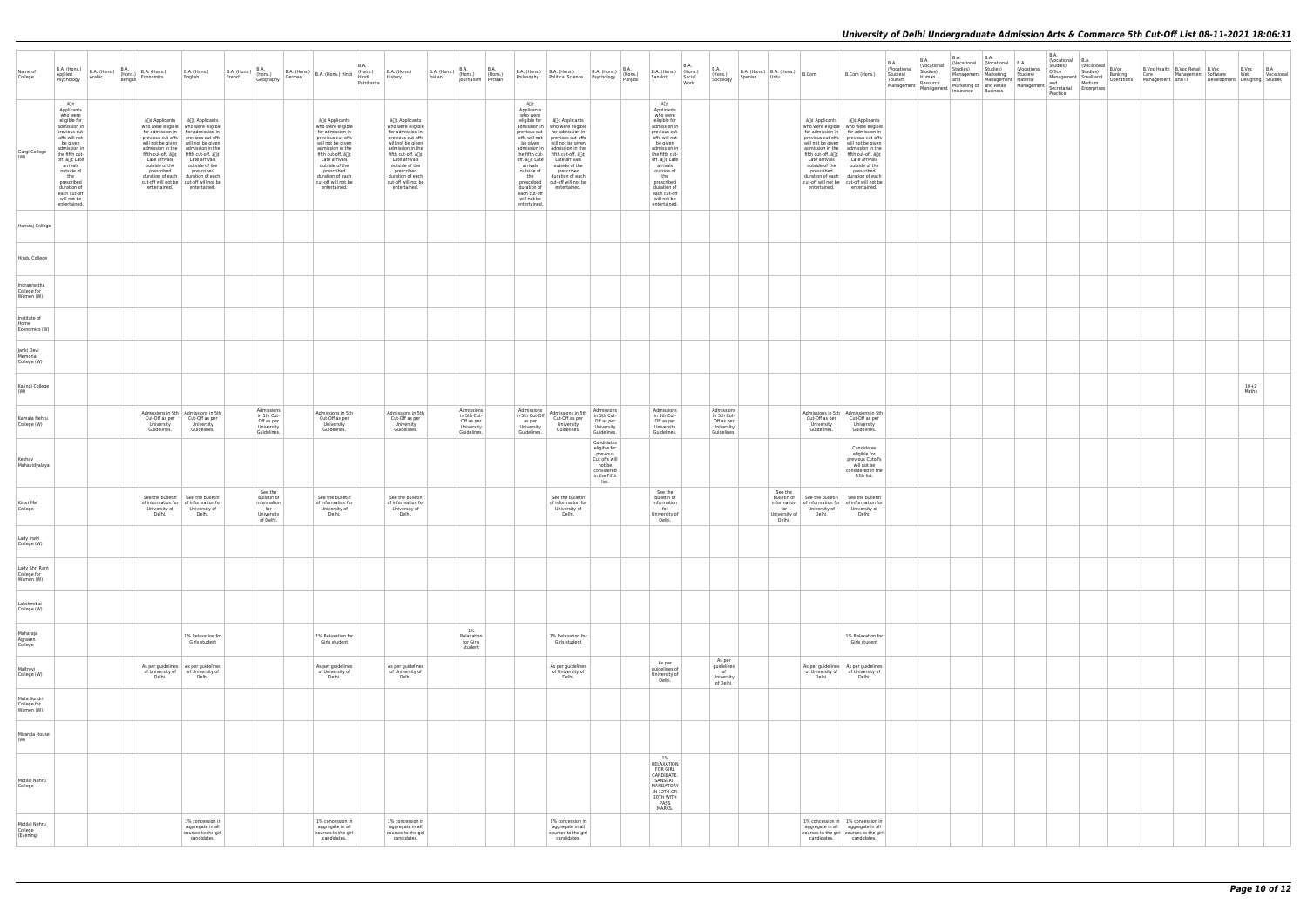| Name of<br>College                        |                                                                                                                                                                                                                                                                             | B.A. (Hons.) B.A. (Hons.) B.A. (Hons.) B.A. (Hons.)<br>Psychology Arabic Bengali Economics | B.A. (Hons.)<br>English                                                                                                                                                                                                                                                                                                                                                                                                                          | $B.A.$ (Hons.) $B.A.$ (Hons.)<br>French | Geography                                                               | B.A. (Hons.) B.A. (Hons.) Hindi (Hons.) B.A. (Hons.)<br>German B.A. (Hons.) Hindi Hindi History                                                                                                                                                          | <b>B.A.</b><br>Patrikarita |                                                                                                                                                                                                                                                         | Italian | $B.A.$ (Hons.) $B.A.$ $B.A.$ (Hons.) (Hons.)<br>Journalism Persian |                                                                                                                                          | B.A. (Hons.) B.A. (Hons.) B.A. (Hons.) B.A. (Hons.) Philosophy Political Science Psychology Punjabi                                                                                                                                                                                                                                                                            |                                                                                            | B.A. (Hons.) (Hons.)<br>Sanskrit Social                                                                                                                                                                                                                                     | <b>B.A.</b><br>Social<br>Work | <b>B.A.</b><br>(Hons.)<br>Sociology      | B.A. (Hons.) B.A. (Hons.) $B.Com$<br>Spanish Urdu        |                                                                                                          | B.Com (Hons.)                                                                                                                                                                                                                                                                                                                                      | <b>B.A.</b><br>(Vocational<br>Studies)<br>Tourism<br>Management Resource Manketing of and Retail Management and Medium<br>Insurance Business<br>Insurance Business<br>Practice Particular Detections<br>Practice Particular Detections<br>Practice Particular Detections<br>Practice Particular | <b>B.A.</b><br>Vocational<br>Studies)<br>Human | <b>B.A.</b><br>Vocational (Vocational B.A.<br>Studies)<br>Management Marketing Studies)<br>and | <b>B.A.</b><br>Management   Material | Studies) (Vocational | <b>B.A.</b><br>(Vocational B.A.<br>Studies)<br>Office | Vocational B.Voc<br>Studies) | Banking | B.Voc Health   B.Voc Retail   B.Voc<br>Care Management Software<br>Management Small and Detrictions Management and IT Development Designing Studies |  | B.Voc B.A<br>Web | Vocational |
|-------------------------------------------|-----------------------------------------------------------------------------------------------------------------------------------------------------------------------------------------------------------------------------------------------------------------------------|--------------------------------------------------------------------------------------------|--------------------------------------------------------------------------------------------------------------------------------------------------------------------------------------------------------------------------------------------------------------------------------------------------------------------------------------------------------------------------------------------------------------------------------------------------|-----------------------------------------|-------------------------------------------------------------------------|----------------------------------------------------------------------------------------------------------------------------------------------------------------------------------------------------------------------------------------------------------|----------------------------|---------------------------------------------------------------------------------------------------------------------------------------------------------------------------------------------------------------------------------------------------------|---------|--------------------------------------------------------------------|------------------------------------------------------------------------------------------------------------------------------------------|--------------------------------------------------------------------------------------------------------------------------------------------------------------------------------------------------------------------------------------------------------------------------------------------------------------------------------------------------------------------------------|--------------------------------------------------------------------------------------------|-----------------------------------------------------------------------------------------------------------------------------------------------------------------------------------------------------------------------------------------------------------------------------|-------------------------------|------------------------------------------|----------------------------------------------------------|----------------------------------------------------------------------------------------------------------|----------------------------------------------------------------------------------------------------------------------------------------------------------------------------------------------------------------------------------------------------------------------------------------------------------------------------------------------------|-------------------------------------------------------------------------------------------------------------------------------------------------------------------------------------------------------------------------------------------------------------------------------------------------|------------------------------------------------|------------------------------------------------------------------------------------------------|--------------------------------------|----------------------|-------------------------------------------------------|------------------------------|---------|-----------------------------------------------------------------------------------------------------------------------------------------------------|--|------------------|------------|
| Gargi College                             | â∏¢<br>Applicants<br>who were<br>eligible for<br>admission in<br>previous cut-<br>offs will not<br>be given<br>admission in<br>the fifth cut-<br>off. â∏¢ Late<br>arrivals<br>outside of<br>the<br>prescribed<br>duration of<br>each cut-off<br>will not be<br>entertained. | outside of the<br>prescribed<br>entertained.                                               | â∏¢ Applicants   â∏¢ Applicants<br>who were eligible   who were eligible<br>for admission in   for admission in<br>previous cut-offs previous cut-offs<br>will not be given   will not be given<br>admission in the admission in the<br>fifth cut-off. â[]¢   fifth cut-off. â[]¢<br>Late arrivals Late arrivals<br>outside of the<br>prescribed<br>duration of each duration of each<br>cut-off will not be cut-off will not be<br>entertained. |                                         |                                                                         | â∏¢ Applicants<br>who were eligible<br>for admission in<br>previous cut-offs<br>will not be given<br>admission in the<br>fifth cut-off. â[]¢<br>Late arrivals<br>outside of the<br>prescribed<br>duration of each<br>cut-off will not be<br>entertained. |                            | â∏¢ Applicants<br>who were eligible<br>for admission in<br>previous cut-offs<br>will not be given<br>admission in the<br>fifth cut-off. â∏¢<br>Late arrivals<br>outside of the<br>prescribed<br>duration of each<br>cut-off will not be<br>entertained. |         |                                                                    | â∏¢<br>Applicants<br>who were<br>be given<br>arrivals<br>outside of<br>the<br>duration of<br>each cut-off<br>will not be<br>entertained. | eligible for   â⊡¢ Applicants<br>admission in   who were eligible<br>previous cut- for admission in<br>offs will not   previous cut-offs<br>will not be given<br>admission in   admission in the<br>the fifth cut- fifth cut-off. â[]¢<br>off. â[]¢ Late   Late arrivals<br>outside of the<br>prescribed<br>duration of each<br>prescribed cut-off will not be<br>entertained. |                                                                                            | â∏¢<br>Applicants<br>who were<br>eligible for<br>admission in<br>previous cut-<br>offs will not<br>be given<br>admission in<br>the fifth cut-<br>off. â∏¢ Late<br>arrivals<br>outside of<br>the<br>prescribed<br>duration of<br>each cut-off<br>will not be<br>entertained. |                               |                                          |                                                          | Late arrivals<br>outside of the<br>prescribed<br>cut-off will not be cut-off will not be<br>entertained. | â[]¢ Applicants   â[]¢ Applicants<br>who were eligible   who were eligible<br>for admission in   for admission in<br>will not be given   will not be given<br>admission in the admission in the<br>fifth cut-off. â[]¢   fifth cut-off. â[]¢<br>Late arrivals<br>outside of the<br>prescribed<br>duration of each duration of each<br>entertained. |                                                                                                                                                                                                                                                                                                 |                                                |                                                                                                |                                      |                      |                                                       |                              |         |                                                                                                                                                     |  |                  |            |
| Hansraj College                           |                                                                                                                                                                                                                                                                             |                                                                                            |                                                                                                                                                                                                                                                                                                                                                                                                                                                  |                                         |                                                                         |                                                                                                                                                                                                                                                          |                            |                                                                                                                                                                                                                                                         |         |                                                                    |                                                                                                                                          |                                                                                                                                                                                                                                                                                                                                                                                |                                                                                            |                                                                                                                                                                                                                                                                             |                               |                                          |                                                          |                                                                                                          |                                                                                                                                                                                                                                                                                                                                                    |                                                                                                                                                                                                                                                                                                 |                                                |                                                                                                |                                      |                      |                                                       |                              |         |                                                                                                                                                     |  |                  |            |
| Hindu College                             |                                                                                                                                                                                                                                                                             |                                                                                            |                                                                                                                                                                                                                                                                                                                                                                                                                                                  |                                         |                                                                         |                                                                                                                                                                                                                                                          |                            |                                                                                                                                                                                                                                                         |         |                                                                    |                                                                                                                                          |                                                                                                                                                                                                                                                                                                                                                                                |                                                                                            |                                                                                                                                                                                                                                                                             |                               |                                          |                                                          |                                                                                                          |                                                                                                                                                                                                                                                                                                                                                    |                                                                                                                                                                                                                                                                                                 |                                                |                                                                                                |                                      |                      |                                                       |                              |         |                                                                                                                                                     |  |                  |            |
| Indraprastha<br>College for<br>Women (W)  |                                                                                                                                                                                                                                                                             |                                                                                            |                                                                                                                                                                                                                                                                                                                                                                                                                                                  |                                         |                                                                         |                                                                                                                                                                                                                                                          |                            |                                                                                                                                                                                                                                                         |         |                                                                    |                                                                                                                                          |                                                                                                                                                                                                                                                                                                                                                                                |                                                                                            |                                                                                                                                                                                                                                                                             |                               |                                          |                                                          |                                                                                                          |                                                                                                                                                                                                                                                                                                                                                    |                                                                                                                                                                                                                                                                                                 |                                                |                                                                                                |                                      |                      |                                                       |                              |         |                                                                                                                                                     |  |                  |            |
| Institute of<br>Home<br>Economics (W)     |                                                                                                                                                                                                                                                                             |                                                                                            |                                                                                                                                                                                                                                                                                                                                                                                                                                                  |                                         |                                                                         |                                                                                                                                                                                                                                                          |                            |                                                                                                                                                                                                                                                         |         |                                                                    |                                                                                                                                          |                                                                                                                                                                                                                                                                                                                                                                                |                                                                                            |                                                                                                                                                                                                                                                                             |                               |                                          |                                                          |                                                                                                          |                                                                                                                                                                                                                                                                                                                                                    |                                                                                                                                                                                                                                                                                                 |                                                |                                                                                                |                                      |                      |                                                       |                              |         |                                                                                                                                                     |  |                  |            |
| Janki Devi<br>Memorial<br>College (W)     |                                                                                                                                                                                                                                                                             |                                                                                            |                                                                                                                                                                                                                                                                                                                                                                                                                                                  |                                         |                                                                         |                                                                                                                                                                                                                                                          |                            |                                                                                                                                                                                                                                                         |         |                                                                    |                                                                                                                                          |                                                                                                                                                                                                                                                                                                                                                                                |                                                                                            |                                                                                                                                                                                                                                                                             |                               |                                          |                                                          |                                                                                                          |                                                                                                                                                                                                                                                                                                                                                    |                                                                                                                                                                                                                                                                                                 |                                                |                                                                                                |                                      |                      |                                                       |                              |         |                                                                                                                                                     |  |                  |            |
| Kalindi College                           |                                                                                                                                                                                                                                                                             |                                                                                            |                                                                                                                                                                                                                                                                                                                                                                                                                                                  |                                         |                                                                         |                                                                                                                                                                                                                                                          |                            |                                                                                                                                                                                                                                                         |         |                                                                    |                                                                                                                                          |                                                                                                                                                                                                                                                                                                                                                                                |                                                                                            |                                                                                                                                                                                                                                                                             |                               |                                          |                                                          |                                                                                                          |                                                                                                                                                                                                                                                                                                                                                    |                                                                                                                                                                                                                                                                                                 |                                                |                                                                                                |                                      |                      |                                                       |                              |         |                                                                                                                                                     |  | $10 + 2$         |            |
| (W)<br>Kamala Nehru                       |                                                                                                                                                                                                                                                                             | Cut-Off as per                                                                             | Admissions in 5th   Admissions in 5th<br>Cut-Off as per                                                                                                                                                                                                                                                                                                                                                                                          |                                         | Admissions<br>in 5th Cut-                                               | Admissions in 5th<br>Cut-Off as per                                                                                                                                                                                                                      |                            | Admissions in 5th<br>Cut-Off as per                                                                                                                                                                                                                     |         | Admissions<br>in 5th Cut-                                          | Admissions<br>in 5th Cut-Off                                                                                                             | Admissions in 5th<br>Cut-Off as per                                                                                                                                                                                                                                                                                                                                            | Admissions<br>in 5th Cut-                                                                  | Admissions<br>in 5th Cut-                                                                                                                                                                                                                                                   |                               | Admissions<br>in 5th Cut-                |                                                          | Cut-Off as per                                                                                           | Admissions in 5th   Admissions in 5th<br>Cut-Off as per                                                                                                                                                                                                                                                                                            |                                                                                                                                                                                                                                                                                                 |                                                |                                                                                                |                                      |                      |                                                       |                              |         |                                                                                                                                                     |  | Maths            |            |
| College (W)                               |                                                                                                                                                                                                                                                                             | University<br>Guidelines.                                                                  | University<br>Guidelines.                                                                                                                                                                                                                                                                                                                                                                                                                        |                                         | Off as per<br>University<br>Guidelines.                                 | University<br>Guidelines.                                                                                                                                                                                                                                |                            | University<br>Guidelines.                                                                                                                                                                                                                               |         | Off as per<br>University<br>Guidelines.                            | as per<br>University<br>Guidelines.                                                                                                      | University<br>Guidelines.                                                                                                                                                                                                                                                                                                                                                      | Off as per<br>University<br>Guidelines.<br>Candidates                                      | Off as per<br>University<br>Guidelines.                                                                                                                                                                                                                                     |                               | Off as per<br>University<br>Guidelines.  |                                                          | University<br>Guidelines.                                                                                | University<br>Guidelines.                                                                                                                                                                                                                                                                                                                          |                                                                                                                                                                                                                                                                                                 |                                                |                                                                                                |                                      |                      |                                                       |                              |         |                                                                                                                                                     |  |                  |            |
| Keshav<br>Mahavidyalaya                   |                                                                                                                                                                                                                                                                             |                                                                                            |                                                                                                                                                                                                                                                                                                                                                                                                                                                  |                                         |                                                                         |                                                                                                                                                                                                                                                          |                            |                                                                                                                                                                                                                                                         |         |                                                                    |                                                                                                                                          |                                                                                                                                                                                                                                                                                                                                                                                | eligible for<br>previous<br>Cut offs will<br>not be<br>considered<br>in the Fifth<br>list. |                                                                                                                                                                                                                                                                             |                               |                                          |                                                          |                                                                                                          | Candidates<br>eligible for<br>previous Cutoffs<br>will not be<br>considered in the<br>Fifth list.                                                                                                                                                                                                                                                  |                                                                                                                                                                                                                                                                                                 |                                                |                                                                                                |                                      |                      |                                                       |                              |         |                                                                                                                                                     |  |                  |            |
| Kirori Mal<br>College                     |                                                                                                                                                                                                                                                                             | University of<br>Delhi.                                                                    | See the bulletin See the bulletin<br>of information for   of information for<br>University of<br>Delhi.                                                                                                                                                                                                                                                                                                                                          |                                         | See the<br>bulletin of<br>information<br>for<br>University<br>of Delhi. | See the bulletin<br>of information for<br>University of<br>Delhi.                                                                                                                                                                                        |                            | See the bulletin<br>of information for<br>University of<br>Delhi.                                                                                                                                                                                       |         |                                                                    |                                                                                                                                          | See the bulletin<br>of information for<br>University of<br>Delhi.                                                                                                                                                                                                                                                                                                              |                                                                                            | See the<br>bulletin of<br>information<br>for<br>University of<br>Delhi.                                                                                                                                                                                                     |                               |                                          | See the<br>bulletin of<br>for<br>University of<br>Delhi. | See the bulletin<br>information of information for of information for<br>University of<br>Delhi.         | See the bulletin<br>University of<br>Delhi.                                                                                                                                                                                                                                                                                                        |                                                                                                                                                                                                                                                                                                 |                                                |                                                                                                |                                      |                      |                                                       |                              |         |                                                                                                                                                     |  |                  |            |
| Lady Irwin<br>College (W)                 |                                                                                                                                                                                                                                                                             |                                                                                            |                                                                                                                                                                                                                                                                                                                                                                                                                                                  |                                         |                                                                         |                                                                                                                                                                                                                                                          |                            |                                                                                                                                                                                                                                                         |         |                                                                    |                                                                                                                                          |                                                                                                                                                                                                                                                                                                                                                                                |                                                                                            |                                                                                                                                                                                                                                                                             |                               |                                          |                                                          |                                                                                                          |                                                                                                                                                                                                                                                                                                                                                    |                                                                                                                                                                                                                                                                                                 |                                                |                                                                                                |                                      |                      |                                                       |                              |         |                                                                                                                                                     |  |                  |            |
| Lady Shri Ram<br>College for<br>Women (W) |                                                                                                                                                                                                                                                                             |                                                                                            |                                                                                                                                                                                                                                                                                                                                                                                                                                                  |                                         |                                                                         |                                                                                                                                                                                                                                                          |                            |                                                                                                                                                                                                                                                         |         |                                                                    |                                                                                                                                          |                                                                                                                                                                                                                                                                                                                                                                                |                                                                                            |                                                                                                                                                                                                                                                                             |                               |                                          |                                                          |                                                                                                          |                                                                                                                                                                                                                                                                                                                                                    |                                                                                                                                                                                                                                                                                                 |                                                |                                                                                                |                                      |                      |                                                       |                              |         |                                                                                                                                                     |  |                  |            |
| Lakshmibai<br>College (W)                 |                                                                                                                                                                                                                                                                             |                                                                                            |                                                                                                                                                                                                                                                                                                                                                                                                                                                  |                                         |                                                                         |                                                                                                                                                                                                                                                          |                            |                                                                                                                                                                                                                                                         |         |                                                                    |                                                                                                                                          |                                                                                                                                                                                                                                                                                                                                                                                |                                                                                            |                                                                                                                                                                                                                                                                             |                               |                                          |                                                          |                                                                                                          |                                                                                                                                                                                                                                                                                                                                                    |                                                                                                                                                                                                                                                                                                 |                                                |                                                                                                |                                      |                      |                                                       |                              |         |                                                                                                                                                     |  |                  |            |
| Maharaja<br>Agrasen<br>College            |                                                                                                                                                                                                                                                                             |                                                                                            | 1% Relaxation for<br>Girls student                                                                                                                                                                                                                                                                                                                                                                                                               |                                         |                                                                         | 1% Relaxation for<br>Girls student                                                                                                                                                                                                                       |                            |                                                                                                                                                                                                                                                         |         | 1%<br>Relaxation<br>for Girls<br>student                           |                                                                                                                                          | 1% Relaxation for<br>Girls student                                                                                                                                                                                                                                                                                                                                             |                                                                                            |                                                                                                                                                                                                                                                                             |                               |                                          |                                                          |                                                                                                          | 1% Relaxation for<br>Girls student                                                                                                                                                                                                                                                                                                                 |                                                                                                                                                                                                                                                                                                 |                                                |                                                                                                |                                      |                      |                                                       |                              |         |                                                                                                                                                     |  |                  |            |
| Maitreyi<br>College (W)                   |                                                                                                                                                                                                                                                                             | Delhi.                                                                                     | As per guidelines   As per guidelines<br>of University of   of University of<br>Delhi.                                                                                                                                                                                                                                                                                                                                                           |                                         |                                                                         | As per guidelines<br>of University of<br>Delhi.                                                                                                                                                                                                          |                            | As per guidelines<br>of University of<br>Delhi.                                                                                                                                                                                                         |         |                                                                    |                                                                                                                                          | As per guidelines<br>of University of<br>Delhi.                                                                                                                                                                                                                                                                                                                                |                                                                                            | As per<br>guidelines of<br>University of<br>Delhi.                                                                                                                                                                                                                          |                               | As per<br>guidelines<br>of<br>University |                                                          | Delhi.                                                                                                   | As per guidelines   As per guidelines<br>of University of of University of<br>Delhi.                                                                                                                                                                                                                                                               |                                                                                                                                                                                                                                                                                                 |                                                |                                                                                                |                                      |                      |                                                       |                              |         |                                                                                                                                                     |  |                  |            |
| Mata Sundri<br>College for<br>Women (W)   |                                                                                                                                                                                                                                                                             |                                                                                            |                                                                                                                                                                                                                                                                                                                                                                                                                                                  |                                         |                                                                         |                                                                                                                                                                                                                                                          |                            |                                                                                                                                                                                                                                                         |         |                                                                    |                                                                                                                                          |                                                                                                                                                                                                                                                                                                                                                                                |                                                                                            |                                                                                                                                                                                                                                                                             |                               | of Delhi.                                |                                                          |                                                                                                          |                                                                                                                                                                                                                                                                                                                                                    |                                                                                                                                                                                                                                                                                                 |                                                |                                                                                                |                                      |                      |                                                       |                              |         |                                                                                                                                                     |  |                  |            |
| Miranda House<br>(W)                      |                                                                                                                                                                                                                                                                             |                                                                                            |                                                                                                                                                                                                                                                                                                                                                                                                                                                  |                                         |                                                                         |                                                                                                                                                                                                                                                          |                            |                                                                                                                                                                                                                                                         |         |                                                                    |                                                                                                                                          |                                                                                                                                                                                                                                                                                                                                                                                |                                                                                            |                                                                                                                                                                                                                                                                             |                               |                                          |                                                          |                                                                                                          |                                                                                                                                                                                                                                                                                                                                                    |                                                                                                                                                                                                                                                                                                 |                                                |                                                                                                |                                      |                      |                                                       |                              |         |                                                                                                                                                     |  |                  |            |
| Motilal Nehru<br>College                  |                                                                                                                                                                                                                                                                             |                                                                                            |                                                                                                                                                                                                                                                                                                                                                                                                                                                  |                                         |                                                                         |                                                                                                                                                                                                                                                          |                            |                                                                                                                                                                                                                                                         |         |                                                                    |                                                                                                                                          |                                                                                                                                                                                                                                                                                                                                                                                |                                                                                            | 1%<br>RELAXATION<br><b>FOR GIRL</b><br>CANDIDATE.<br>SANSKRIT<br>MANDATORY<br>IN 12TH OR<br>10TH WITH<br>PASS<br>MARKS.                                                                                                                                                     |                               |                                          |                                                          |                                                                                                          |                                                                                                                                                                                                                                                                                                                                                    |                                                                                                                                                                                                                                                                                                 |                                                |                                                                                                |                                      |                      |                                                       |                              |         |                                                                                                                                                     |  |                  |            |
| Motilal Nehru<br>College<br>(Evening)     |                                                                                                                                                                                                                                                                             |                                                                                            | 1% concession in<br>aggregate in all<br>courses to the girl<br>candidates.                                                                                                                                                                                                                                                                                                                                                                       |                                         |                                                                         | 1% concession in<br>aggregate in all<br>courses to the girl<br>candidates.                                                                                                                                                                               |                            | 1% concession in<br>aggregate in all<br>courses to the girl<br>candidates.                                                                                                                                                                              |         |                                                                    |                                                                                                                                          | 1% concession in<br>aggregate in all<br>courses to the girl<br>candidates.                                                                                                                                                                                                                                                                                                     |                                                                                            |                                                                                                                                                                                                                                                                             |                               |                                          |                                                          |                                                                                                          | 1% concession in   1% concession in<br>aggregate in all aggregate in all<br>courses to the girl courses to the girl<br>candidates. candidates.                                                                                                                                                                                                     |                                                                                                                                                                                                                                                                                                 |                                                |                                                                                                |                                      |                      |                                                       |                              |         |                                                                                                                                                     |  |                  |            |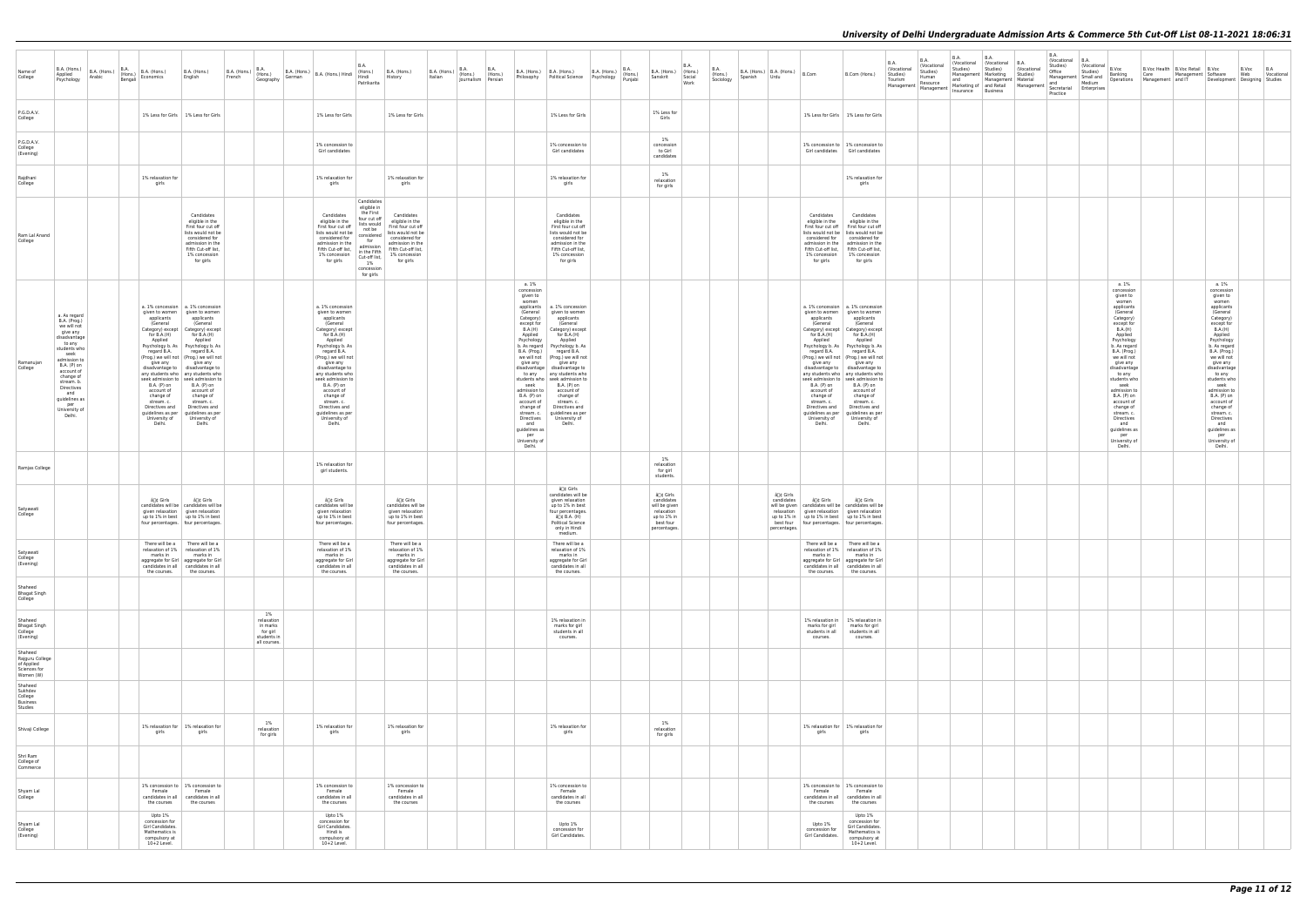| Name of<br>College                                                                                                            | B.A. (Hons.)<br>B.A. (Hons.)<br>Applied<br>Arabic<br>Psychology                                                                                                                                                                                           | <b>B.A.</b><br>B.A. (Hons.)<br>(Hons.)<br>Bengali<br>Economics                                                                                                                   | B.A. (Hons.)<br>English                                                                                                                                                                                                                                                                                                                                                                                                                                                                                                                         | B.A. (Hons.) Hons.)<br>French (Hons.) | <b>B.A.</b>                                                             | German | $B.A.$ (Hons.) $B.A.$ (Hons.) Hindi (Hons.)                                                                                                                                                                                                                                                                                                                            | B.A.<br>Hindi<br>Patrikarita                                                                                                                                                        | B.A. (Hons.)<br>History                                                                                                                                              | Italian | <b>B.A.</b><br><b>B.A.</b><br>$B.A.$ (Hons.) $\begin{bmatrix} D.A. \\$ (Hons.) $\end{bmatrix}$ (Hons.)<br>Journalism Persian |                                                                                                                                                                                                                                                                                                                                       | B.A. (Hons.) B.A. (Hons.) B.A. (Hons.)<br>Philosophy Political Science Psychology                                                                                                                                                                                                                                                                                                                                       | <b>B.A.</b><br>(Hons.)<br>Punjabi | B.A. (Hons.) (Hons.)<br>Sanskrit                                                                   | <b>B.A.</b><br>Social<br>Work | <b>B.A.</b><br>$\Big $ B.A. (Hons.) $\Big $ B.A. (Hons.) $\Big $ B.Com<br>(Hons.)<br>Spanish<br>Urdu<br>Sociology |                                                      |                                                                                                                                                                                  | B.Com (Hons.)                                                                                                                                                                                                                                                                                                                                                                                                                                                                                                                                 | <b>B.A.</b><br>(Vocational<br>Studies)<br>Tourism<br>Management | B.A.<br>(Vocational<br>Studies)<br>Human<br>Resource | <b>B.A.</b><br>Studies)<br>and<br>Management   Management   Management   Management   Management   Business | B.A.<br>  (Vocational   (Vocational   B.A.<br>Studies)<br>Management   Marketing<br>Management   Material | (Vocational<br>Studies)<br>Marketing of and Retail Management | <b>B.A.</b><br>(Vocational B.A.<br>Studies)<br>Office<br>Practice | Vocational B.Voc<br>Studies)<br>Secretarial Enterprises | Banking                                                                                                                                                                                                                                                                                                                                                                                       | B.Voc Health B.Voc Retail B.Voc<br>Care Management Software<br>Management   Small and   Banking<br>Management   Small and   Deprations   Management   and IT | Development   Designing   Studies                                                                                                                                                                                                                                                                                                                                                             | B.Voc<br>Web | B.A<br>Vocational |
|-------------------------------------------------------------------------------------------------------------------------------|-----------------------------------------------------------------------------------------------------------------------------------------------------------------------------------------------------------------------------------------------------------|----------------------------------------------------------------------------------------------------------------------------------------------------------------------------------|-------------------------------------------------------------------------------------------------------------------------------------------------------------------------------------------------------------------------------------------------------------------------------------------------------------------------------------------------------------------------------------------------------------------------------------------------------------------------------------------------------------------------------------------------|---------------------------------------|-------------------------------------------------------------------------|--------|------------------------------------------------------------------------------------------------------------------------------------------------------------------------------------------------------------------------------------------------------------------------------------------------------------------------------------------------------------------------|-------------------------------------------------------------------------------------------------------------------------------------------------------------------------------------|----------------------------------------------------------------------------------------------------------------------------------------------------------------------|---------|------------------------------------------------------------------------------------------------------------------------------|---------------------------------------------------------------------------------------------------------------------------------------------------------------------------------------------------------------------------------------------------------------------------------------------------------------------------------------|-------------------------------------------------------------------------------------------------------------------------------------------------------------------------------------------------------------------------------------------------------------------------------------------------------------------------------------------------------------------------------------------------------------------------|-----------------------------------|----------------------------------------------------------------------------------------------------|-------------------------------|-------------------------------------------------------------------------------------------------------------------|------------------------------------------------------|----------------------------------------------------------------------------------------------------------------------------------------------------------------------------------|-----------------------------------------------------------------------------------------------------------------------------------------------------------------------------------------------------------------------------------------------------------------------------------------------------------------------------------------------------------------------------------------------------------------------------------------------------------------------------------------------------------------------------------------------|-----------------------------------------------------------------|------------------------------------------------------|-------------------------------------------------------------------------------------------------------------|-----------------------------------------------------------------------------------------------------------|---------------------------------------------------------------|-------------------------------------------------------------------|---------------------------------------------------------|-----------------------------------------------------------------------------------------------------------------------------------------------------------------------------------------------------------------------------------------------------------------------------------------------------------------------------------------------------------------------------------------------|--------------------------------------------------------------------------------------------------------------------------------------------------------------|-----------------------------------------------------------------------------------------------------------------------------------------------------------------------------------------------------------------------------------------------------------------------------------------------------------------------------------------------------------------------------------------------|--------------|-------------------|
| P.G.D.A.V.<br>College                                                                                                         |                                                                                                                                                                                                                                                           |                                                                                                                                                                                  | 1% Less for Girls   1% Less for Girls                                                                                                                                                                                                                                                                                                                                                                                                                                                                                                           |                                       |                                                                         |        | 1% Less for Girls                                                                                                                                                                                                                                                                                                                                                      |                                                                                                                                                                                     | 1% Less for Girls                                                                                                                                                    |         |                                                                                                                              |                                                                                                                                                                                                                                                                                                                                       | 1% Less for Girls                                                                                                                                                                                                                                                                                                                                                                                                       |                                   | 1% Less for<br>Girls                                                                               |                               |                                                                                                                   |                                                      |                                                                                                                                                                                  | 1% Less for Girls   1% Less for Girls                                                                                                                                                                                                                                                                                                                                                                                                                                                                                                         |                                                                 |                                                      |                                                                                                             |                                                                                                           |                                                               |                                                                   |                                                         |                                                                                                                                                                                                                                                                                                                                                                                               |                                                                                                                                                              |                                                                                                                                                                                                                                                                                                                                                                                               |              |                   |
| P.G.D.A.V.<br>College<br>(Evening)                                                                                            |                                                                                                                                                                                                                                                           |                                                                                                                                                                                  |                                                                                                                                                                                                                                                                                                                                                                                                                                                                                                                                                 |                                       |                                                                         |        | 1% concession to<br>Girl candidates                                                                                                                                                                                                                                                                                                                                    |                                                                                                                                                                                     |                                                                                                                                                                      |         |                                                                                                                              |                                                                                                                                                                                                                                                                                                                                       | 1% concession to<br>Girl candidates                                                                                                                                                                                                                                                                                                                                                                                     |                                   | 1%<br>concession<br>to Girl<br>candidates                                                          |                               |                                                                                                                   |                                                      | Girl candidates                                                                                                                                                                  | 1% concession to   1% concession to<br>Girl candidates                                                                                                                                                                                                                                                                                                                                                                                                                                                                                        |                                                                 |                                                      |                                                                                                             |                                                                                                           |                                                               |                                                                   |                                                         |                                                                                                                                                                                                                                                                                                                                                                                               |                                                                                                                                                              |                                                                                                                                                                                                                                                                                                                                                                                               |              |                   |
| Rajdhani<br>College                                                                                                           |                                                                                                                                                                                                                                                           | 1% relaxation for<br>girls                                                                                                                                                       |                                                                                                                                                                                                                                                                                                                                                                                                                                                                                                                                                 |                                       |                                                                         |        | 1% relaxation for<br>girls                                                                                                                                                                                                                                                                                                                                             |                                                                                                                                                                                     | 1% relaxation for<br>girls                                                                                                                                           |         |                                                                                                                              |                                                                                                                                                                                                                                                                                                                                       | 1% relaxation for<br>girls                                                                                                                                                                                                                                                                                                                                                                                              |                                   | $1\%$<br>relaxation<br>for girls                                                                   |                               |                                                                                                                   |                                                      |                                                                                                                                                                                  | 1% relaxation for<br>girls                                                                                                                                                                                                                                                                                                                                                                                                                                                                                                                    |                                                                 |                                                      |                                                                                                             |                                                                                                           |                                                               |                                                                   |                                                         |                                                                                                                                                                                                                                                                                                                                                                                               |                                                                                                                                                              |                                                                                                                                                                                                                                                                                                                                                                                               |              |                   |
| Ram Lal Anand<br>College                                                                                                      |                                                                                                                                                                                                                                                           |                                                                                                                                                                                  | Candidates<br>eligible in the<br>First four cut off<br>lists would not be<br>considered for<br>admission in the<br>Fifth Cut-off list,<br>1% concession<br>for girls                                                                                                                                                                                                                                                                                                                                                                            |                                       |                                                                         |        | Candidates<br>eligible in the<br>First four cut off<br>lists would not be<br>considered for<br>admission in the<br>Fifth Cut-off list,<br>1% concession<br>for girls                                                                                                                                                                                                   | Candidates<br>eligible in<br>the First<br>four cut off<br>lists would<br>not be<br>considered<br>for<br>admission<br>in the Fifth<br>Cut-off list,<br>1%<br>concession<br>for girls | Candidates<br>eligible in the<br>First four cut off<br>lists would not be<br>considered for<br>admission in the<br>Fifth Cut-off list,<br>1% concession<br>for girls |         |                                                                                                                              |                                                                                                                                                                                                                                                                                                                                       | Candidates<br>eligible in the<br>First four cut off<br>lists would not be<br>considered for<br>admission in the<br>Fifth Cut-off list,<br>1% concession<br>for girls                                                                                                                                                                                                                                                    |                                   |                                                                                                    |                               |                                                                                                                   |                                                      | Candidates<br>eligible in the<br>First four cut off<br>considered for<br>admission in the<br>Fifth Cut-off list,<br>1% concession<br>for girls                                   | Candidates<br>eligible in the<br>First four cut off<br>lists would not be   lists would not be<br>considered for<br>admission in the<br>Fifth Cut-off list,<br>1% concession<br>for girls                                                                                                                                                                                                                                                                                                                                                     |                                                                 |                                                      |                                                                                                             |                                                                                                           |                                                               |                                                                   |                                                         |                                                                                                                                                                                                                                                                                                                                                                                               |                                                                                                                                                              |                                                                                                                                                                                                                                                                                                                                                                                               |              |                   |
| Ramanujan<br>College                                                                                                          | a. As regard<br>B.A. (Prog.)<br>we will not<br>give any<br>disadvantage<br>to any<br>students who<br>seek<br>admission to<br>B.A. (P) on<br>account of<br>change of<br>stream, b.<br>Directives<br>and<br>guidelines as<br>per<br>University of<br>Delhi. | applicants<br>(General<br>for B.A.(H)<br>Applied<br>regard B.A.<br>give any<br>B.A. (P) on<br>account of<br>change of<br>stream, c.<br>Directives and<br>University of<br>Delhi. | a. 1% concession   a. 1% concession<br>given to women   given to women<br>applicants<br>(General<br>Category) except   Category) except<br>for B.A.(H)<br>Applied<br>Psychology b. As   Psychology b. As<br>regard B.A.<br>(Prog.) we will not   (Prog.) we will not<br>give any<br>disadvantage to disadvantage to<br>any students who any students who<br>seek admission to   seek admission to<br>B.A. (P) on<br>account of<br>change of<br>stream, c.<br>Directives and<br>guidelines as per   guidelines as per<br>University of<br>Delhi. |                                       |                                                                         |        | a. 1% concession<br>given to women<br>applicants<br>(General<br>Category) except<br>for B.A.(H)<br>Applied<br>Psychology b. As<br>regard B.A.<br>(Prog.) we will not<br>give any<br>disadvantage to<br>any students who<br>seek admission to<br>B.A. (P) on<br>account of<br>change of<br>stream. c.<br>Directives and<br>guidelines as per<br>University of<br>Delhi. |                                                                                                                                                                                     |                                                                                                                                                                      |         |                                                                                                                              | a. 1%<br>concession<br>given to<br>women<br>applicants<br>(General<br>Category)<br>except for<br>B.A.(H)<br>Applied<br>Psychology<br>b. As regard<br>B.A. (Prog.)<br>give any<br>seek<br>admission to<br>B.A. (P) on<br>account of<br>change of<br>stream. c.<br>Directives<br>and<br>guidelines as<br>per<br>University of<br>Delhi. | a. 1% concession<br>given to women<br>applicants<br>(General<br>Category) except<br>for B.A.(H)<br>Applied<br>Psychology b. As<br>regard B.A.<br>we will not   (Prog.) we will not<br>give any<br>disadvantage disadvantage to<br>to any any students who<br>students who   seek admission to<br>B.A. (P) on<br>account of<br>change of<br>stream. c.<br>Directives and<br>guidelines as per<br>University of<br>Delhi. |                                   |                                                                                                    |                               |                                                                                                                   |                                                      | applicants<br>(General<br>for B.A.(H)<br>Applied<br>regard B.A.<br>give any<br>B.A. (P) on<br>account of<br>change of<br>stream, c.<br>Directives and<br>University of<br>Delhi. | a. 1% concession   a. 1% concession<br>given to women   given to women<br>applicants<br>(General<br>Category) except   Category) except<br>for B.A.(H)<br>Applied<br>Psychology b. As Psychology b. As<br>regard B.A.<br>(Prog.) we will not (Prog.) we will not<br>give any<br>disadvantage to disadvantage to<br>any students who   any students who<br>seek admission to   seek admission to<br>B.A. (P) on<br>account of<br>change of<br>stream. c.<br>Directives and<br>guidelines as per   guidelines as per<br>University of<br>Delhi. |                                                                 |                                                      |                                                                                                             |                                                                                                           |                                                               |                                                                   |                                                         | a. 1%<br>concession<br>given to<br>women<br>applicants<br>(General<br>Category)<br>except for<br>B.A.(H)<br>Applied<br>Psychology<br>b. As regard<br>B.A. (Prog.)<br>we will not<br>give any<br>disadvantage<br>to any<br>students who<br>seek<br>admission to<br>B.A. (P) on<br>account of<br>change of<br>stream.c.<br>Directives<br>and<br>guidelines as<br>per<br>University of<br>Delhi. |                                                                                                                                                              | a. 1%<br>concession<br>given to<br>women<br>applicants<br>(General<br>Category)<br>except for<br>B.A.(H)<br>Applied<br>Psychology<br>b. As regard<br>B.A. (Prog.)<br>we will not<br>give any<br>disadvantage<br>to any<br>students who<br>seek<br>admission to<br>B.A. (P) on<br>account of<br>change of<br>stream.c.<br>Directives<br>and<br>guidelines as<br>per<br>University of<br>Delhi. |              |                   |
| Ramjas College                                                                                                                |                                                                                                                                                                                                                                                           |                                                                                                                                                                                  |                                                                                                                                                                                                                                                                                                                                                                                                                                                                                                                                                 |                                       |                                                                         |        | 1% relaxation for<br>girl students.                                                                                                                                                                                                                                                                                                                                    |                                                                                                                                                                                     |                                                                                                                                                                      |         |                                                                                                                              |                                                                                                                                                                                                                                                                                                                                       |                                                                                                                                                                                                                                                                                                                                                                                                                         |                                   | 1%<br>relaxation<br>for girl<br>students.                                                          |                               |                                                                                                                   |                                                      |                                                                                                                                                                                  |                                                                                                                                                                                                                                                                                                                                                                                                                                                                                                                                               |                                                                 |                                                      |                                                                                                             |                                                                                                           |                                                               |                                                                   |                                                         |                                                                                                                                                                                                                                                                                                                                                                                               |                                                                                                                                                              |                                                                                                                                                                                                                                                                                                                                                                                               |              |                   |
| Satyawati<br>College                                                                                                          |                                                                                                                                                                                                                                                           | â∏¢ Girls                                                                                                                                                                        | â∏¢ Girls<br>candidates will be $\vert$ candidates will be<br>given relaxation   given relaxation<br>up to 1% in best   up to 1% in best<br>four percentages.   four percentages.                                                                                                                                                                                                                                                                                                                                                               |                                       |                                                                         |        | â∏¢ Girls<br>candidates will be<br>given relaxation<br>up to 1% in best<br>four percentages.                                                                                                                                                                                                                                                                           |                                                                                                                                                                                     | â∏¢ Girls<br>candidates will be<br>given relaxation<br>up to 1% in best<br>four percentages.                                                                         |         |                                                                                                                              |                                                                                                                                                                                                                                                                                                                                       | â∏¢ Girls<br>candidates will be<br>given relaxation<br>up to 1% in best<br>four percentages.<br>â∏¢ B.A. (H)<br><b>Political Science</b><br>only in Hindi<br>medium.                                                                                                                                                                                                                                                    |                                   | â∏¢ Girls<br>candidates<br>will be given<br>relaxation<br>up to 1% in<br>best four<br>percentages. |                               |                                                                                                                   | â∏¢ Girls<br>candidates<br>best four<br>percentages. | â∏¢ Girls                                                                                                                                                                        | â∏¢ Girls<br>will be given   candidates will be   candidates will be<br>relaxation given relaxation given relaxation<br>up to 1% in   up to 1% in best   up to 1% in best<br>four percentages.   four percentages.                                                                                                                                                                                                                                                                                                                            |                                                                 |                                                      |                                                                                                             |                                                                                                           |                                                               |                                                                   |                                                         |                                                                                                                                                                                                                                                                                                                                                                                               |                                                                                                                                                              |                                                                                                                                                                                                                                                                                                                                                                                               |              |                   |
| Satyawati<br>College<br>(Evening)                                                                                             |                                                                                                                                                                                                                                                           | marks in<br>the courses.                                                                                                                                                         | There will be a There will be a<br>relaxation of 1%   relaxation of 1%<br>marks in<br>aggregate for Girl   aggregate for Girl<br>candidates in all candidates in all<br>the courses.                                                                                                                                                                                                                                                                                                                                                            |                                       |                                                                         |        | There will be a<br>relaxation of 1%<br>marks in<br>aggregate for Girl<br>candidates in all<br>the courses.                                                                                                                                                                                                                                                             |                                                                                                                                                                                     | There will be a<br>relaxation of 1%<br>marks in<br>aggregate for Girl<br>candidates in all<br>the courses.                                                           |         |                                                                                                                              |                                                                                                                                                                                                                                                                                                                                       | There will be a<br>relaxation of 1%<br>marks in<br>aggregate for Girl<br>candidates in all<br>the courses.                                                                                                                                                                                                                                                                                                              |                                   |                                                                                                    |                               |                                                                                                                   |                                                      | marks in<br>the courses. Ithe courses.                                                                                                                                           | There will be a There will be a<br>relaxation of 1%   relaxation of 1%<br>marks in<br>aggregate for Girl   aggregate for Girl<br>candidates in all candidates in all                                                                                                                                                                                                                                                                                                                                                                          |                                                                 |                                                      |                                                                                                             |                                                                                                           |                                                               |                                                                   |                                                         |                                                                                                                                                                                                                                                                                                                                                                                               |                                                                                                                                                              |                                                                                                                                                                                                                                                                                                                                                                                               |              |                   |
| Shaheed<br><b>Bhagat Singh</b><br>College                                                                                     |                                                                                                                                                                                                                                                           |                                                                                                                                                                                  |                                                                                                                                                                                                                                                                                                                                                                                                                                                                                                                                                 |                                       |                                                                         |        |                                                                                                                                                                                                                                                                                                                                                                        |                                                                                                                                                                                     |                                                                                                                                                                      |         |                                                                                                                              |                                                                                                                                                                                                                                                                                                                                       |                                                                                                                                                                                                                                                                                                                                                                                                                         |                                   |                                                                                                    |                               |                                                                                                                   |                                                      |                                                                                                                                                                                  |                                                                                                                                                                                                                                                                                                                                                                                                                                                                                                                                               |                                                                 |                                                      |                                                                                                             |                                                                                                           |                                                               |                                                                   |                                                         |                                                                                                                                                                                                                                                                                                                                                                                               |                                                                                                                                                              |                                                                                                                                                                                                                                                                                                                                                                                               |              |                   |
| Shaheed<br>Bhagat Singh<br>College<br>(Evening)                                                                               |                                                                                                                                                                                                                                                           |                                                                                                                                                                                  |                                                                                                                                                                                                                                                                                                                                                                                                                                                                                                                                                 |                                       | 1%<br>relaxation<br>in marks<br>for girl<br>students in<br>all courses. |        |                                                                                                                                                                                                                                                                                                                                                                        |                                                                                                                                                                                     |                                                                                                                                                                      |         |                                                                                                                              |                                                                                                                                                                                                                                                                                                                                       | 1% relaxation in<br>marks for girl<br>students in all<br>courses.                                                                                                                                                                                                                                                                                                                                                       |                                   |                                                                                                    |                               |                                                                                                                   |                                                      | marks for girl<br>students in all<br>courses.                                                                                                                                    | 1% relaxation in   1% relaxation in<br>marks for girl<br>students in all<br>courses.                                                                                                                                                                                                                                                                                                                                                                                                                                                          |                                                                 |                                                      |                                                                                                             |                                                                                                           |                                                               |                                                                   |                                                         |                                                                                                                                                                                                                                                                                                                                                                                               |                                                                                                                                                              |                                                                                                                                                                                                                                                                                                                                                                                               |              |                   |
| Shaheed<br>Rajguru College<br>of Applied<br>Sciences for<br>Women (W)<br>Shaheed<br>Sukhdev<br>College<br>Business<br>Studies |                                                                                                                                                                                                                                                           |                                                                                                                                                                                  |                                                                                                                                                                                                                                                                                                                                                                                                                                                                                                                                                 |                                       |                                                                         |        |                                                                                                                                                                                                                                                                                                                                                                        |                                                                                                                                                                                     |                                                                                                                                                                      |         |                                                                                                                              |                                                                                                                                                                                                                                                                                                                                       |                                                                                                                                                                                                                                                                                                                                                                                                                         |                                   |                                                                                                    |                               |                                                                                                                   |                                                      |                                                                                                                                                                                  |                                                                                                                                                                                                                                                                                                                                                                                                                                                                                                                                               |                                                                 |                                                      |                                                                                                             |                                                                                                           |                                                               |                                                                   |                                                         |                                                                                                                                                                                                                                                                                                                                                                                               |                                                                                                                                                              |                                                                                                                                                                                                                                                                                                                                                                                               |              |                   |
| Shivaji College                                                                                                               |                                                                                                                                                                                                                                                           | girls                                                                                                                                                                            | 1% relaxation for   1% relaxation for<br>girls                                                                                                                                                                                                                                                                                                                                                                                                                                                                                                  |                                       | 1%<br>relaxation<br>for girls                                           |        | 1% relaxation for<br>girls                                                                                                                                                                                                                                                                                                                                             |                                                                                                                                                                                     | 1% relaxation for<br>girls                                                                                                                                           |         |                                                                                                                              |                                                                                                                                                                                                                                                                                                                                       | 1% relaxation for<br>girls                                                                                                                                                                                                                                                                                                                                                                                              |                                   | 1%<br>relaxation<br>for girls                                                                      |                               |                                                                                                                   |                                                      | girls                                                                                                                                                                            | 1% relaxation for   1% relaxation for<br>girls                                                                                                                                                                                                                                                                                                                                                                                                                                                                                                |                                                                 |                                                      |                                                                                                             |                                                                                                           |                                                               |                                                                   |                                                         |                                                                                                                                                                                                                                                                                                                                                                                               |                                                                                                                                                              |                                                                                                                                                                                                                                                                                                                                                                                               |              |                   |
| Shri Ram<br>College of<br>Commerce                                                                                            |                                                                                                                                                                                                                                                           |                                                                                                                                                                                  |                                                                                                                                                                                                                                                                                                                                                                                                                                                                                                                                                 |                                       |                                                                         |        |                                                                                                                                                                                                                                                                                                                                                                        |                                                                                                                                                                                     |                                                                                                                                                                      |         |                                                                                                                              |                                                                                                                                                                                                                                                                                                                                       |                                                                                                                                                                                                                                                                                                                                                                                                                         |                                   |                                                                                                    |                               |                                                                                                                   |                                                      |                                                                                                                                                                                  |                                                                                                                                                                                                                                                                                                                                                                                                                                                                                                                                               |                                                                 |                                                      |                                                                                                             |                                                                                                           |                                                               |                                                                   |                                                         |                                                                                                                                                                                                                                                                                                                                                                                               |                                                                                                                                                              |                                                                                                                                                                                                                                                                                                                                                                                               |              |                   |
| Shyam Lal<br>College                                                                                                          |                                                                                                                                                                                                                                                           | Female<br>the courses                                                                                                                                                            | 1% concession to   1% concession to<br>Female<br>candidates in all   candidates in all<br>the courses                                                                                                                                                                                                                                                                                                                                                                                                                                           |                                       |                                                                         |        | 1% concession to<br>Female<br>candidates in all<br>the courses                                                                                                                                                                                                                                                                                                         |                                                                                                                                                                                     | 1% concession to<br>Female<br>candidates in all<br>the courses                                                                                                       |         |                                                                                                                              |                                                                                                                                                                                                                                                                                                                                       | 1% concession to<br>Female<br>candidates in all<br>the courses                                                                                                                                                                                                                                                                                                                                                          |                                   |                                                                                                    |                               |                                                                                                                   |                                                      | Female<br>the courses                                                                                                                                                            | 1% concession to $ 1%$ concession to<br>Female<br>candidates in all candidates in all<br>the courses                                                                                                                                                                                                                                                                                                                                                                                                                                          |                                                                 |                                                      |                                                                                                             |                                                                                                           |                                                               |                                                                   |                                                         |                                                                                                                                                                                                                                                                                                                                                                                               |                                                                                                                                                              |                                                                                                                                                                                                                                                                                                                                                                                               |              |                   |
| Shyam Lal<br>College<br>(Evening)                                                                                             |                                                                                                                                                                                                                                                           | Upto 1%<br>concession for<br>Girl Candidates.<br>Mathematics is<br>compulsory at<br>10+2 Level.                                                                                  |                                                                                                                                                                                                                                                                                                                                                                                                                                                                                                                                                 |                                       |                                                                         |        | Upto 1%<br>concession for<br>Girl Candidates.<br>Hindi is<br>compulsory at<br>10+2 Level.                                                                                                                                                                                                                                                                              |                                                                                                                                                                                     |                                                                                                                                                                      |         |                                                                                                                              |                                                                                                                                                                                                                                                                                                                                       | Upto 1%<br>concession for<br>Girl Candidates.                                                                                                                                                                                                                                                                                                                                                                           |                                   |                                                                                                    |                               |                                                                                                                   |                                                      | Upto 1%<br>concession for<br>Girl Candidates.                                                                                                                                    | Upto 1%<br>concession for<br>Girl Candidates.<br>Mathematics is<br>compulsory at<br>10+2 Level.                                                                                                                                                                                                                                                                                                                                                                                                                                               |                                                                 |                                                      |                                                                                                             |                                                                                                           |                                                               |                                                                   |                                                         |                                                                                                                                                                                                                                                                                                                                                                                               |                                                                                                                                                              |                                                                                                                                                                                                                                                                                                                                                                                               |              |                   |